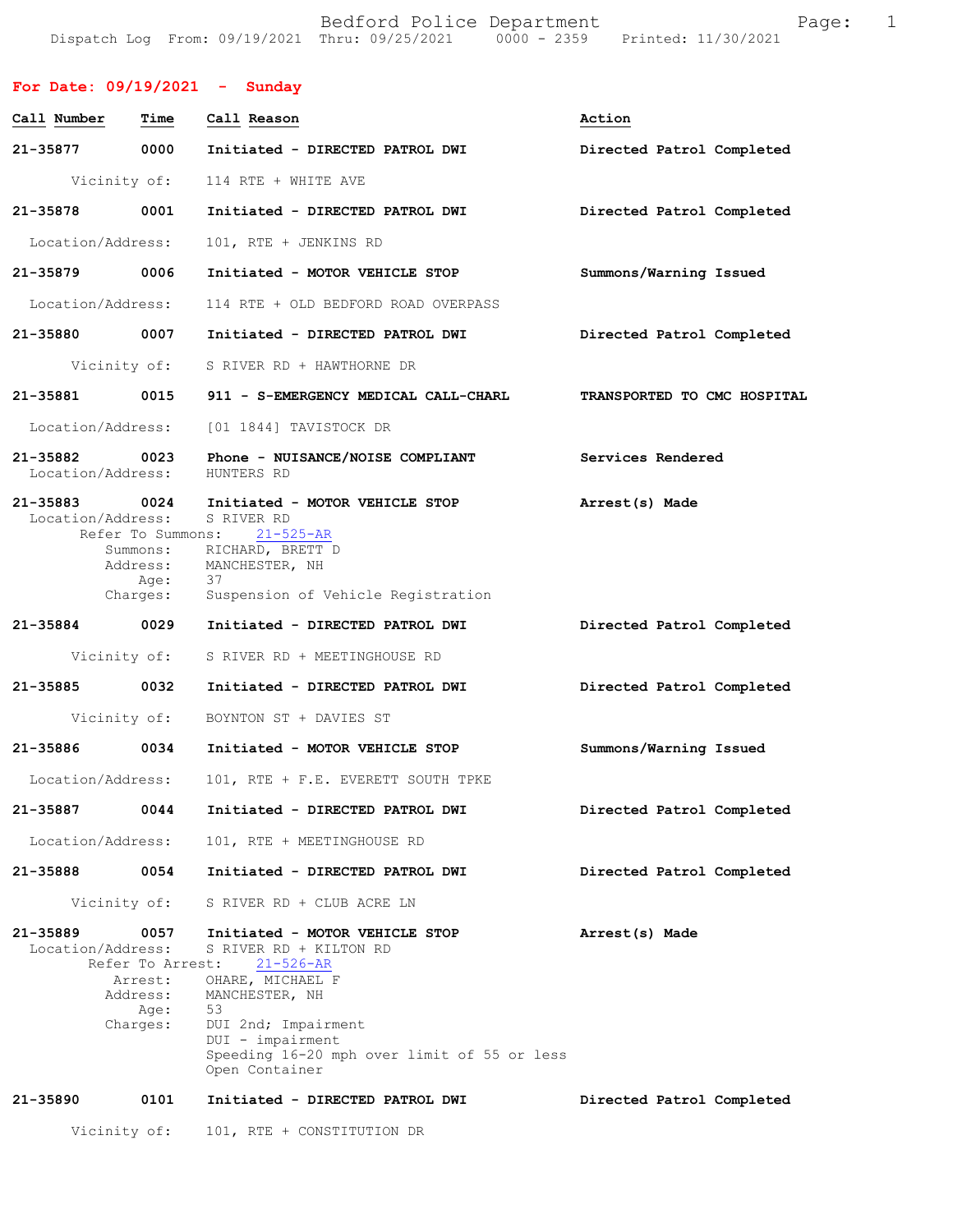Bedford Police Department Fage: 1 Dispatch Log From: 09/19/2021 Thru: 09/25/2021 0000 - 2359 Printed: 11/30/2021

| For Date: $09/19/2021$ - Sunday    |                                         |                                                                                                                                                      |                             |
|------------------------------------|-----------------------------------------|------------------------------------------------------------------------------------------------------------------------------------------------------|-----------------------------|
| Call Number                        | Time                                    | Call Reason                                                                                                                                          | Action                      |
| 21-35877                           | 0000                                    | Initiated - DIRECTED PATROL DWI                                                                                                                      | Directed Patrol Completed   |
| Vicinity of:                       |                                         | 114 RTE + WHITE AVE                                                                                                                                  |                             |
| 21-35878                           | 0001                                    | Initiated - DIRECTED PATROL DWI                                                                                                                      | Directed Patrol Completed   |
| Location/Address:                  |                                         | 101, RTE + JENKINS RD                                                                                                                                |                             |
| 21-35879 0006                      |                                         | Initiated - MOTOR VEHICLE STOP                                                                                                                       | Summons/Warning Issued      |
| Location/Address:                  |                                         | 114 RTE + OLD BEDFORD ROAD OVERPASS                                                                                                                  |                             |
| 21-35880 0007                      |                                         | Initiated - DIRECTED PATROL DWI                                                                                                                      | Directed Patrol Completed   |
| Vicinity of:                       |                                         | S RIVER RD + HAWTHORNE DR                                                                                                                            |                             |
| 21-35881 0015                      |                                         | 911 - S-EMERGENCY MEDICAL CALL-CHARL                                                                                                                 | TRANSPORTED TO CMC HOSPITAL |
| Location/Address:                  |                                         | [01 1844] TAVISTOCK DR                                                                                                                               |                             |
| 21-35882 0023<br>Location/Address: |                                         | Phone - NUISANCE/NOISE COMPLIANT<br>HUNTERS RD                                                                                                       | Services Rendered           |
| 21-35883 0024<br>Location/Address: |                                         | Initiated - MOTOR VEHICLE STOP<br>S RIVER RD                                                                                                         | Arrest(s) Made              |
|                                    | Refer To Summons:<br>Address:<br>Age:   | $21 - 525 - AR$<br>Summons: RICHARD, BRETT D<br>MANCHESTER, NH<br>37                                                                                 |                             |
|                                    | Charges:                                | Suspension of Vehicle Registration                                                                                                                   |                             |
| 21-35884 0029                      |                                         | Initiated - DIRECTED PATROL DWI                                                                                                                      | Directed Patrol Completed   |
| Vicinity of:                       |                                         | S RIVER RD + MEETINGHOUSE RD                                                                                                                         |                             |
| 21-35885                           | 0032                                    | Initiated - DIRECTED PATROL DWI                                                                                                                      | Directed Patrol Completed   |
| Vicinity of:                       |                                         | BOYNTON ST + DAVIES ST                                                                                                                               |                             |
| 21-35886                           | 0034                                    | Initiated - MOTOR VEHICLE STOP                                                                                                                       | Summons/Warning Issued      |
| Location/Address:                  |                                         | 101, RTE + F.E. EVERETT SOUTH TPKE                                                                                                                   |                             |
| 21-35887                           | 0044                                    | Initiated - DIRECTED PATROL DWI                                                                                                                      | Directed Patrol Completed   |
| Location/Address:                  |                                         | 101, RTE + MEETINGHOUSE RD                                                                                                                           |                             |
| 21-35888                           | 0054                                    | Initiated - DIRECTED PATROL DWI                                                                                                                      | Directed Patrol Completed   |
| Vicinity of:                       |                                         | S RIVER RD + CLUB ACRE LN                                                                                                                            |                             |
| 21-35889<br>Location/Address:      | 0057<br>Refer To Arrest:                | Initiated - MOTOR VEHICLE STOP<br>S RIVER RD + KILTON RD<br>$21 - 526 - AR$                                                                          | Arrest(s) Made              |
|                                    | Arrest:<br>Address:<br>Age:<br>Charges: | OHARE, MICHAEL F<br>MANCHESTER, NH<br>53<br>DUI 2nd; Impairment<br>DUI - impairment<br>Speeding 16-20 mph over limit of 55 or less<br>Open Container |                             |
| 21-35890                           | 0101                                    | Initiated - DIRECTED PATROL DWI                                                                                                                      | Directed Patrol Completed   |
| Vicinity of:                       |                                         | 101, RTE + CONSTITUTION DR                                                                                                                           |                             |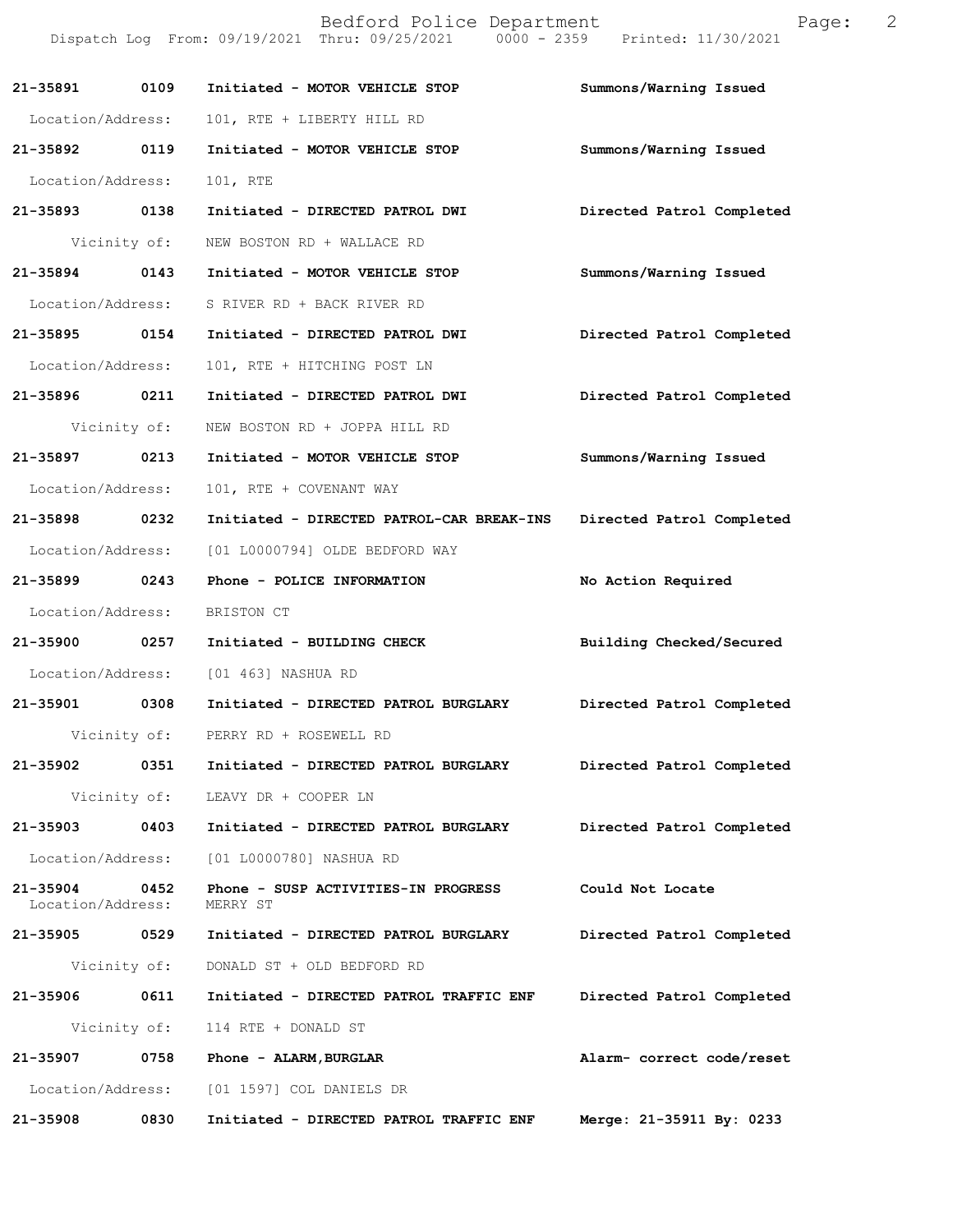|                               |              | Bedford Police Department<br>Dispatch Log From: 09/19/2021 Thru: 09/25/2021 0000 - 2359 Printed: 11/30/2021 | 2<br>Page:                |
|-------------------------------|--------------|-------------------------------------------------------------------------------------------------------------|---------------------------|
| 21-35891                      | 0109         | Initiated - MOTOR VEHICLE STOP                                                                              | Summons/Warning Issued    |
| Location/Address:             |              | 101, RTE + LIBERTY HILL RD                                                                                  |                           |
| 21-35892 0119                 |              | Initiated - MOTOR VEHICLE STOP                                                                              | Summons/Warning Issued    |
| Location/Address:             |              | 101, RTE                                                                                                    |                           |
| 21-35893 0138                 |              | Initiated - DIRECTED PATROL DWI                                                                             | Directed Patrol Completed |
|                               | Vicinity of: | NEW BOSTON RD + WALLACE RD                                                                                  |                           |
| 21-35894                      | 0143         | Initiated - MOTOR VEHICLE STOP                                                                              | Summons/Warning Issued    |
| Location/Address:             |              | S RIVER RD + BACK RIVER RD                                                                                  |                           |
| 21-35895                      | 0154         | Initiated - DIRECTED PATROL DWI                                                                             | Directed Patrol Completed |
| Location/Address:             |              | 101, RTE + HITCHING POST LN                                                                                 |                           |
| 21-35896 0211                 |              | Initiated - DIRECTED PATROL DWI                                                                             | Directed Patrol Completed |
|                               | Vicinity of: | NEW BOSTON RD + JOPPA HILL RD                                                                               |                           |
| 21-35897                      | 0213         | Initiated - MOTOR VEHICLE STOP                                                                              | Summons/Warning Issued    |
| Location/Address:             |              | 101, RTE + COVENANT WAY                                                                                     |                           |
| 21-35898                      | 0232         | Initiated - DIRECTED PATROL-CAR BREAK-INS                                                                   | Directed Patrol Completed |
| Location/Address:             |              | [01 L0000794] OLDE BEDFORD WAY                                                                              |                           |
| 21-35899 0243                 |              | Phone - POLICE INFORMATION                                                                                  | No Action Required        |
| Location/Address:             |              | BRISTON CT                                                                                                  |                           |
| 21-35900 0257                 |              | Initiated - BUILDING CHECK                                                                                  | Building Checked/Secured  |
| Location/Address:             |              | [01 463] NASHUA RD                                                                                          |                           |
| 21-35901                      | 0308         | Initiated - DIRECTED PATROL BURGLARY                                                                        | Directed Patrol Completed |
|                               |              | Vicinity of: PERRY RD + ROSEWELL RD                                                                         |                           |
| 21-35902 0351                 |              | Initiated - DIRECTED PATROL BURGLARY                                                                        | Directed Patrol Completed |
|                               | Vicinity of: | LEAVY DR + COOPER LN                                                                                        |                           |
| 21-35903                      | 0403         | Initiated - DIRECTED PATROL BURGLARY                                                                        | Directed Patrol Completed |
| Location/Address:             |              | [01 L0000780] NASHUA RD                                                                                     |                           |
| 21-35904<br>Location/Address: | 0452         | Phone - SUSP ACTIVITIES-IN PROGRESS<br>MERRY ST                                                             | Could Not Locate          |
| 21-35905                      | 0529         | Initiated - DIRECTED PATROL BURGLARY                                                                        | Directed Patrol Completed |
|                               | Vicinity of: | DONALD ST + OLD BEDFORD RD                                                                                  |                           |
| 21-35906                      | 0611         | Initiated - DIRECTED PATROL TRAFFIC ENF                                                                     | Directed Patrol Completed |
|                               | Vicinity of: | 114 RTE + DONALD ST                                                                                         |                           |
| 21-35907                      | 0758         | Phone - ALARM, BURGLAR                                                                                      | Alarm- correct code/reset |
| Location/Address:             |              | [01 1597] COL DANIELS DR                                                                                    |                           |
| 21-35908                      | 0830         | Initiated - DIRECTED PATROL TRAFFIC ENF                                                                     | Merge: 21-35911 By: 0233  |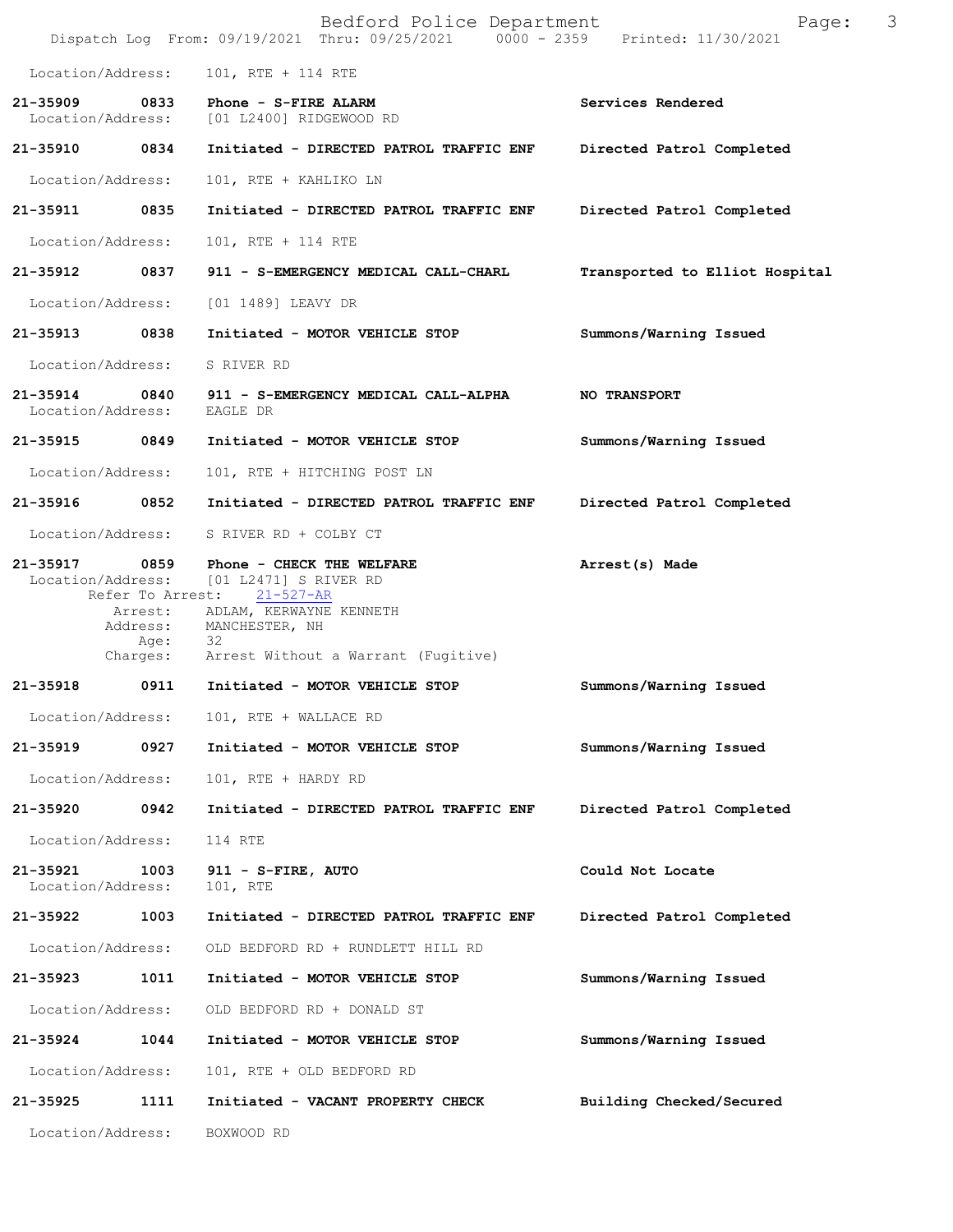|                               |              | Bedford Police Department<br>Dispatch Log From: 09/19/2021 Thru: 09/25/2021 0000 - 2359 Printed: 11/30/2021                                                                                            | Page:                          | 3 |
|-------------------------------|--------------|--------------------------------------------------------------------------------------------------------------------------------------------------------------------------------------------------------|--------------------------------|---|
| Location/Address:             |              | 101, RTE + 114 RTE                                                                                                                                                                                     |                                |   |
|                               |              | 21-35909 0833 Phone - S-FIRE ALARM<br>Location/Address: [01 L2400] RIDGEWOOD RD                                                                                                                        | Services Rendered              |   |
| 21-35910 0834                 |              | Initiated - DIRECTED PATROL TRAFFIC ENF                                                                                                                                                                | Directed Patrol Completed      |   |
| Location/Address:             |              | 101, RTE + KAHLIKO LN                                                                                                                                                                                  |                                |   |
| 21-35911 0835                 |              | Initiated - DIRECTED PATROL TRAFFIC ENF                                                                                                                                                                | Directed Patrol Completed      |   |
| Location/Address:             |              | 101, RTE + 114 RTE                                                                                                                                                                                     |                                |   |
|                               |              | 21-35912 0837 911 - S-EMERGENCY MEDICAL CALL-CHARL                                                                                                                                                     | Transported to Elliot Hospital |   |
| Location/Address:             |              | [01 1489] LEAVY DR                                                                                                                                                                                     |                                |   |
| 21-35913 0838                 |              | Initiated - MOTOR VEHICLE STOP                                                                                                                                                                         | Summons/Warning Issued         |   |
| Location/Address:             |              | S RIVER RD                                                                                                                                                                                             |                                |   |
| Location/Address:             |              | 21-35914 0840 911 - S-EMERGENCY MEDICAL CALL-ALPHA<br>EAGLE DR                                                                                                                                         | <b>NO TRANSPORT</b>            |   |
| 21-35915 0849                 |              | Initiated - MOTOR VEHICLE STOP                                                                                                                                                                         | Summons/Warning Issued         |   |
| Location/Address:             |              | 101, RTE + HITCHING POST LN                                                                                                                                                                            |                                |   |
| 21-35916 0852                 |              | Initiated - DIRECTED PATROL TRAFFIC ENF                                                                                                                                                                | Directed Patrol Completed      |   |
|                               |              | Location/Address: S RIVER RD + COLBY CT                                                                                                                                                                |                                |   |
| 21-35917<br>Location/Address: | 0859<br>Age: | Phone - CHECK THE WELFARE<br>[01 L2471] S RIVER RD<br>Refer To Arrest: 21-527-AR<br>Arrest: ADLAM, KERWAYNE KENNETH<br>Address: MANCHESTER, NH<br>- 32<br>Charges: Arrest Without a Warrant (Fugitive) | Arrest(s) Made                 |   |
| 21-35918                      |              | 0911 Initiated - MOTOR VEHICLE STOP                                                                                                                                                                    | Summons/Warning Issued         |   |
| Location/Address:             |              | 101, RTE + WALLACE RD                                                                                                                                                                                  |                                |   |
| 21-35919                      | 0927         | Initiated - MOTOR VEHICLE STOP                                                                                                                                                                         | Summons/Warning Issued         |   |
| Location/Address:             |              | 101, RTE + HARDY RD                                                                                                                                                                                    |                                |   |
| 21-35920                      | 0942         | Initiated - DIRECTED PATROL TRAFFIC ENF                                                                                                                                                                | Directed Patrol Completed      |   |
| Location/Address:             |              | 114 RTE                                                                                                                                                                                                |                                |   |
| 21-35921<br>Location/Address: | 1003         | 911 - S-FIRE, AUTO<br>101, RTE                                                                                                                                                                         | Could Not Locate               |   |
| 21-35922                      | 1003         | Initiated - DIRECTED PATROL TRAFFIC ENF                                                                                                                                                                | Directed Patrol Completed      |   |
| Location/Address:             |              | OLD BEDFORD RD + RUNDLETT HILL RD                                                                                                                                                                      |                                |   |
| 21-35923                      | 1011         | Initiated - MOTOR VEHICLE STOP                                                                                                                                                                         | Summons/Warning Issued         |   |
| Location/Address:             |              | OLD BEDFORD RD + DONALD ST                                                                                                                                                                             |                                |   |
| 21-35924                      | 1044         | Initiated - MOTOR VEHICLE STOP                                                                                                                                                                         | Summons/Warning Issued         |   |
| Location/Address:             |              | 101, RTE + OLD BEDFORD RD                                                                                                                                                                              |                                |   |
| 21-35925                      | 1111         | Initiated - VACANT PROPERTY CHECK                                                                                                                                                                      | Building Checked/Secured       |   |
| Location/Address:             |              | BOXWOOD RD                                                                                                                                                                                             |                                |   |
|                               |              |                                                                                                                                                                                                        |                                |   |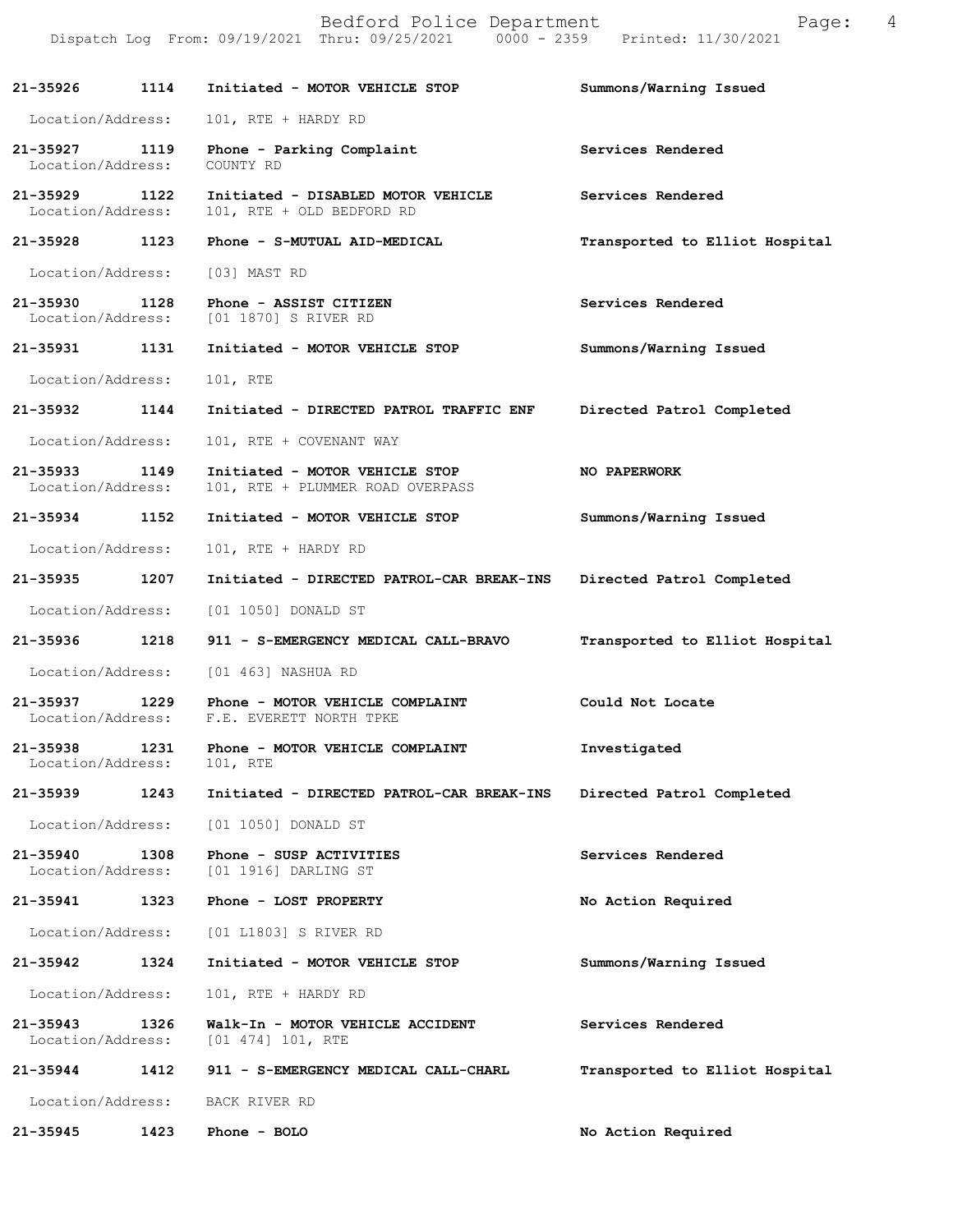|                                   |      | Bedford Police Department<br>Dispatch Log From: 09/19/2021 Thru: 09/25/2021 0000 - 2359 Printed: 11/30/2021 | 4<br>Page:                     |
|-----------------------------------|------|-------------------------------------------------------------------------------------------------------------|--------------------------------|
| 21-35926                          | 1114 | Initiated - MOTOR VEHICLE STOP                                                                              | Summons/Warning Issued         |
| Location/Address:                 |      | 101, RTE + HARDY RD                                                                                         |                                |
| 21-35927<br>Location/Address:     | 1119 | Phone - Parking Complaint<br>COUNTY RD                                                                      | Services Rendered              |
| 21-35929<br>Location/Address:     | 1122 | Initiated - DISABLED MOTOR VEHICLE<br>101, RTE + OLD BEDFORD RD                                             | Services Rendered              |
| 21-35928                          | 1123 | Phone - S-MUTUAL AID-MEDICAL                                                                                | Transported to Elliot Hospital |
| Location/Address:                 |      | [03] MAST RD                                                                                                |                                |
| 21-35930<br>Location/Address:     | 1128 | Phone - ASSIST CITIZEN<br>[01 1870] S RIVER RD                                                              | Services Rendered              |
| 21-35931                          | 1131 | Initiated - MOTOR VEHICLE STOP                                                                              | Summons/Warning Issued         |
| Location/Address:                 |      | 101, RTE                                                                                                    |                                |
| 21-35932                          | 1144 | Initiated - DIRECTED PATROL TRAFFIC ENF                                                                     | Directed Patrol Completed      |
| Location/Address:                 |      | 101, RTE + COVENANT WAY                                                                                     |                                |
| 21-35933<br>Location/Address:     | 1149 | Initiated - MOTOR VEHICLE STOP<br>101, RTE + PLUMMER ROAD OVERPASS                                          | NO PAPERWORK                   |
| 21-35934                          | 1152 | Initiated - MOTOR VEHICLE STOP                                                                              | Summons/Warning Issued         |
| Location/Address:                 |      | 101, RTE + HARDY RD                                                                                         |                                |
| 21-35935                          | 1207 | Initiated - DIRECTED PATROL-CAR BREAK-INS                                                                   | Directed Patrol Completed      |
| Location/Address:                 |      | [01 1050] DONALD ST                                                                                         |                                |
| 21-35936                          | 1218 | 911 - S-EMERGENCY MEDICAL CALL-BRAVO                                                                        | Transported to Elliot Hospital |
| Location/Address:                 |      | [01 463] NASHUA RD                                                                                          |                                |
| 21-35937<br>Location/Address:     | 1229 | Phone - MOTOR VEHICLE COMPLAINT<br>F.E. EVERETT NORTH TPKE                                                  | Could Not Locate               |
| 21-35938<br>Location/Address:     | 1231 | Phone - MOTOR VEHICLE COMPLAINT<br>101, RTE                                                                 | Investigated                   |
| 21-35939                          | 1243 | Initiated - DIRECTED PATROL-CAR BREAK-INS                                                                   | Directed Patrol Completed      |
| Location/Address:                 |      | [01 1050] DONALD ST                                                                                         |                                |
| $21 - 35940$<br>Location/Address: | 1308 | Phone - SUSP ACTIVITIES<br>[01 1916] DARLING ST                                                             | Services Rendered              |
| 21-35941                          | 1323 | Phone - LOST PROPERTY                                                                                       | No Action Required             |
| Location/Address:                 |      | [01 L1803] S RIVER RD                                                                                       |                                |
| 21-35942                          | 1324 | Initiated - MOTOR VEHICLE STOP                                                                              | Summons/Warning Issued         |
| Location/Address:                 |      | 101, RTE + HARDY RD                                                                                         |                                |
| $21 - 35943$<br>Location/Address: | 1326 | Walk-In - MOTOR VEHICLE ACCIDENT<br>$[01 474] 101$ , RTE                                                    | Services Rendered              |
| 21-35944                          | 1412 | 911 - S-EMERGENCY MEDICAL CALL-CHARL                                                                        | Transported to Elliot Hospital |
| Location/Address:                 |      | BACK RIVER RD                                                                                               |                                |
| 21-35945                          | 1423 | Phone - BOLO                                                                                                | No Action Required             |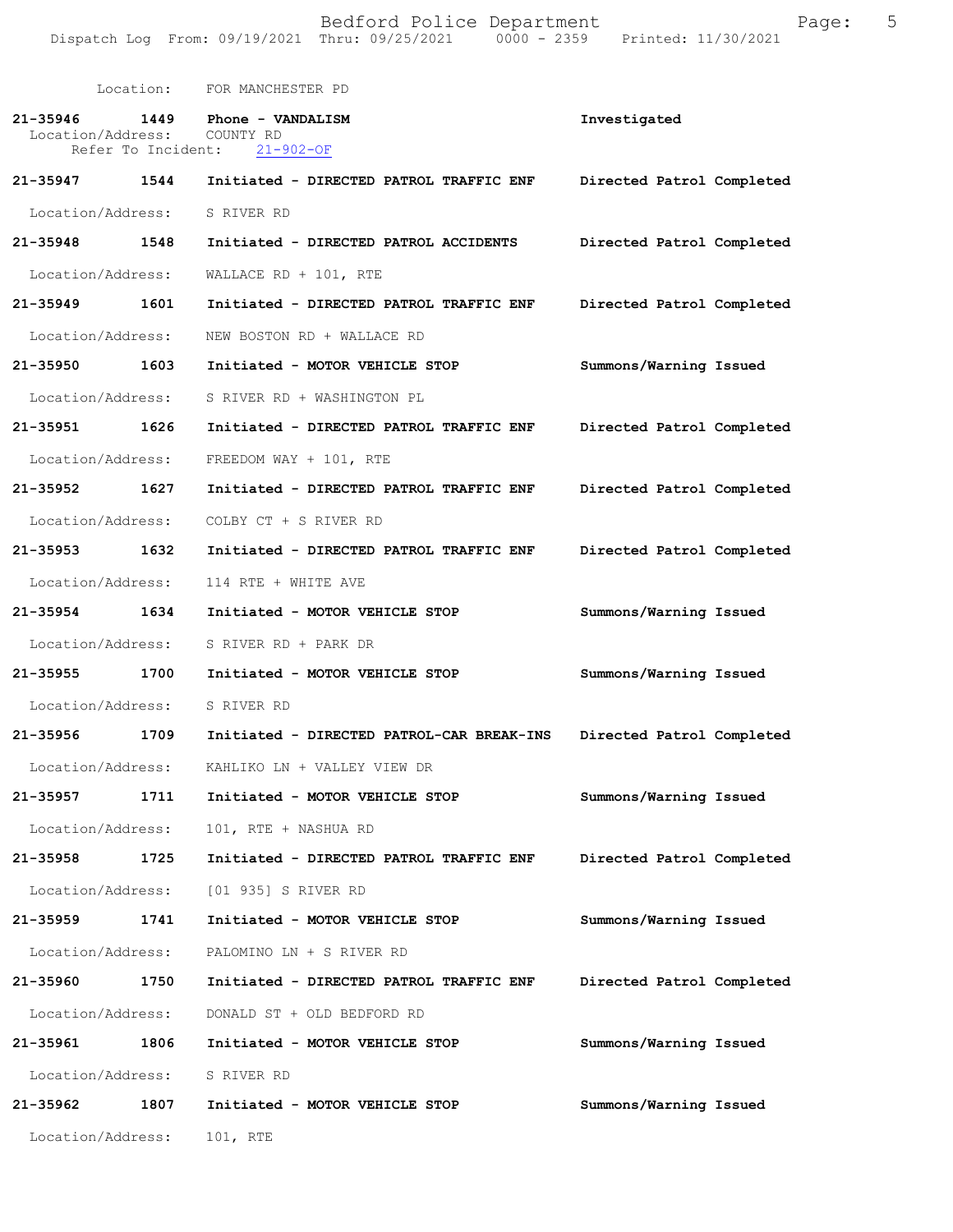Bedford Police Department Fage: 5 Dispatch Log From: 09/19/2021 Thru: 09/25/2021 0000 - 2359 Printed: 11/30/2021

 Location: FOR MANCHESTER PD **21-35946 1449 Phone - VANDALISM Investigated**  Location/Address: COUNTY RD Refer To Incident: 21-902-OF **21-35947 1544 Initiated - DIRECTED PATROL TRAFFIC ENF Directed Patrol Completed**  Location/Address: S RIVER RD **21-35948 1548 Initiated - DIRECTED PATROL ACCIDENTS Directed Patrol Completed**  Location/Address: WALLACE RD + 101, RTE **21-35949 1601 Initiated - DIRECTED PATROL TRAFFIC ENF Directed Patrol Completed**  Location/Address: NEW BOSTON RD + WALLACE RD **21-35950 1603 Initiated - MOTOR VEHICLE STOP Summons/Warning Issued**  Location/Address: S RIVER RD + WASHINGTON PL **21-35951 1626 Initiated - DIRECTED PATROL TRAFFIC ENF Directed Patrol Completed**  Location/Address: FREEDOM WAY + 101, RTE **21-35952 1627 Initiated - DIRECTED PATROL TRAFFIC ENF Directed Patrol Completed**  Location/Address: COLBY CT + S RIVER RD **21-35953 1632 Initiated - DIRECTED PATROL TRAFFIC ENF Directed Patrol Completed**  Location/Address: 114 RTE + WHITE AVE **21-35954 1634 Initiated - MOTOR VEHICLE STOP Summons/Warning Issued**  Location/Address: S RIVER RD + PARK DR **21-35955 1700 Initiated - MOTOR VEHICLE STOP Summons/Warning Issued**  Location/Address: S RIVER RD **21-35956 1709 Initiated - DIRECTED PATROL-CAR BREAK-INS Directed Patrol Completed**  Location/Address: KAHLIKO LN + VALLEY VIEW DR **21-35957 1711 Initiated - MOTOR VEHICLE STOP Summons/Warning Issued**  Location/Address: 101, RTE + NASHUA RD **21-35958 1725 Initiated - DIRECTED PATROL TRAFFIC ENF Directed Patrol Completed**  Location/Address: [01 935] S RIVER RD **21-35959 1741 Initiated - MOTOR VEHICLE STOP Summons/Warning Issued**  Location/Address: PALOMINO LN + S RIVER RD **21-35960 1750 Initiated - DIRECTED PATROL TRAFFIC ENF Directed Patrol Completed**  Location/Address: DONALD ST + OLD BEDFORD RD **21-35961 1806 Initiated - MOTOR VEHICLE STOP Summons/Warning Issued**  Location/Address: S RIVER RD **21-35962 1807 Initiated - MOTOR VEHICLE STOP Summons/Warning Issued**  Location/Address: 101, RTE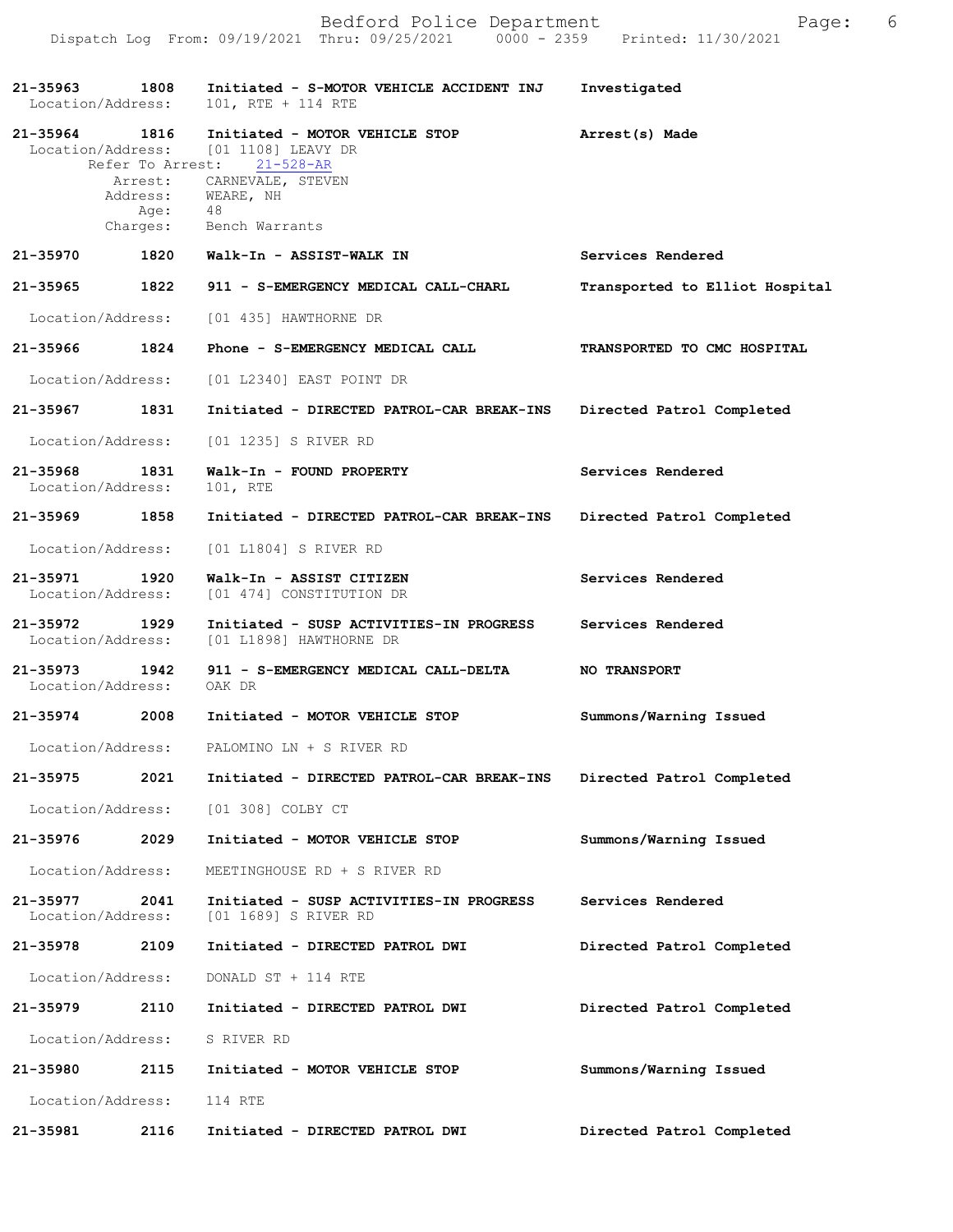| 21-35963<br>Location/Address:      | 1808 | Initiated - S-MOTOR VEHICLE ACCIDENT INJ<br>101, RTE + 114 RTE                                       | Investigated                   |
|------------------------------------|------|------------------------------------------------------------------------------------------------------|--------------------------------|
| 21-35964 1816                      |      | Initiated - MOTOR VEHICLE STOP<br>Location/Address: [01 1108] LEAVY DR<br>Refer To Arrest: 21-528-AR | Arrest(s) Made                 |
|                                    |      | Arrest: CARNEVALE, STEVEN<br>Address: WEARE, NH                                                      |                                |
|                                    |      | Age: 48<br>Charges: Bench Warrants                                                                   |                                |
|                                    |      | 21-35970         1820    Walk-In - ASSIST-WALK IN                                                    | Services Rendered              |
| 21-35965                           | 1822 | 911 - S-EMERGENCY MEDICAL CALL-CHARL                                                                 | Transported to Elliot Hospital |
|                                    |      | Location/Address: [01 435] HAWTHORNE DR                                                              |                                |
| 21-35966 1824                      |      | Phone - S-EMERGENCY MEDICAL CALL                                                                     | TRANSPORTED TO CMC HOSPITAL    |
|                                    |      | Location/Address: [01 L2340] EAST POINT DR                                                           |                                |
| 21-35967 1831                      |      | Initiated - DIRECTED PATROL-CAR BREAK-INS Directed Patrol Completed                                  |                                |
|                                    |      | Location/Address: [01 1235] S RIVER RD                                                               |                                |
| 21-35968<br>Location/Address:      | 1831 | Walk-In - FOUND PROPERTY<br>101, RTE                                                                 | Services Rendered              |
| 21-35969 1858                      |      | Initiated - DIRECTED PATROL-CAR BREAK-INS Directed Patrol Completed                                  |                                |
| Location/Address:                  |      | [01 L1804] S RIVER RD                                                                                |                                |
| 21-35971 1920<br>Location/Address: |      | Walk-In - ASSIST CITIZEN<br>[01 474] CONSTITUTION DR                                                 | Services Rendered              |
| 21-35972 1929                      |      | Initiated - SUSP ACTIVITIES-IN PROGRESS<br>Location/Address: [01 L1898] HAWTHORNE DR                 | Services Rendered              |
| 21–35973 1942<br>Location/Address: |      | 911 - S-EMERGENCY MEDICAL CALL-DELTA<br>OAK DR                                                       | NO TRANSPORT                   |
| 21-35974                           | 2008 | Initiated - MOTOR VEHICLE STOP                                                                       | Summons/Warning Issued         |
|                                    |      | Location/Address: PALOMINO LN + S RIVER RD                                                           |                                |
|                                    |      | 21-35975 2021 Initiated - DIRECTED PATROL-CAR BREAK-INS Directed Patrol Completed                    |                                |
|                                    |      | Location/Address: [01 308] COLBY CT                                                                  |                                |
| 21-35976                           | 2029 | Initiated - MOTOR VEHICLE STOP                                                                       | Summons/Warning Issued         |
|                                    |      | Location/Address: MEETINGHOUSE RD + S RIVER RD                                                       |                                |
| 21-35977                           | 2041 | Initiated - SUSP ACTIVITIES-IN PROGRESS<br>Location/Address: [01 1689] S RIVER RD                    | Services Rendered              |
| 21-35978                           | 2109 | Initiated - DIRECTED PATROL DWI                                                                      | Directed Patrol Completed      |
|                                    |      | Location/Address: DONALD ST + 114 RTE                                                                |                                |
| 21-35979                           | 2110 | Initiated - DIRECTED PATROL DWI                                                                      | Directed Patrol Completed      |
| Location/Address: S RIVER RD       |      |                                                                                                      |                                |
|                                    |      | 21-35980 2115 Initiated - MOTOR VEHICLE STOP                                                         | Summons/Warning Issued         |
| Location/Address: 114 RTE          |      |                                                                                                      |                                |
| 21-35981                           | 2116 | Initiated - DIRECTED PATROL DWI                                                                      | Directed Patrol Completed      |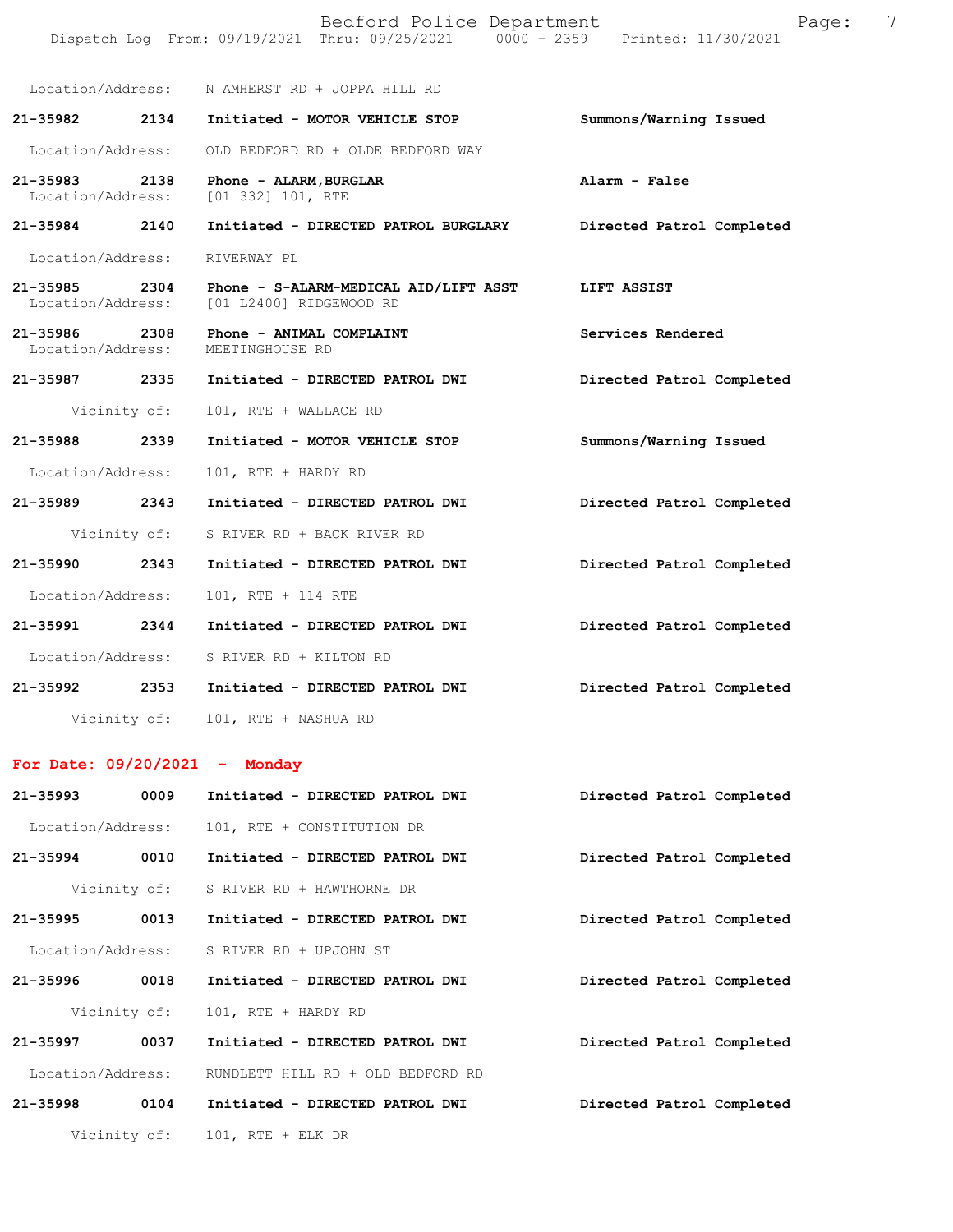|                                    |              | Bedford Police Department<br>Dispatch Log From: 09/19/2021 Thru: 09/25/2021 0000 - 2359 Printed: 11/30/2021 | Page:                     | 7 |
|------------------------------------|--------------|-------------------------------------------------------------------------------------------------------------|---------------------------|---|
|                                    |              | Location/Address: N AMHERST RD + JOPPA HILL RD                                                              |                           |   |
| 21-35982                           | 2134         | Initiated - MOTOR VEHICLE STOP                                                                              | Summons/Warning Issued    |   |
| Location/Address:                  |              | OLD BEDFORD RD + OLDE BEDFORD WAY                                                                           |                           |   |
| 21-35983<br>Location/Address:      | 2138         | Phone - ALARM, BURGLAR<br>[01 332] 101, RTE                                                                 | Alarm - False             |   |
| 21-35984 2140                      |              | Initiated - DIRECTED PATROL BURGLARY                                                                        | Directed Patrol Completed |   |
| Location/Address:                  |              | RIVERWAY PL                                                                                                 |                           |   |
| 21-35985 2304                      |              | Phone - S-ALARM-MEDICAL AID/LIFT ASST<br>Location/Address: [01 L2400] RIDGEWOOD RD                          | LIFT ASSIST               |   |
| 21-35986 2308<br>Location/Address: |              | Phone - ANIMAL COMPLAINT<br>MEETINGHOUSE RD                                                                 | Services Rendered         |   |
|                                    |              | 21-35987 2335 Initiated - DIRECTED PATROL DWI                                                               | Directed Patrol Completed |   |
|                                    | Vicinity of: | 101, RTE + WALLACE RD                                                                                       |                           |   |
| 21-35988                           | 2339         | Initiated - MOTOR VEHICLE STOP                                                                              | Summons/Warning Issued    |   |
| Location/Address:                  |              | 101, RTE + HARDY RD                                                                                         |                           |   |
| 21-35989 2343                      |              | Initiated - DIRECTED PATROL DWI                                                                             | Directed Patrol Completed |   |
|                                    | Vicinity of: | S RIVER RD + BACK RIVER RD                                                                                  |                           |   |
| 21-35990                           | 2343         | Initiated - DIRECTED PATROL DWI                                                                             | Directed Patrol Completed |   |
| Location/Address:                  |              | 101, RTE + 114 RTE                                                                                          |                           |   |
| 21-35991                           | 2344         | Initiated - DIRECTED PATROL DWI                                                                             | Directed Patrol Completed |   |
| Location/Address:                  |              | S RIVER RD + KILTON RD                                                                                      |                           |   |
| 21-35992                           | 2353         | Initiated - DIRECTED PATROL DWI                                                                             | Directed Patrol Completed |   |
|                                    |              | Vicinity of: 101, RTE + NASHUA RD                                                                           |                           |   |
|                                    |              | For Date: $09/20/2021$ - Monday                                                                             |                           |   |
| 21-35993                           | 0009         | Initiated - DIRECTED PATROL DWI                                                                             | Directed Patrol Completed |   |
| Location/Address:                  |              | 101, RTE + CONSTITUTION DR                                                                                  |                           |   |
| 21-35994                           | 0010         | Initiated - DIRECTED PATROL DWI                                                                             | Directed Patrol Completed |   |
|                                    | Vicinity of: | S RIVER RD + HAWTHORNE DR                                                                                   |                           |   |
| 21-35995                           | 0013         | Initiated - DIRECTED PATROL DWI                                                                             | Directed Patrol Completed |   |
| Location/Address:                  |              | S RIVER RD + UPJOHN ST                                                                                      |                           |   |
| 21-35996                           | 0018         | Initiated - DIRECTED PATROL DWI                                                                             | Directed Patrol Completed |   |
|                                    | Vicinity of: | 101, RTE + HARDY RD                                                                                         |                           |   |
| 21-35997                           | 0037         | Initiated - DIRECTED PATROL DWI                                                                             | Directed Patrol Completed |   |
| Location/Address:                  |              | RUNDLETT HILL RD + OLD BEDFORD RD                                                                           |                           |   |
| 21-35998                           | 0104         | Initiated - DIRECTED PATROL DWI                                                                             | Directed Patrol Completed |   |
|                                    | Vicinity of: | $101$ , RTE + ELK DR                                                                                        |                           |   |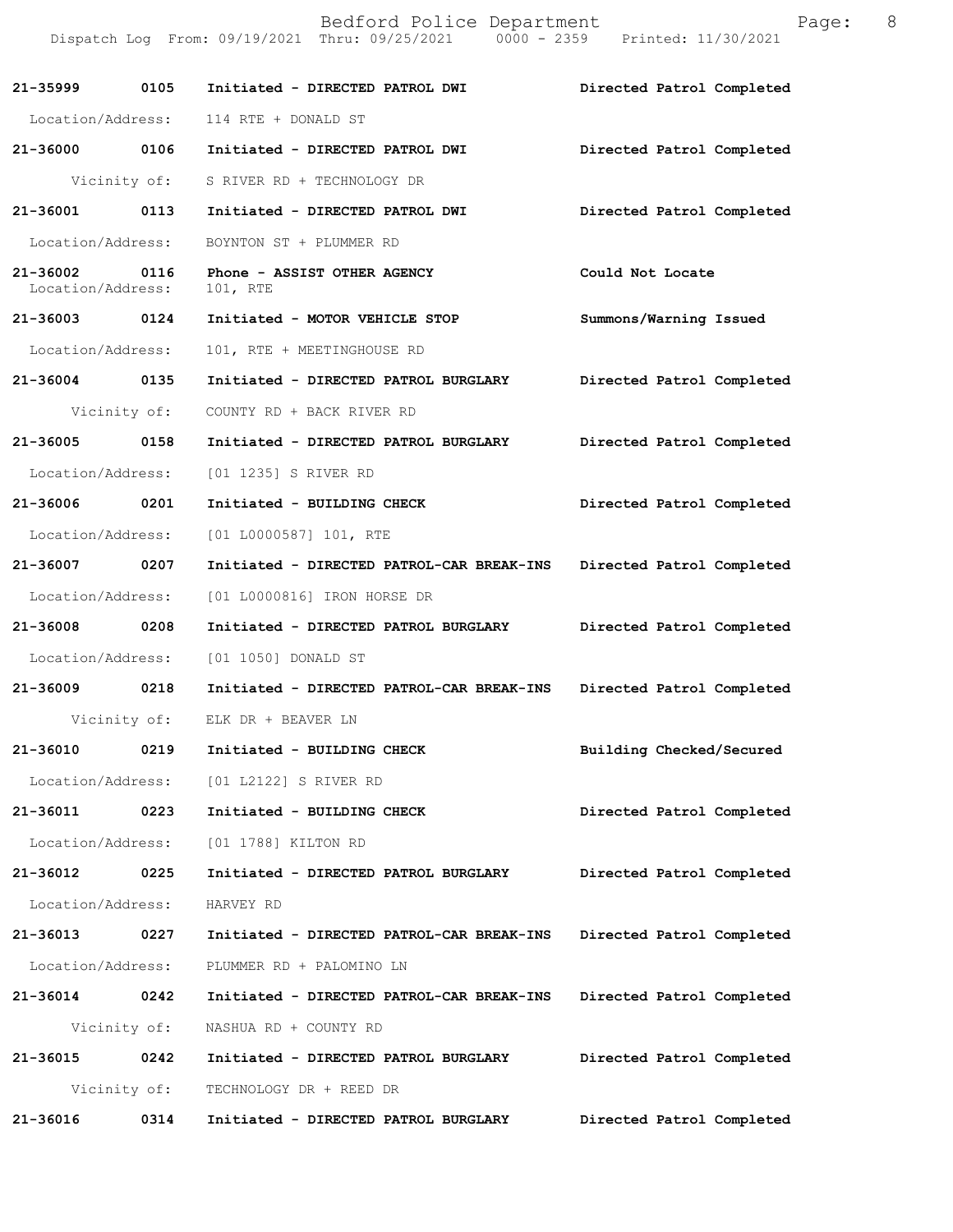|                                    |              | Bedford Police Department<br>Dispatch Log From: 09/19/2021 Thru: 09/25/2021 0000 - 2359 Printed: 11/30/2021 | Page:                     | 8 |
|------------------------------------|--------------|-------------------------------------------------------------------------------------------------------------|---------------------------|---|
| 21-35999                           | 0105         | Initiated - DIRECTED PATROL DWI                                                                             | Directed Patrol Completed |   |
| Location/Address:                  |              | 114 RTE + DONALD ST                                                                                         |                           |   |
| 21-36000 0106                      |              | Initiated - DIRECTED PATROL DWI                                                                             | Directed Patrol Completed |   |
|                                    | Vicinity of: | S RIVER RD + TECHNOLOGY DR                                                                                  |                           |   |
| 21-36001                           | 0113         | Initiated - DIRECTED PATROL DWI                                                                             | Directed Patrol Completed |   |
| Location/Address:                  |              | BOYNTON ST + PLUMMER RD                                                                                     |                           |   |
| 21-36002 0116<br>Location/Address: |              | Phone - ASSIST OTHER AGENCY<br>101, RTE                                                                     | Could Not Locate          |   |
| 21-36003 0124                      |              | Initiated - MOTOR VEHICLE STOP                                                                              | Summons/Warning Issued    |   |
| Location/Address:                  |              | 101, RTE + MEETINGHOUSE RD                                                                                  |                           |   |
| 21-36004                           | 0135         | Initiated - DIRECTED PATROL BURGLARY                                                                        | Directed Patrol Completed |   |
|                                    | Vicinity of: | COUNTY RD + BACK RIVER RD                                                                                   |                           |   |
| 21-36005                           | 0158         | Initiated - DIRECTED PATROL BURGLARY                                                                        | Directed Patrol Completed |   |
| Location/Address:                  |              | [01 1235] S RIVER RD                                                                                        |                           |   |
| 21-36006 0201                      |              | Initiated - BUILDING CHECK                                                                                  | Directed Patrol Completed |   |
| Location/Address:                  |              | $[01 L0000587] 101$ , RTE                                                                                   |                           |   |
| 21-36007                           | 0207         | Initiated - DIRECTED PATROL-CAR BREAK-INS                                                                   | Directed Patrol Completed |   |
| Location/Address:                  |              | [01 L0000816] IRON HORSE DR                                                                                 |                           |   |
| 21-36008                           | 0208         | Initiated - DIRECTED PATROL BURGLARY                                                                        | Directed Patrol Completed |   |
| Location/Address:                  |              | [01 1050] DONALD ST                                                                                         |                           |   |
| 21-36009                           | 0218         | Initiated - DIRECTED PATROL-CAR BREAK-INS                                                                   | Directed Patrol Completed |   |
|                                    | Vicinity of: | ELK DR + BEAVER LN                                                                                          |                           |   |
| 21-36010                           | 0219         | Initiated - BUILDING CHECK                                                                                  | Building Checked/Secured  |   |
| Location/Address:                  |              | [01 L2122] S RIVER RD                                                                                       |                           |   |
| 21-36011                           | 0223         | Initiated - BUILDING CHECK                                                                                  | Directed Patrol Completed |   |
| Location/Address:                  |              | [01 1788] KILTON RD                                                                                         |                           |   |
| 21-36012                           | 0225         | Initiated - DIRECTED PATROL BURGLARY                                                                        | Directed Patrol Completed |   |
| Location/Address:                  |              | HARVEY RD                                                                                                   |                           |   |
| 21-36013                           | 0227         | Initiated - DIRECTED PATROL-CAR BREAK-INS                                                                   | Directed Patrol Completed |   |
| Location/Address:                  |              | PLUMMER RD + PALOMINO LN                                                                                    |                           |   |
| 21-36014                           | 0242         | Initiated - DIRECTED PATROL-CAR BREAK-INS                                                                   | Directed Patrol Completed |   |
|                                    | Vicinity of: | NASHUA RD + COUNTY RD                                                                                       |                           |   |
| 21-36015                           | 0242         | Initiated - DIRECTED PATROL BURGLARY                                                                        | Directed Patrol Completed |   |
|                                    | Vicinity of: | TECHNOLOGY DR + REED DR                                                                                     |                           |   |
| 21-36016                           | 0314         | Initiated - DIRECTED PATROL BURGLARY                                                                        | Directed Patrol Completed |   |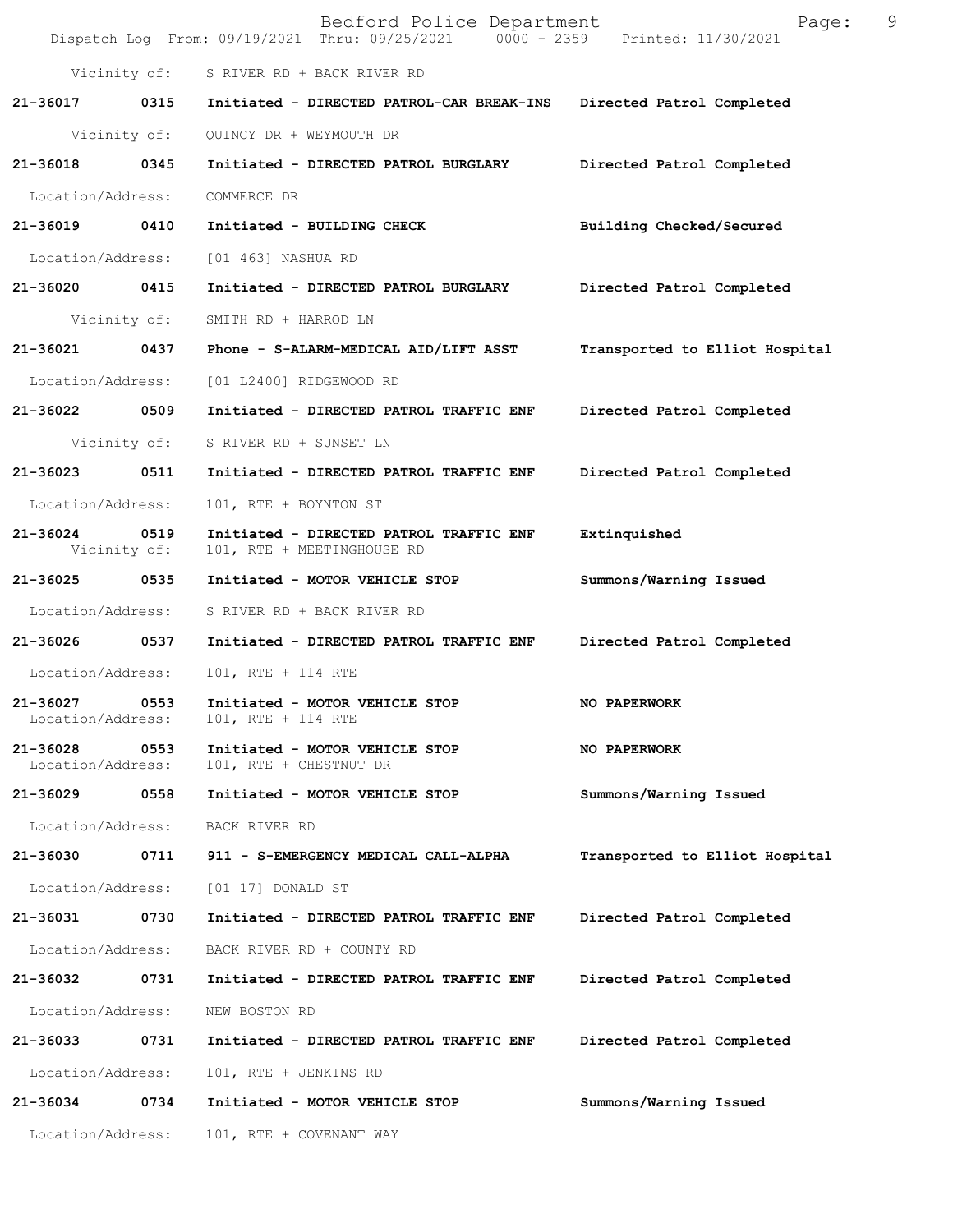|                               |                      | Bedford Police Department<br>Dispatch Log From: 09/19/2021 Thru: 09/25/2021 0000 - 2359 Printed: 11/30/2021 | 9<br>Page:                     |
|-------------------------------|----------------------|-------------------------------------------------------------------------------------------------------------|--------------------------------|
|                               |                      | Vicinity of: S RIVER RD + BACK RIVER RD                                                                     |                                |
|                               |                      | 21-36017 0315 Initiated - DIRECTED PATROL-CAR BREAK-INS Directed Patrol Completed                           |                                |
|                               | Vicinity of:         | QUINCY DR + WEYMOUTH DR                                                                                     |                                |
| 21-36018 0345                 |                      | Initiated - DIRECTED PATROL BURGLARY Directed Patrol Completed                                              |                                |
| Location/Address:             |                      | COMMERCE DR                                                                                                 |                                |
| 21-36019 0410                 |                      | Initiated - BUILDING CHECK                                                                                  | Building Checked/Secured       |
| Location/Address:             |                      | [01 463] NASHUA RD                                                                                          |                                |
| 21-36020 0415                 |                      | Initiated - DIRECTED PATROL BURGLARY                                                                        | Directed Patrol Completed      |
|                               | Vicinity of:         | SMITH RD + HARROD LN                                                                                        |                                |
| 21-36021                      | 0437                 | Phone - S-ALARM-MEDICAL AID/LIFT ASST                                                                       | Transported to Elliot Hospital |
| Location/Address:             |                      | [01 L2400] RIDGEWOOD RD                                                                                     |                                |
| 21-36022 0509                 |                      | Initiated - DIRECTED PATROL TRAFFIC ENF                                                                     | Directed Patrol Completed      |
|                               | Vicinity of:         | S RIVER RD + SUNSET LN                                                                                      |                                |
| 21-36023 0511                 |                      | Initiated - DIRECTED PATROL TRAFFIC ENF                                                                     | Directed Patrol Completed      |
| Location/Address:             |                      | 101, RTE + BOYNTON ST                                                                                       |                                |
| 21-36024                      | 0519<br>Vicinity of: | Initiated - DIRECTED PATROL TRAFFIC ENF<br>101, RTE + MEETINGHOUSE RD                                       | Extinquished                   |
| 21-36025 0535                 |                      | Initiated - MOTOR VEHICLE STOP                                                                              | Summons/Warning Issued         |
| Location/Address:             |                      | S RIVER RD + BACK RIVER RD                                                                                  |                                |
| 21-36026 0537                 |                      | Initiated - DIRECTED PATROL TRAFFIC ENF                                                                     | Directed Patrol Completed      |
| Location/Address:             |                      | 101, RTE + 114 RTE                                                                                          |                                |
| 21-36027<br>Location/Address: | 0553                 | Initiated - MOTOR VEHICLE STOP<br>101, RTE + 114 RTE                                                        | NO PAPERWORK                   |
| 21-36028<br>Location/Address: | 0553                 | Initiated - MOTOR VEHICLE STOP<br>101, RTE + CHESTNUT DR                                                    | <b>NO PAPERWORK</b>            |
| 21-36029                      | 0558                 | Initiated - MOTOR VEHICLE STOP                                                                              | Summons/Warning Issued         |
| Location/Address:             |                      | BACK RIVER RD                                                                                               |                                |
| 21-36030                      | 0711                 | 911 - S-EMERGENCY MEDICAL CALL-ALPHA                                                                        | Transported to Elliot Hospital |
| Location/Address:             |                      | $[01 17]$ DONALD ST                                                                                         |                                |
| 21-36031                      | 0730                 | Initiated - DIRECTED PATROL TRAFFIC ENF                                                                     | Directed Patrol Completed      |
| Location/Address:             |                      | BACK RIVER RD + COUNTY RD                                                                                   |                                |
| 21-36032                      | 0731                 | Initiated - DIRECTED PATROL TRAFFIC ENF                                                                     | Directed Patrol Completed      |
| Location/Address:             |                      | NEW BOSTON RD                                                                                               |                                |
| 21-36033                      | 0731                 | Initiated - DIRECTED PATROL TRAFFIC ENF                                                                     | Directed Patrol Completed      |
| Location/Address:             |                      | 101, RTE + JENKINS RD                                                                                       |                                |
| 21-36034                      | 0734                 | Initiated - MOTOR VEHICLE STOP                                                                              | Summons/Warning Issued         |
| Location/Address:             |                      | 101, RTE + COVENANT WAY                                                                                     |                                |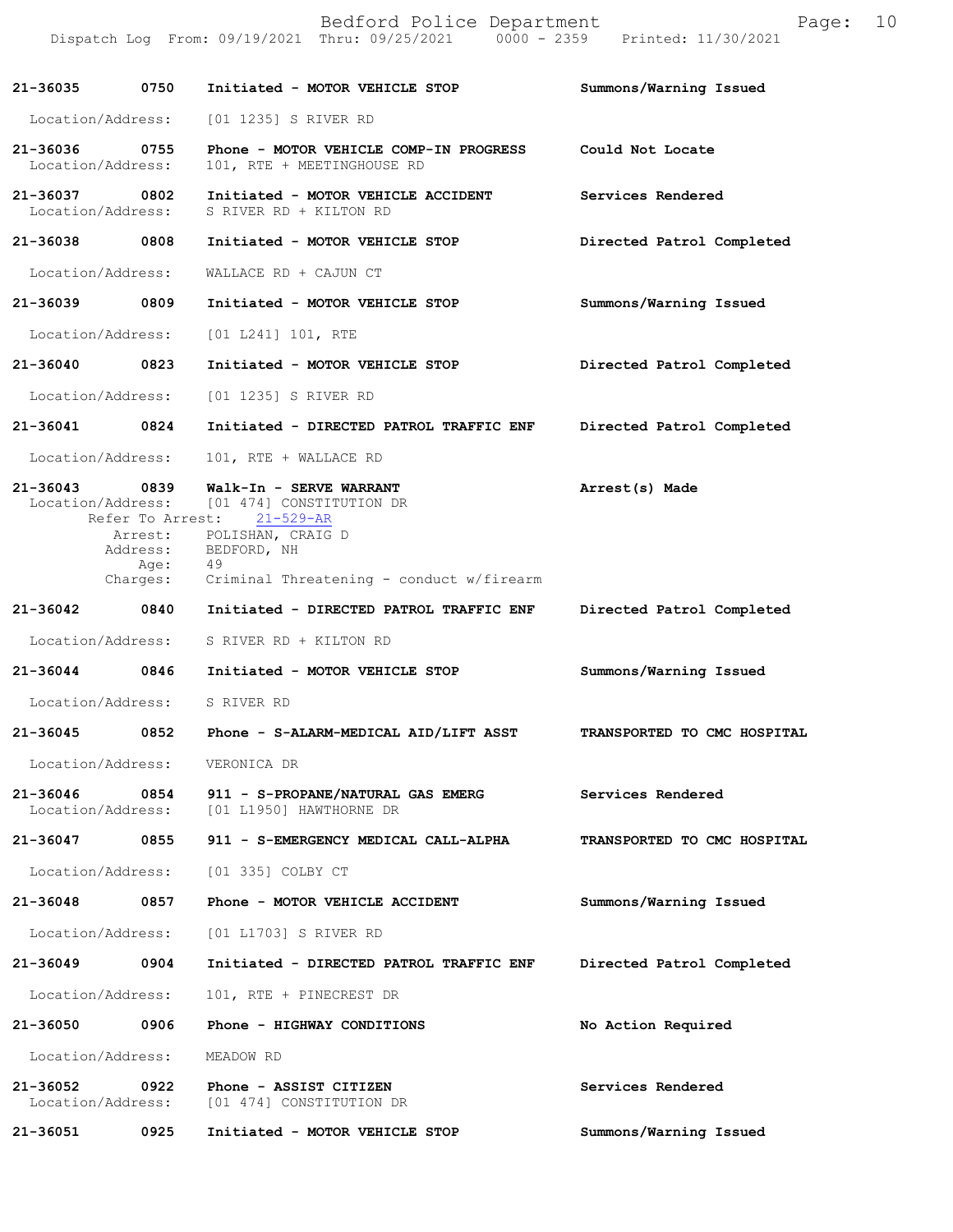|                                    |                  | Bedford Police Department<br>Dispatch Log From: 09/19/2021 Thru: 09/25/2021 0000 - 2359 Printed: 11/30/2021                                                                                                  | Page:                       | 10 |
|------------------------------------|------------------|--------------------------------------------------------------------------------------------------------------------------------------------------------------------------------------------------------------|-----------------------------|----|
| 21-36035 0750                      |                  | Initiated - MOTOR VEHICLE STOP                                                                                                                                                                               | Summons/Warning Issued      |    |
| Location/Address:                  |                  | [01 1235] S RIVER RD                                                                                                                                                                                         |                             |    |
| 21-36036 0755<br>Location/Address: |                  | Phone - MOTOR VEHICLE COMP-IN PROGRESS Could Not Locate<br>101, RTE + MEETINGHOUSE RD                                                                                                                        |                             |    |
| 21-36037 0802<br>Location/Address: |                  | Initiated - MOTOR VEHICLE ACCIDENT<br>S RIVER RD + KILTON RD                                                                                                                                                 | Services Rendered           |    |
| 21-36038 0808                      |                  | Initiated - MOTOR VEHICLE STOP                                                                                                                                                                               | Directed Patrol Completed   |    |
| Location/Address:                  |                  | WALLACE RD + CAJUN CT                                                                                                                                                                                        |                             |    |
| 21-36039 0809                      |                  | Initiated - MOTOR VEHICLE STOP                                                                                                                                                                               | Summons/Warning Issued      |    |
| Location/Address:                  |                  | $[01 L241] 101$ , RTE                                                                                                                                                                                        |                             |    |
| 21-36040                           | 0823             | Initiated - MOTOR VEHICLE STOP                                                                                                                                                                               | Directed Patrol Completed   |    |
| Location/Address:                  |                  | [01 1235] S RIVER RD                                                                                                                                                                                         |                             |    |
| 21-36041 0824                      |                  | Initiated - DIRECTED PATROL TRAFFIC ENF                                                                                                                                                                      | Directed Patrol Completed   |    |
| Location/Address:                  |                  | 101, RTE + WALLACE RD                                                                                                                                                                                        |                             |    |
| 21-36043 0839                      | Address:<br>Age: | Walk-In - SERVE WARRANT<br>Location/Address: [01 474] CONSTITUTION DR<br>Refer To Arrest: 21-529-AR<br>Arrest: POLISHAN, CRAIG D<br>BEDFORD, NH<br>- 49<br>Charges: Criminal Threatening - conduct w/firearm | Arrest(s) Made              |    |
| 21-36042 0840                      |                  | Initiated - DIRECTED PATROL TRAFFIC ENF                                                                                                                                                                      | Directed Patrol Completed   |    |
| Location/Address:                  |                  | S RIVER RD + KILTON RD                                                                                                                                                                                       |                             |    |
| 21-36044 0846                      |                  | Initiated - MOTOR VEHICLE STOP                                                                                                                                                                               | Summons/Warning Issued      |    |
| Location/Address:                  |                  | S RIVER RD                                                                                                                                                                                                   |                             |    |
| 21-36045                           | 0852             | Phone - S-ALARM-MEDICAL AID/LIFT ASST                                                                                                                                                                        | TRANSPORTED TO CMC HOSPITAL |    |
| Location/Address:                  |                  | VERONICA DR                                                                                                                                                                                                  |                             |    |
| 21-36046<br>Location/Address:      | 0854             | 911 - S-PROPANE/NATURAL GAS EMERG<br>[01 L1950] HAWTHORNE DR                                                                                                                                                 | Services Rendered           |    |
| 21-36047                           | 0855             | 911 - S-EMERGENCY MEDICAL CALL-ALPHA                                                                                                                                                                         | TRANSPORTED TO CMC HOSPITAL |    |
| Location/Address:                  |                  | [01 335] COLBY CT                                                                                                                                                                                            |                             |    |
| 21-36048                           | 0857             | Phone - MOTOR VEHICLE ACCIDENT                                                                                                                                                                               | Summons/Warning Issued      |    |
| Location/Address:                  |                  | [01 L1703] S RIVER RD                                                                                                                                                                                        |                             |    |
| 21-36049                           | 0904             | Initiated - DIRECTED PATROL TRAFFIC ENF                                                                                                                                                                      | Directed Patrol Completed   |    |
| Location/Address:                  |                  | 101, RTE + PINECREST DR                                                                                                                                                                                      |                             |    |
| 21-36050                           | 0906             | Phone - HIGHWAY CONDITIONS                                                                                                                                                                                   | No Action Required          |    |
| Location/Address:                  |                  | MEADOW RD                                                                                                                                                                                                    |                             |    |
| 21-36052<br>Location/Address:      | 0922             | Phone - ASSIST CITIZEN<br>[01 474] CONSTITUTION DR                                                                                                                                                           | Services Rendered           |    |
| 21-36051                           | 0925             | Initiated - MOTOR VEHICLE STOP                                                                                                                                                                               | Summons/Warning Issued      |    |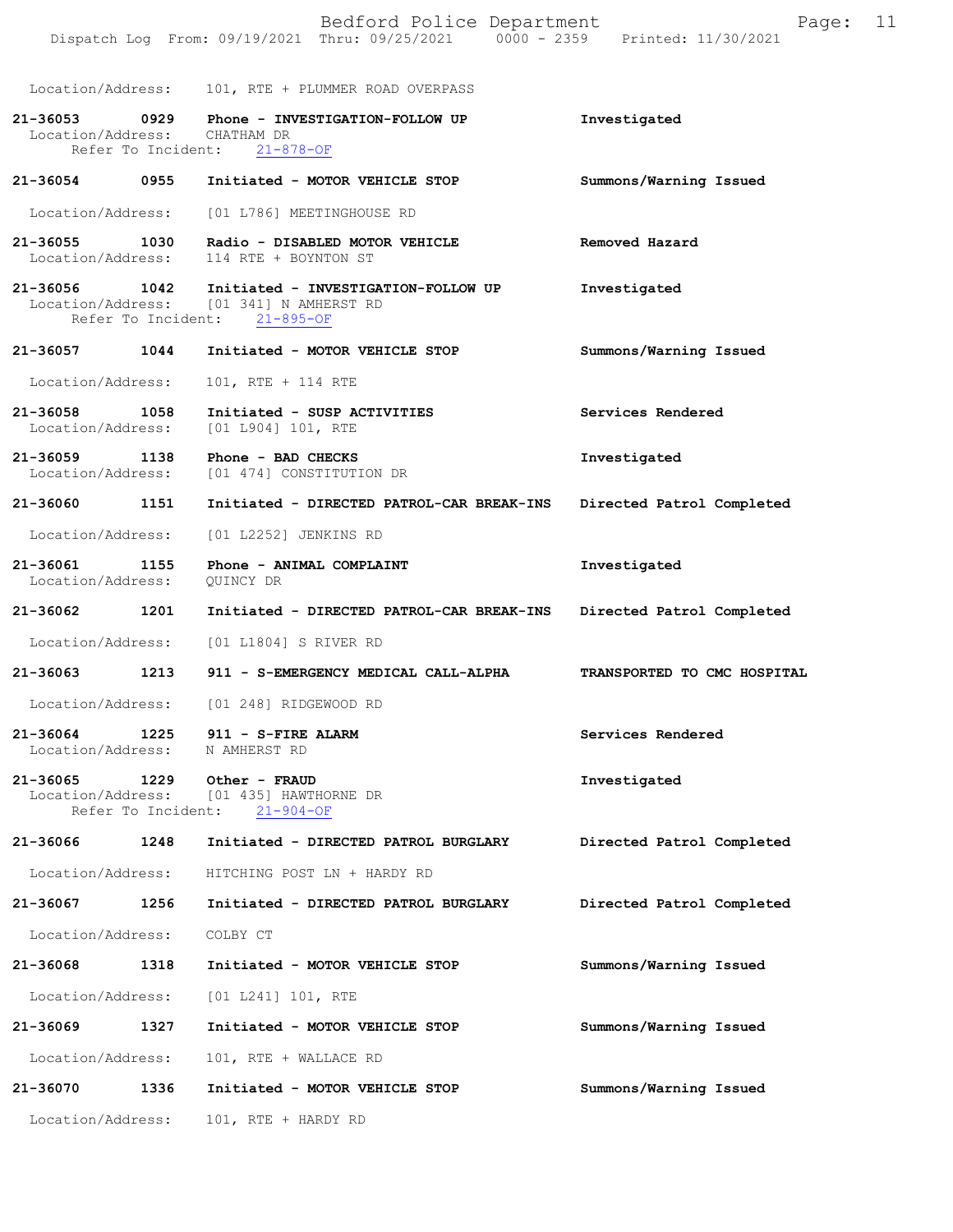|                                    |                    | Bedford Police Department<br>Dispatch Log From: 09/19/2021 Thru: 09/25/2021 0000 - 2359 Printed: 11/30/2021                  | Page:                       | 11 |
|------------------------------------|--------------------|------------------------------------------------------------------------------------------------------------------------------|-----------------------------|----|
|                                    |                    | Location/Address: 101, RTE + PLUMMER ROAD OVERPASS                                                                           |                             |    |
| 21-36053 0929<br>Location/Address: |                    | Phone - INVESTIGATION-FOLLOW UP<br>CHATHAM DR<br>Refer To Incident: 21-878-OF                                                | Investigated                |    |
| 21-36054                           | 0955               | Initiated - MOTOR VEHICLE STOP                                                                                               | Summons/Warning Issued      |    |
| Location/Address:                  |                    | [01 L786] MEETINGHOUSE RD                                                                                                    |                             |    |
| 21-36055 1030<br>Location/Address: |                    | Radio - DISABLED MOTOR VEHICLE<br>114 RTE + BOYNTON ST                                                                       | Removed Hazard              |    |
|                                    |                    | 21-36056 1042 Initiated - INVESTIGATION-FOLLOW UP<br>Location/Address: [01 341] N AMHERST RD<br>Refer To Incident: 21-895-OF | Investigated                |    |
| 21-36057                           | 1044               | Initiated - MOTOR VEHICLE STOP                                                                                               | Summons/Warning Issued      |    |
| Location/Address:                  |                    | 101, RTE + 114 RTE                                                                                                           |                             |    |
| 21-36058 1058<br>Location/Address: |                    | Initiated - SUSP ACTIVITIES<br>$[01 1904] 101$ , RTE                                                                         | Services Rendered           |    |
| 21-36059 1138                      |                    | Phone - BAD CHECKS<br>Location/Address: [01 474] CONSTITUTION DR                                                             | Investigated                |    |
| 21-36060 1151                      |                    | Initiated - DIRECTED PATROL-CAR BREAK-INS                                                                                    | Directed Patrol Completed   |    |
| Location/Address:                  |                    | [01 L2252] JENKINS RD                                                                                                        |                             |    |
| 21-36061<br>Location/Address:      | 1155               | Phone - ANIMAL COMPLAINT<br>QUINCY DR                                                                                        | Investigated                |    |
| 21-36062                           | 1201               | Initiated - DIRECTED PATROL-CAR BREAK-INS                                                                                    | Directed Patrol Completed   |    |
| Location/Address:                  |                    | [01 L1804] S RIVER RD                                                                                                        |                             |    |
| 21-36063 1213                      |                    | 911 - S-EMERGENCY MEDICAL CALL-ALPHA                                                                                         | TRANSPORTED TO CMC HOSPITAL |    |
| Location/Address:                  |                    | [01 248] RIDGEWOOD RD                                                                                                        |                             |    |
| 21-36064<br>Location/Address:      |                    | $1225$ 911 - S-FIRE ALARM<br>N AMHERST RD                                                                                    | Services Rendered           |    |
| 21-36065 1229                      | Refer To Incident: | Other - FRAUD<br>Location/Address: [01 435] HAWTHORNE DR<br>$21 - 904 - OF$                                                  | Investigated                |    |
| 21-36066                           | 1248               | Initiated - DIRECTED PATROL BURGLARY                                                                                         | Directed Patrol Completed   |    |
| Location/Address:                  |                    | HITCHING POST LN + HARDY RD                                                                                                  |                             |    |
| 21-36067                           | 1256               | Initiated - DIRECTED PATROL BURGLARY                                                                                         | Directed Patrol Completed   |    |
| Location/Address:                  |                    | COLBY CT                                                                                                                     |                             |    |
| 21-36068                           | 1318               | Initiated - MOTOR VEHICLE STOP                                                                                               | Summons/Warning Issued      |    |
| Location/Address:                  |                    | [01 L241] 101, RTE                                                                                                           |                             |    |
| 21-36069                           | 1327               | Initiated - MOTOR VEHICLE STOP                                                                                               | Summons/Warning Issued      |    |
| Location/Address:                  |                    | 101, RTE + WALLACE RD                                                                                                        |                             |    |
| 21-36070                           | 1336               | Initiated - MOTOR VEHICLE STOP                                                                                               | Summons/Warning Issued      |    |
| Location/Address:                  |                    | 101, RTE + HARDY RD                                                                                                          |                             |    |
|                                    |                    |                                                                                                                              |                             |    |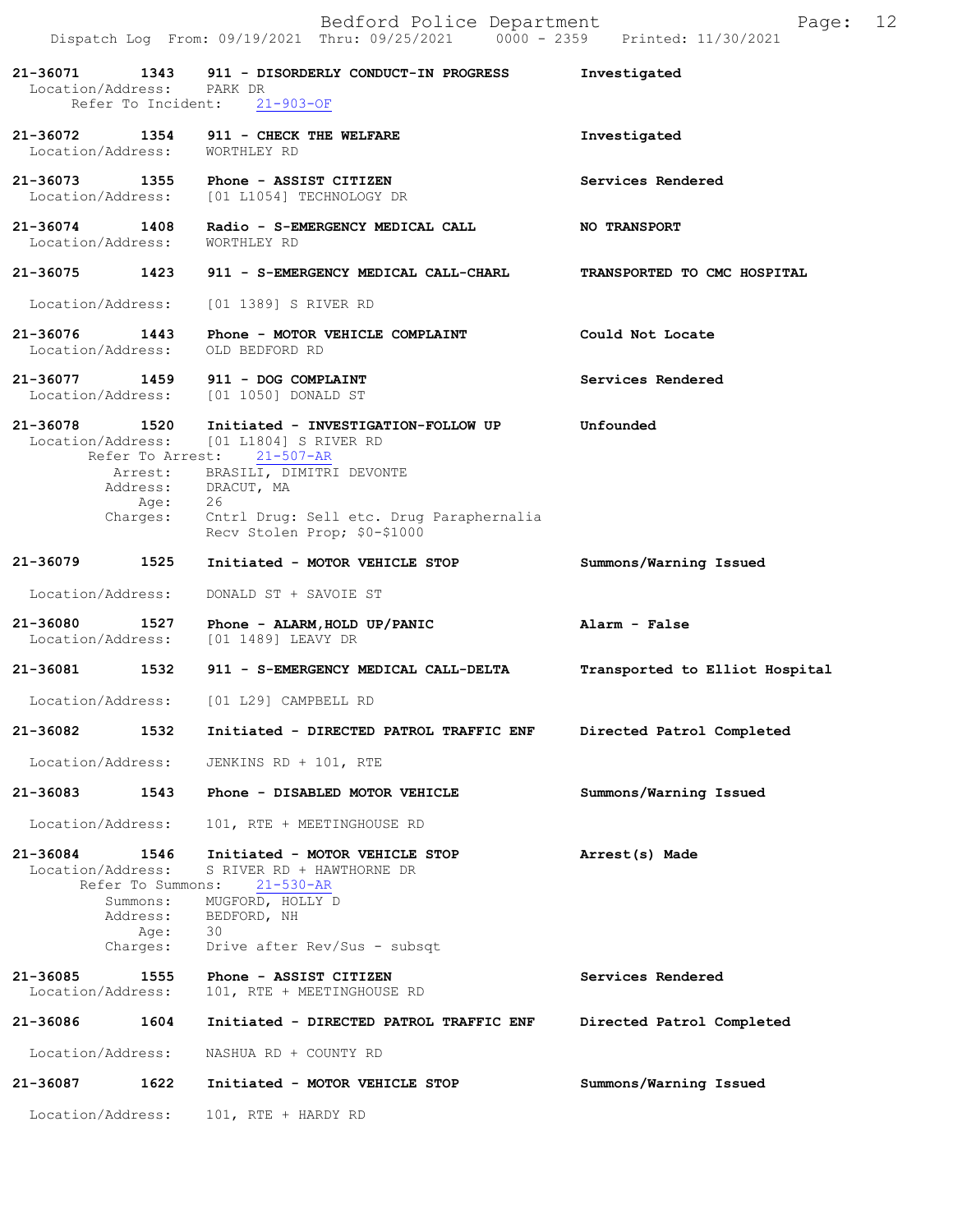|                                    |                                                  | Bedford Police Department<br>Dispatch Log From: 09/19/2021 Thru: 09/25/2021 0000 - 2359 Printed: 11/30/2021                                                                                   | Page:                          | 12 |
|------------------------------------|--------------------------------------------------|-----------------------------------------------------------------------------------------------------------------------------------------------------------------------------------------------|--------------------------------|----|
| Location/Address: PARK DR          |                                                  | 21-36071 1343 911 - DISORDERLY CONDUCT-IN PROGRESS<br>Refer To Incident: 21-903-OF                                                                                                            | Investigated                   |    |
|                                    |                                                  | 21-36072 1354 911 - CHECK THE WELFARE<br>Location/Address: WORTHLEY RD                                                                                                                        | Investigated                   |    |
|                                    |                                                  | 21-36073 1355 Phone - ASSIST CITIZEN<br>Location/Address: [01 L1054] TECHNOLOGY DR                                                                                                            | Services Rendered              |    |
| 21-36074 1408                      |                                                  | Radio - S-EMERGENCY MEDICAL CALL<br>Location/Address: WORTHLEY RD                                                                                                                             | <b>NO TRANSPORT</b>            |    |
|                                    |                                                  | 21-36075 1423 911 - S-EMERGENCY MEDICAL CALL-CHARL                                                                                                                                            | TRANSPORTED TO CMC HOSPITAL    |    |
| Location/Address:                  |                                                  | [01 1389] S RIVER RD                                                                                                                                                                          |                                |    |
| Location/Address:                  |                                                  | 21-36076 1443 Phone - MOTOR VEHICLE COMPLAINT<br>OLD BEDFORD RD                                                                                                                               | Could Not Locate               |    |
|                                    |                                                  | 21-36077 1459 911 - DOG COMPLAINT<br>Location/Address: [01 1050] DONALD ST                                                                                                                    | Services Rendered              |    |
|                                    |                                                  | 21-36078 1520 Initiated - INVESTIGATION-FOLLOW UP<br>Location/Address: [01 L1804] S RIVER RD<br>Refer To Arrest: 21-507-AR<br>Arrest: BRASILI, DIMITRI DEVONTE<br>Address: DRACUT, MA<br>- 26 | Unfounded                      |    |
|                                    | Age:                                             | Charges: Cntrl Drug: Sell etc. Drug Paraphernalia<br>Recv Stolen Prop; \$0-\$1000                                                                                                             |                                |    |
| 21-36079 1525                      |                                                  | Initiated - MOTOR VEHICLE STOP                                                                                                                                                                | Summons/Warning Issued         |    |
| Location/Address:                  |                                                  | DONALD ST + SAVOIE ST                                                                                                                                                                         |                                |    |
| 21-36080 1527<br>Location/Address: |                                                  | Phone - ALARM, HOLD UP/PANIC<br>[01 1489] LEAVY DR                                                                                                                                            | Alarm - False                  |    |
|                                    |                                                  | 21-36081 1532 911 - S-EMERGENCY MEDICAL CALL-DELTA                                                                                                                                            | Transported to Elliot Hospital |    |
| Location/Address:                  |                                                  | [01 L29] CAMPBELL RD                                                                                                                                                                          |                                |    |
| 21-36082                           | 1532                                             | Initiated - DIRECTED PATROL TRAFFIC ENF                                                                                                                                                       | Directed Patrol Completed      |    |
| Location/Address:                  |                                                  | JENKINS RD + 101, RTE                                                                                                                                                                         |                                |    |
| 21-36083                           | 1543                                             | Phone - DISABLED MOTOR VEHICLE                                                                                                                                                                | Summons/Warning Issued         |    |
| Location/Address:                  |                                                  | 101, RTE + MEETINGHOUSE RD                                                                                                                                                                    |                                |    |
| 21-36084<br>Location/Address:      | 1546<br>Summons:<br>Address:<br>Age:<br>Charges: | Initiated - MOTOR VEHICLE STOP<br>S RIVER RD + HAWTHORNE DR<br>Refer To Summons: 21-530-AR<br>MUGFORD, HOLLY D<br>BEDFORD, NH<br>30<br>Drive after Rev/Sus - subsqt                           | Arrest(s) Made                 |    |
| 21-36085<br>Location/Address:      | 1555                                             | Phone - ASSIST CITIZEN<br>101, RTE + MEETINGHOUSE RD                                                                                                                                          | Services Rendered              |    |
| 21-36086                           | 1604                                             | Initiated - DIRECTED PATROL TRAFFIC ENF                                                                                                                                                       | Directed Patrol Completed      |    |
| Location/Address:                  |                                                  | NASHUA RD + COUNTY RD                                                                                                                                                                         |                                |    |
| 21-36087                           | 1622                                             | Initiated - MOTOR VEHICLE STOP                                                                                                                                                                | Summons/Warning Issued         |    |
| Location/Address:                  |                                                  | 101, RTE + HARDY RD                                                                                                                                                                           |                                |    |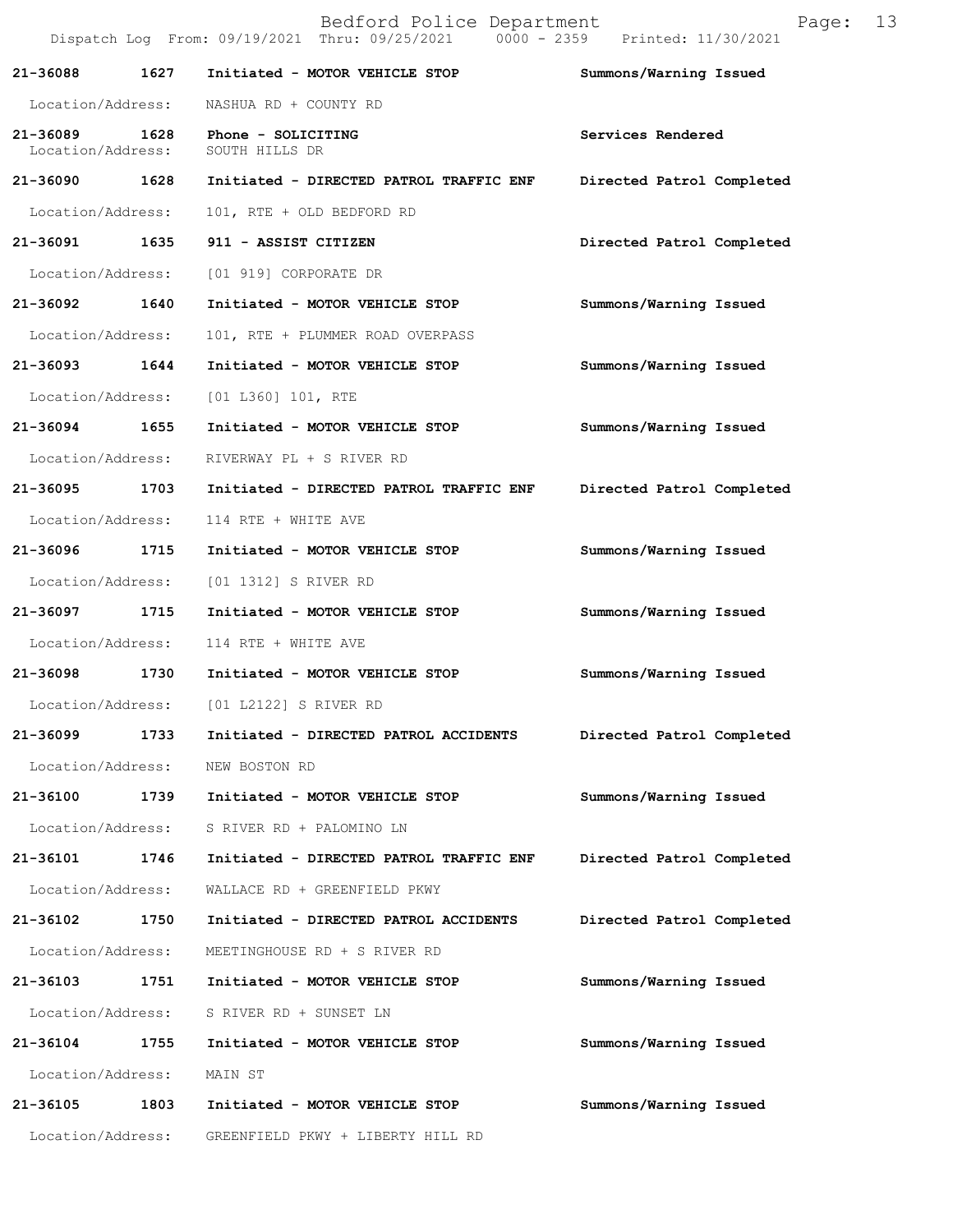|                                    |      | Bedford Police Department<br>Dispatch Log From: 09/19/2021 Thru: 09/25/2021 0000 - 2359 Printed: 11/30/2021 | Page:                     | 13 |
|------------------------------------|------|-------------------------------------------------------------------------------------------------------------|---------------------------|----|
| 21-36088                           | 1627 | Initiated - MOTOR VEHICLE STOP                                                                              | Summons/Warning Issued    |    |
| Location/Address:                  |      | NASHUA RD + COUNTY RD                                                                                       |                           |    |
| 21-36089 1628<br>Location/Address: |      | Phone - SOLICITING<br>SOUTH HILLS DR                                                                        | Services Rendered         |    |
| 21-36090 1628                      |      | Initiated - DIRECTED PATROL TRAFFIC ENF                                                                     | Directed Patrol Completed |    |
| Location/Address:                  |      | 101, RTE + OLD BEDFORD RD                                                                                   |                           |    |
| 21-36091 1635                      |      | 911 - ASSIST CITIZEN                                                                                        | Directed Patrol Completed |    |
| Location/Address:                  |      | [01 919] CORPORATE DR                                                                                       |                           |    |
| 21-36092 1640                      |      | Initiated - MOTOR VEHICLE STOP                                                                              | Summons/Warning Issued    |    |
| Location/Address:                  |      | 101, RTE + PLUMMER ROAD OVERPASS                                                                            |                           |    |
| 21-36093                           | 1644 | Initiated - MOTOR VEHICLE STOP                                                                              | Summons/Warning Issued    |    |
| Location/Address:                  |      | [01 L360] 101, RTE                                                                                          |                           |    |
| 21-36094 1655                      |      | Initiated - MOTOR VEHICLE STOP                                                                              | Summons/Warning Issued    |    |
| Location/Address:                  |      | RIVERWAY PL + S RIVER RD                                                                                    |                           |    |
| 21-36095 1703                      |      | Initiated - DIRECTED PATROL TRAFFIC ENF                                                                     | Directed Patrol Completed |    |
| Location/Address:                  |      | 114 RTE + WHITE AVE                                                                                         |                           |    |
| 21-36096                           | 1715 | Initiated - MOTOR VEHICLE STOP                                                                              | Summons/Warning Issued    |    |
| Location/Address:                  |      | [01 1312] S RIVER RD                                                                                        |                           |    |
| 21-36097                           | 1715 | Initiated - MOTOR VEHICLE STOP                                                                              | Summons/Warning Issued    |    |
| Location/Address:                  |      | 114 RTE + WHITE AVE                                                                                         |                           |    |
| 21-36098 1730                      |      | Initiated - MOTOR VEHICLE STOP                                                                              | Summons/Warning Issued    |    |
|                                    |      | Location/Address: [01 L2122] S RIVER RD                                                                     |                           |    |
| 21-36099 1733                      |      | Initiated - DIRECTED PATROL ACCIDENTS                                                                       | Directed Patrol Completed |    |
| Location/Address:                  |      | NEW BOSTON RD                                                                                               |                           |    |
| 21-36100 1739                      |      | Initiated - MOTOR VEHICLE STOP                                                                              | Summons/Warning Issued    |    |
| Location/Address:                  |      | S RIVER RD + PALOMINO LN                                                                                    |                           |    |
| 21-36101                           | 1746 | Initiated - DIRECTED PATROL TRAFFIC ENF                                                                     | Directed Patrol Completed |    |
| Location/Address:                  |      | WALLACE RD + GREENFIELD PKWY                                                                                |                           |    |
| 21-36102                           | 1750 | Initiated - DIRECTED PATROL ACCIDENTS                                                                       | Directed Patrol Completed |    |
| Location/Address:                  |      | MEETINGHOUSE RD + S RIVER RD                                                                                |                           |    |
| 21-36103 1751                      |      | Initiated - MOTOR VEHICLE STOP                                                                              | Summons/Warning Issued    |    |
| Location/Address:                  |      | S RIVER RD + SUNSET LN                                                                                      |                           |    |
| 21-36104                           | 1755 | Initiated - MOTOR VEHICLE STOP                                                                              | Summons/Warning Issued    |    |
| Location/Address:                  |      | MAIN ST                                                                                                     |                           |    |
| 21-36105                           | 1803 | Initiated - MOTOR VEHICLE STOP                                                                              | Summons/Warning Issued    |    |
| Location/Address:                  |      | GREENFIELD PKWY + LIBERTY HILL RD                                                                           |                           |    |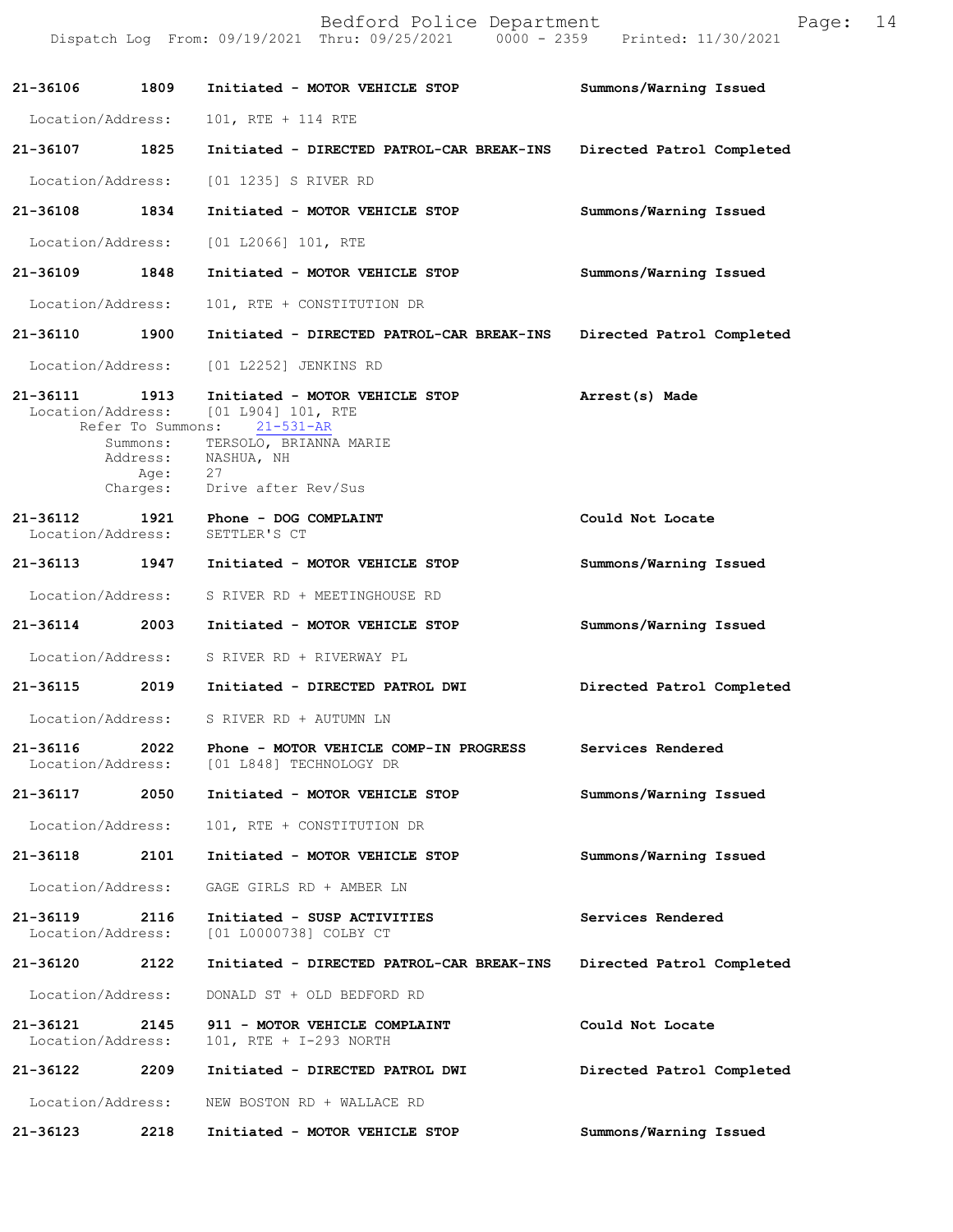|                               |                              | Bedford Police Department<br>Dispatch Log From: 09/19/2021 Thru: 09/25/2021 0000 - 2359 Printed: 11/30/2021                                                                         | Page:                     | 14 |
|-------------------------------|------------------------------|-------------------------------------------------------------------------------------------------------------------------------------------------------------------------------------|---------------------------|----|
| 21-36106 1809                 |                              | Initiated - MOTOR VEHICLE STOP                                                                                                                                                      | Summons/Warning Issued    |    |
| Location/Address:             |                              | 101, RTE + 114 RTE                                                                                                                                                                  |                           |    |
| 21-36107 1825                 |                              | Initiated - DIRECTED PATROL-CAR BREAK-INS                                                                                                                                           | Directed Patrol Completed |    |
| Location/Address:             |                              | [01 1235] S RIVER RD                                                                                                                                                                |                           |    |
| 21-36108 1834                 |                              | Initiated - MOTOR VEHICLE STOP                                                                                                                                                      | Summons/Warning Issued    |    |
| Location/Address:             |                              | [01 L2066] 101, RTE                                                                                                                                                                 |                           |    |
| 21-36109                      | 1848                         | Initiated - MOTOR VEHICLE STOP                                                                                                                                                      | Summons/Warning Issued    |    |
| Location/Address:             |                              | 101, RTE + CONSTITUTION DR                                                                                                                                                          |                           |    |
| 21-36110 1900                 |                              | Initiated - DIRECTED PATROL-CAR BREAK-INS                                                                                                                                           | Directed Patrol Completed |    |
| Location/Address:             |                              | [01 L2252] JENKINS RD                                                                                                                                                               |                           |    |
| 21-36111 1913                 | Address:<br>Age:<br>Charges: | Initiated - MOTOR VEHICLE STOP<br>Location/Address: [01 L904] 101, RTE<br>Refer To Summons: 21-531-AR<br>Summons: TERSOLO, BRIANNA MARIE<br>NASHUA, NH<br>27<br>Drive after Rev/Sus | Arrest(s) Made            |    |
|                               |                              | 21-36112 1921 Phone - DOG COMPLAINT<br>Location/Address: SETTLER'S CT                                                                                                               | Could Not Locate          |    |
| 21-36113 1947                 |                              | Initiated - MOTOR VEHICLE STOP                                                                                                                                                      | Summons/Warning Issued    |    |
| Location/Address:             |                              | S RIVER RD + MEETINGHOUSE RD                                                                                                                                                        |                           |    |
| 21-36114                      | 2003                         | Initiated - MOTOR VEHICLE STOP                                                                                                                                                      | Summons/Warning Issued    |    |
|                               |                              | Location/Address: S RIVER RD + RIVERWAY PL                                                                                                                                          |                           |    |
| 21-36115                      | 2019                         | Initiated - DIRECTED PATROL DWI                                                                                                                                                     | Directed Patrol Completed |    |
| Location/Address:             |                              | S RIVER RD + AUTUMN LN                                                                                                                                                              |                           |    |
| 21-36116<br>Location/Address: | 2022                         | Phone - MOTOR VEHICLE COMP-IN PROGRESS<br>[01 L848] TECHNOLOGY DR                                                                                                                   | Services Rendered         |    |
| 21-36117                      | 2050                         | Initiated - MOTOR VEHICLE STOP                                                                                                                                                      | Summons/Warning Issued    |    |
| Location/Address:             |                              | 101, RTE + CONSTITUTION DR                                                                                                                                                          |                           |    |
| 21-36118                      | 2101                         | Initiated - MOTOR VEHICLE STOP                                                                                                                                                      | Summons/Warning Issued    |    |
| Location/Address:             |                              | GAGE GIRLS RD + AMBER LN                                                                                                                                                            |                           |    |
| 21-36119<br>Location/Address: | 2116                         | Initiated - SUSP ACTIVITIES<br>[01 L0000738] COLBY CT                                                                                                                               | Services Rendered         |    |
| 21-36120                      | 2122                         | Initiated - DIRECTED PATROL-CAR BREAK-INS                                                                                                                                           | Directed Patrol Completed |    |
| Location/Address:             |                              | DONALD ST + OLD BEDFORD RD                                                                                                                                                          |                           |    |
| 21-36121<br>Location/Address: | 2145                         | 911 - MOTOR VEHICLE COMPLAINT<br>101, RTE + I-293 NORTH                                                                                                                             | Could Not Locate          |    |
| 21-36122                      | 2209                         | Initiated - DIRECTED PATROL DWI                                                                                                                                                     | Directed Patrol Completed |    |
| Location/Address:             |                              | NEW BOSTON RD + WALLACE RD                                                                                                                                                          |                           |    |
| 21-36123                      | 2218                         | Initiated - MOTOR VEHICLE STOP                                                                                                                                                      | Summons/Warning Issued    |    |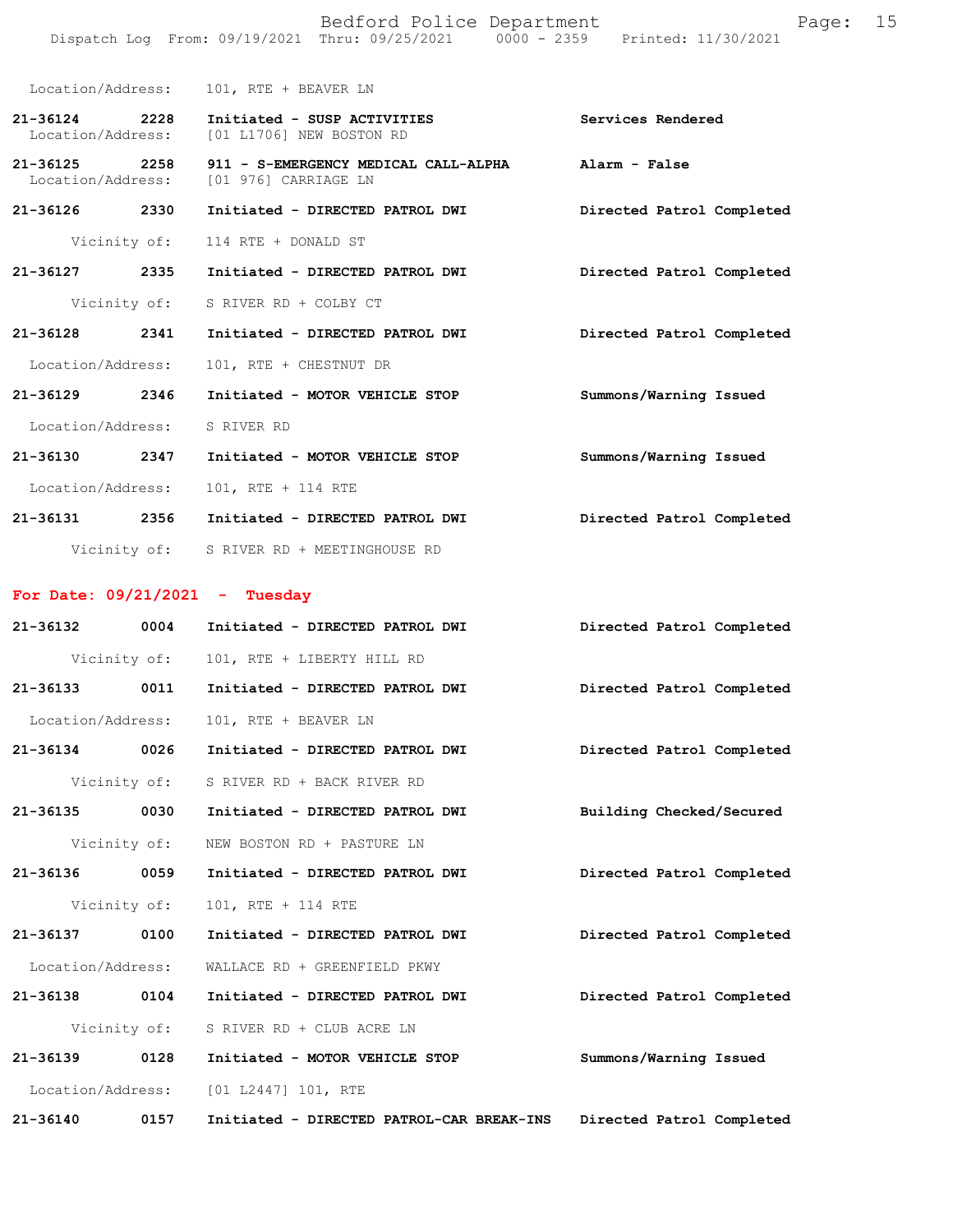|                               |      | Bedford Police Department<br>Dispatch Log From: 09/19/2021 Thru: 09/25/2021 0000 - 2359 Printed: 11/30/2021 | 15<br>Page:               |
|-------------------------------|------|-------------------------------------------------------------------------------------------------------------|---------------------------|
|                               |      | Location/Address: 101, RTE + BEAVER LN                                                                      |                           |
| 21-36124 2228                 |      | Initiated - SUSP ACTIVITIES<br>Location/Address: [01 L1706] NEW BOSTON RD                                   | Services Rendered         |
| 21-36125<br>Location/Address: | 2258 | 911 - S-EMERGENCY MEDICAL CALL-ALPHA Alarm - False<br>[01 976] CARRIAGE LN                                  |                           |
| 21-36126 2330                 |      | Initiated - DIRECTED PATROL DWI                                                                             | Directed Patrol Completed |
|                               |      | Vicinity of: 114 RTE + DONALD ST                                                                            |                           |
| 21-36127 2335                 |      | Initiated - DIRECTED PATROL DWI                                                                             | Directed Patrol Completed |
|                               |      | Vicinity of: S RIVER RD + COLBY CT                                                                          |                           |
| 21-36128                      | 2341 | Initiated - DIRECTED PATROL DWI                                                                             | Directed Patrol Completed |
| Location/Address:             |      | 101, RTE + CHESTNUT DR                                                                                      |                           |
| 21-36129                      | 2346 | Initiated - MOTOR VEHICLE STOP                                                                              | Summons/Warning Issued    |
| Location/Address: S RIVER RD  |      |                                                                                                             |                           |

**21-36130 2347 Initiated - MOTOR VEHICLE STOP Summons/Warning Issued**  Location/Address: 101, RTE + 114 RTE **21-36131 2356 Initiated - DIRECTED PATROL DWI Directed Patrol Completed**  Vicinity of: S RIVER RD + MEETINGHOUSE RD

## **For Date: 09/21/2021 - Tuesday**

| $21 - 36132$      | 0004         | Initiated - DIRECTED PATROL DWI           | Directed Patrol Completed |
|-------------------|--------------|-------------------------------------------|---------------------------|
|                   | Vicinity of: | 101, RTE + LIBERTY HILL RD                |                           |
| 21-36133 0011     |              | Initiated - DIRECTED PATROL DWI           | Directed Patrol Completed |
| Location/Address: |              | 101, RTE + BEAVER LN                      |                           |
| 21-36134 0026     |              | Initiated - DIRECTED PATROL DWI           | Directed Patrol Completed |
|                   | Vicinity of: | S RIVER RD + BACK RIVER RD                |                           |
| $21 - 36135$      | 0030         | Initiated - DIRECTED PATROL DWI           | Building Checked/Secured  |
|                   | Vicinity of: | NEW BOSTON RD + PASTURE LN                |                           |
| 21-36136 0059     |              | Initiated - DIRECTED PATROL DWI           | Directed Patrol Completed |
|                   | Vicinity of: | 101, RTE + 114 RTE                        |                           |
| 21-36137 0100     |              | Initiated - DIRECTED PATROL DWI           | Directed Patrol Completed |
| Location/Address: |              | WALLACE RD + GREENFIELD PKWY              |                           |
| 21-36138 0104     |              | Initiated - DIRECTED PATROL DWI           | Directed Patrol Completed |
|                   | Vicinity of: | S RIVER RD + CLUB ACRE LN                 |                           |
| 21-36139 0128     |              | Initiated - MOTOR VEHICLE STOP            | Summons/Warning Issued    |
|                   |              | Location/Address: [01 L2447] 101, RTE     |                           |
| $21 - 36140$      | 0157         | Initiated - DIRECTED PATROL-CAR BREAK-INS | Directed Patrol Completed |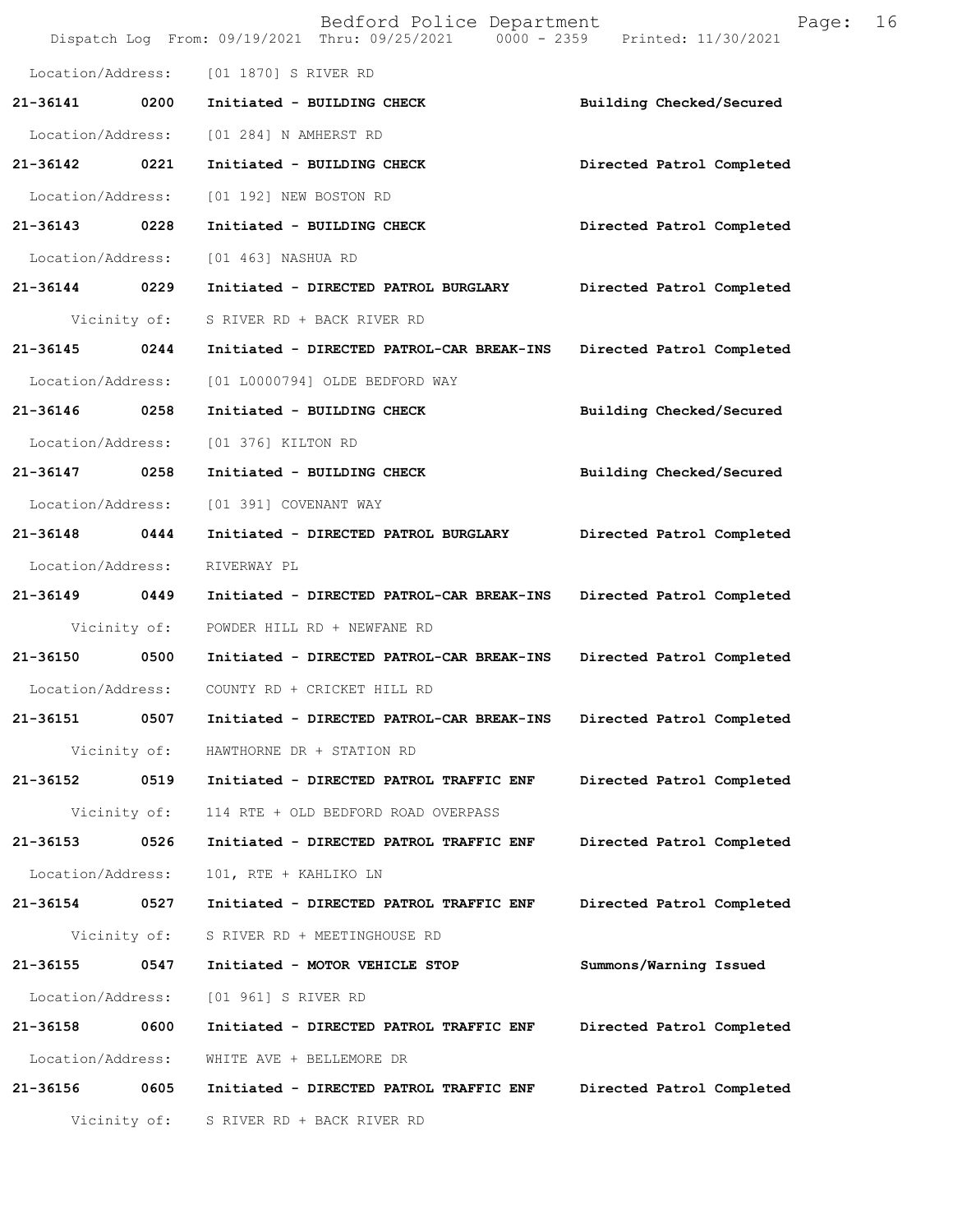|                   |      | Bedford Police Department<br>Dispatch Log From: 09/19/2021 Thru: 09/25/2021 0000 - 2359 Printed: 11/30/2021 | 16<br>Page:               |
|-------------------|------|-------------------------------------------------------------------------------------------------------------|---------------------------|
| Location/Address: |      | [01 1870] S RIVER RD                                                                                        |                           |
| 21-36141          | 0200 | Initiated - BUILDING CHECK                                                                                  | Building Checked/Secured  |
| Location/Address: |      | [01 284] N AMHERST RD                                                                                       |                           |
| 21-36142          | 0221 | Initiated - BUILDING CHECK                                                                                  | Directed Patrol Completed |
| Location/Address: |      | [01 192] NEW BOSTON RD                                                                                      |                           |
| 21-36143 0228     |      | Initiated - BUILDING CHECK                                                                                  | Directed Patrol Completed |
| Location/Address: |      | [01 463] NASHUA RD                                                                                          |                           |
| 21-36144          | 0229 | Initiated - DIRECTED PATROL BURGLARY                                                                        | Directed Patrol Completed |
| Vicinity of:      |      | S RIVER RD + BACK RIVER RD                                                                                  |                           |
| 21-36145          | 0244 | Initiated - DIRECTED PATROL-CAR BREAK-INS                                                                   | Directed Patrol Completed |
| Location/Address: |      | [01 L0000794] OLDE BEDFORD WAY                                                                              |                           |
| 21-36146 0258     |      | Initiated - BUILDING CHECK                                                                                  | Building Checked/Secured  |
| Location/Address: |      | [01 376] KILTON RD                                                                                          |                           |
| 21-36147          | 0258 | Initiated - BUILDING CHECK                                                                                  | Building Checked/Secured  |
| Location/Address: |      | [01 391] COVENANT WAY                                                                                       |                           |
| 21-36148          | 0444 | Initiated - DIRECTED PATROL BURGLARY                                                                        | Directed Patrol Completed |
| Location/Address: |      | RIVERWAY PL                                                                                                 |                           |
| 21-36149 0449     |      | Initiated - DIRECTED PATROL-CAR BREAK-INS                                                                   | Directed Patrol Completed |
| Vicinity of:      |      | POWDER HILL RD + NEWFANE RD                                                                                 |                           |
| 21-36150 0500     |      | Initiated - DIRECTED PATROL-CAR BREAK-INS                                                                   | Directed Patrol Completed |
| Location/Address: |      | COUNTY RD + CRICKET HILL RD                                                                                 |                           |
| 21-36151          | 0507 | Initiated - DIRECTED PATROL-CAR BREAK-INS                                                                   | Directed Patrol Completed |
| Vicinity of:      |      | HAWTHORNE DR + STATION RD                                                                                   |                           |
| 21-36152          | 0519 | Initiated - DIRECTED PATROL TRAFFIC ENF                                                                     | Directed Patrol Completed |
| Vicinity of:      |      | 114 RTE + OLD BEDFORD ROAD OVERPASS                                                                         |                           |
| 21-36153          | 0526 | Initiated - DIRECTED PATROL TRAFFIC ENF                                                                     | Directed Patrol Completed |
| Location/Address: |      | 101, RTE + KAHLIKO LN                                                                                       |                           |
| 21-36154          | 0527 | Initiated - DIRECTED PATROL TRAFFIC ENF                                                                     | Directed Patrol Completed |
| Vicinity of:      |      | S RIVER RD + MEETINGHOUSE RD                                                                                |                           |
| 21-36155          | 0547 | Initiated - MOTOR VEHICLE STOP                                                                              | Summons/Warning Issued    |
| Location/Address: |      | [01 961] S RIVER RD                                                                                         |                           |
| 21-36158          | 0600 | Initiated - DIRECTED PATROL TRAFFIC ENF                                                                     | Directed Patrol Completed |
| Location/Address: |      | WHITE AVE + BELLEMORE DR                                                                                    |                           |
| 21-36156          | 0605 | Initiated - DIRECTED PATROL TRAFFIC ENF                                                                     | Directed Patrol Completed |
| Vicinity of:      |      | S RIVER RD + BACK RIVER RD                                                                                  |                           |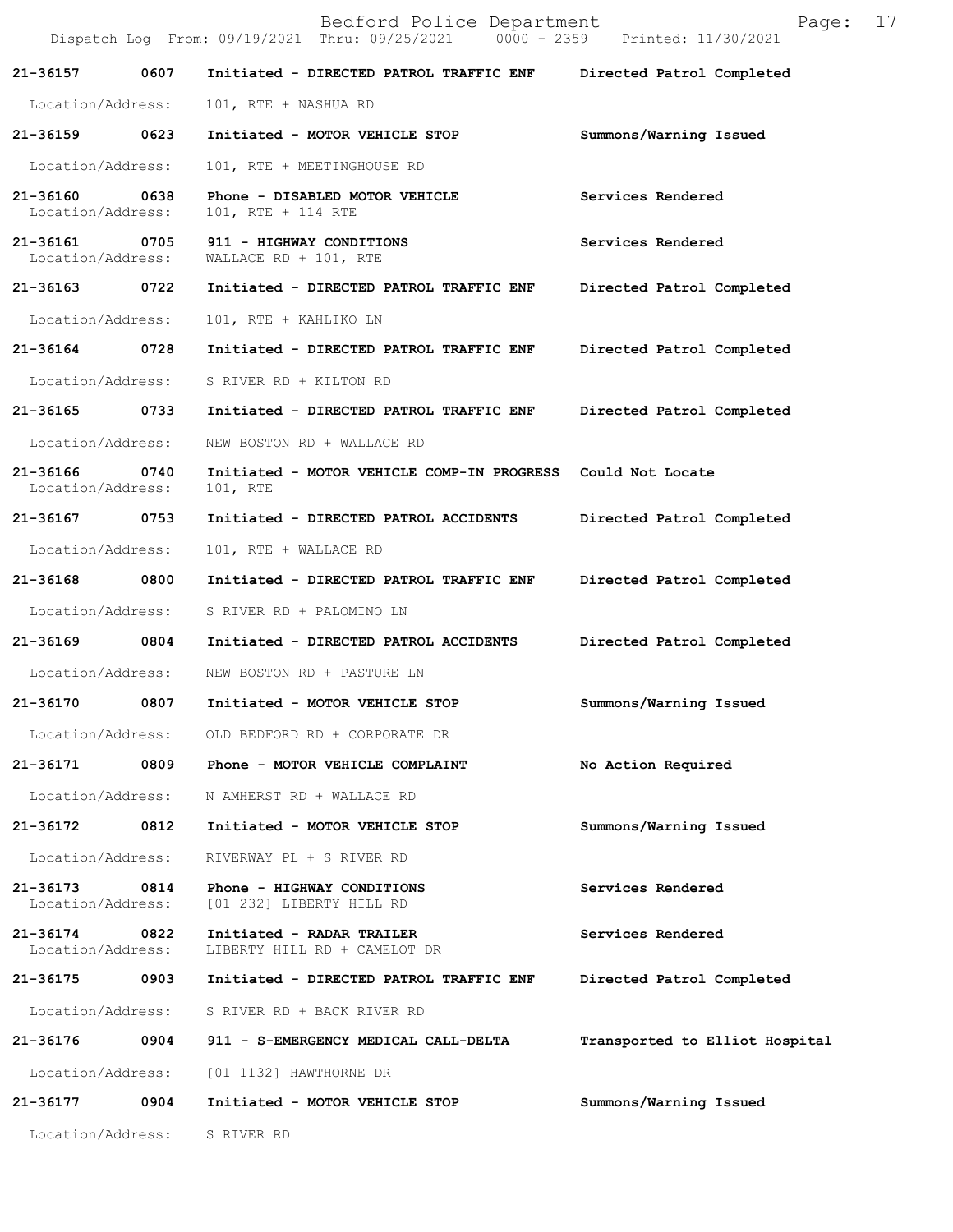|                                    |      | Bedford Police Department<br>Dispatch Log From: 09/19/2021 Thru: 09/25/2021 0000 - 2359 Printed: 11/30/2021 | 17<br>Page:                    |
|------------------------------------|------|-------------------------------------------------------------------------------------------------------------|--------------------------------|
| 21-36157                           | 0607 | Initiated - DIRECTED PATROL TRAFFIC ENF                                                                     | Directed Patrol Completed      |
| Location/Address:                  |      | 101, RTE + NASHUA RD                                                                                        |                                |
| 21-36159 0623                      |      | Initiated - MOTOR VEHICLE STOP                                                                              | Summons/Warning Issued         |
| Location/Address:                  |      | 101, RTE + MEETINGHOUSE RD                                                                                  |                                |
| 21-36160<br>Location/Address:      | 0638 | Phone - DISABLED MOTOR VEHICLE<br>101, RTE + 114 RTE                                                        | Services Rendered              |
| 21-36161 0705<br>Location/Address: |      | 911 - HIGHWAY CONDITIONS<br>WALLACE RD + 101, RTE                                                           | Services Rendered              |
| 21-36163 0722                      |      | Initiated - DIRECTED PATROL TRAFFIC ENF                                                                     | Directed Patrol Completed      |
| Location/Address:                  |      | 101, RTE + KAHLIKO LN                                                                                       |                                |
| 21-36164                           | 0728 | Initiated - DIRECTED PATROL TRAFFIC ENF                                                                     | Directed Patrol Completed      |
| Location/Address:                  |      | S RIVER RD + KILTON RD                                                                                      |                                |
| 21-36165                           | 0733 | Initiated - DIRECTED PATROL TRAFFIC ENF                                                                     | Directed Patrol Completed      |
| Location/Address:                  |      | NEW BOSTON RD + WALLACE RD                                                                                  |                                |
| 21-36166<br>Location/Address:      | 0740 | Initiated - MOTOR VEHICLE COMP-IN PROGRESS Could Not Locate<br>101, RTE                                     |                                |
| 21-36167                           | 0753 | Initiated - DIRECTED PATROL ACCIDENTS                                                                       | Directed Patrol Completed      |
| Location/Address:                  |      | 101, RTE + WALLACE RD                                                                                       |                                |
| 21-36168 0800                      |      | Initiated - DIRECTED PATROL TRAFFIC ENF                                                                     | Directed Patrol Completed      |
| Location/Address:                  |      | S RIVER RD + PALOMINO LN                                                                                    |                                |
| 21-36169 0804                      |      | Initiated - DIRECTED PATROL ACCIDENTS                                                                       | Directed Patrol Completed      |
| Location/Address:                  |      | NEW BOSTON RD + PASTURE LN                                                                                  |                                |
| 21-36170                           | 0807 | Initiated - MOTOR VEHICLE STOP                                                                              | Summons/Warning Issued         |
|                                    |      | Location/Address: OLD BEDFORD RD + CORPORATE DR                                                             |                                |
| 21-36171                           |      | 0809 Phone - MOTOR VEHICLE COMPLAINT                                                                        | No Action Required             |
| Location/Address:                  |      | N AMHERST RD + WALLACE RD                                                                                   |                                |
| 21-36172                           | 0812 | Initiated - MOTOR VEHICLE STOP                                                                              | Summons/Warning Issued         |
| Location/Address:                  |      | RIVERWAY PL + S RIVER RD                                                                                    |                                |
| 21-36173 0814<br>Location/Address: |      | Phone - HIGHWAY CONDITIONS<br>[01 232] LIBERTY HILL RD                                                      | Services Rendered              |
| 21-36174<br>Location/Address:      | 0822 | Initiated - RADAR TRAILER<br>LIBERTY HILL RD + CAMELOT DR                                                   | Services Rendered              |
| 21-36175                           | 0903 | Initiated - DIRECTED PATROL TRAFFIC ENF                                                                     | Directed Patrol Completed      |
| Location/Address:                  |      | S RIVER RD + BACK RIVER RD                                                                                  |                                |
| 21-36176 0904                      |      | 911 - S-EMERGENCY MEDICAL CALL-DELTA                                                                        | Transported to Elliot Hospital |
| Location/Address:                  |      | [01 1132] HAWTHORNE DR                                                                                      |                                |
| 21-36177                           | 0904 | Initiated - MOTOR VEHICLE STOP                                                                              | Summons/Warning Issued         |
| Location/Address:                  |      | S RIVER RD                                                                                                  |                                |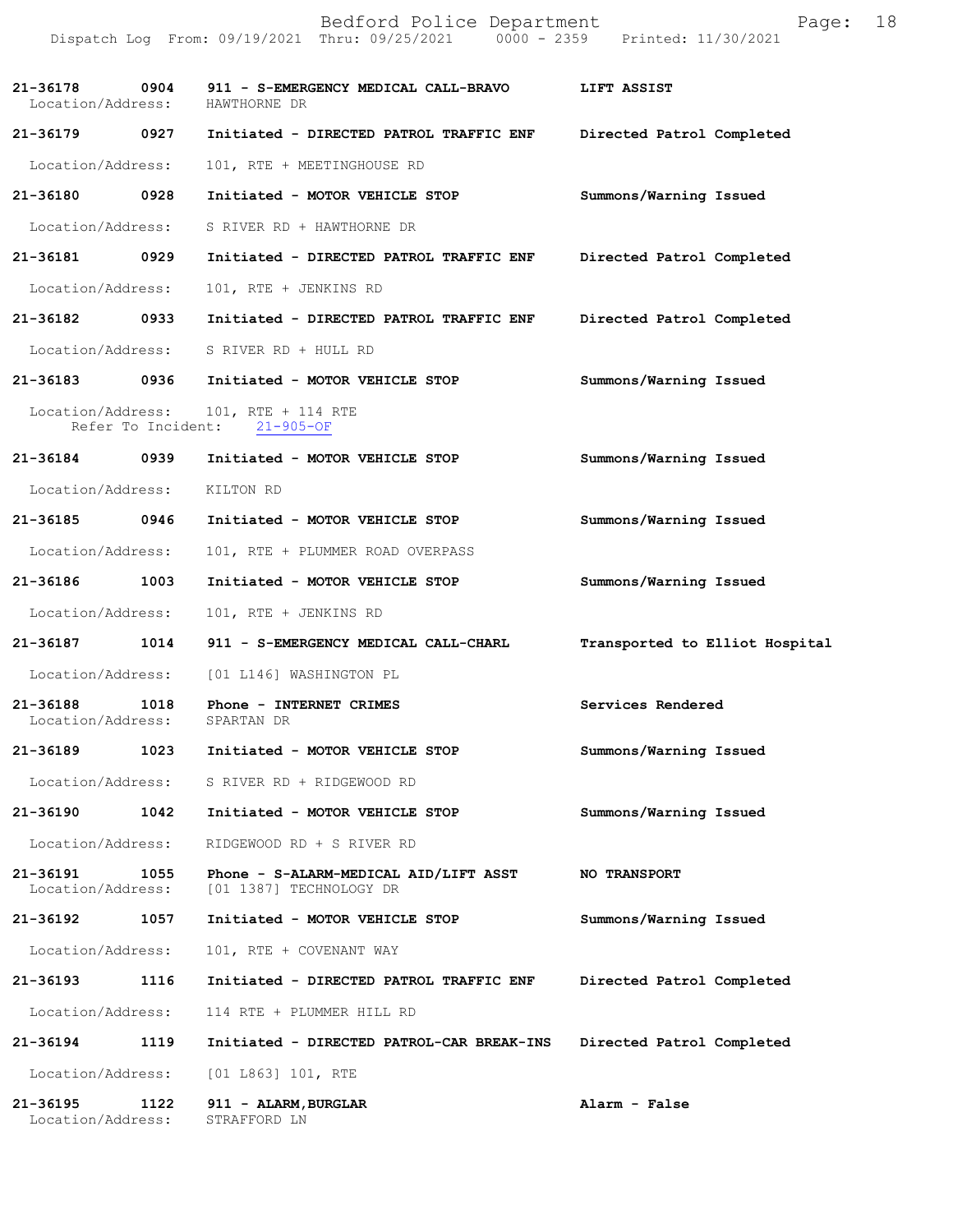|                               |      | Bedford Police Department<br>Dispatch Log From: 09/19/2021 Thru: 09/25/2021 0000 - 2359 Printed: 11/30/2021 | Page:                          | 18 |
|-------------------------------|------|-------------------------------------------------------------------------------------------------------------|--------------------------------|----|
|                               |      | 21-36178  0904  911 - S-EMERGENCY MEDICAL CALL-BRAVO<br>Location/Address: HAWTHORNE DR                      | LIFT ASSIST                    |    |
| 21-36179 0927                 |      | Initiated - DIRECTED PATROL TRAFFIC ENF                                                                     | Directed Patrol Completed      |    |
| Location/Address:             |      | 101, RTE + MEETINGHOUSE RD                                                                                  |                                |    |
| 21-36180                      | 0928 | Initiated - MOTOR VEHICLE STOP                                                                              | Summons/Warning Issued         |    |
| Location/Address:             |      | S RIVER RD + HAWTHORNE DR                                                                                   |                                |    |
| 21-36181                      | 0929 | Initiated - DIRECTED PATROL TRAFFIC ENF                                                                     | Directed Patrol Completed      |    |
| Location/Address:             |      | 101, RTE + JENKINS RD                                                                                       |                                |    |
| 21-36182 0933                 |      | Initiated - DIRECTED PATROL TRAFFIC ENF                                                                     | Directed Patrol Completed      |    |
| Location/Address:             |      | S RIVER RD + HULL RD                                                                                        |                                |    |
| 21-36183 0936                 |      | Initiated - MOTOR VEHICLE STOP                                                                              | Summons/Warning Issued         |    |
| Location/Address:             |      | 101, RTE + 114 RTE<br>Refer To Incident: 21-905-OF                                                          |                                |    |
| 21-36184                      | 0939 | Initiated - MOTOR VEHICLE STOP                                                                              | Summons/Warning Issued         |    |
| Location/Address:             |      | KILTON RD                                                                                                   |                                |    |
| 21-36185                      | 0946 | Initiated - MOTOR VEHICLE STOP                                                                              | Summons/Warning Issued         |    |
| Location/Address:             |      | 101, RTE + PLUMMER ROAD OVERPASS                                                                            |                                |    |
| 21-36186                      | 1003 | Initiated - MOTOR VEHICLE STOP                                                                              | Summons/Warning Issued         |    |
| Location/Address:             |      | 101, RTE + JENKINS RD                                                                                       |                                |    |
| 21-36187                      | 1014 | 911 - S-EMERGENCY MEDICAL CALL-CHARL                                                                        | Transported to Elliot Hospital |    |
| Location/Address:             |      | [01 L146] WASHINGTON PL                                                                                     |                                |    |
| 21-36188<br>Location/Address: | 1018 | Phone - INTERNET CRIMES<br>SPARTAN DR                                                                       | Services Rendered              |    |
| 21-36189                      | 1023 | Initiated - MOTOR VEHICLE STOP                                                                              | Summons/Warning Issued         |    |
| Location/Address:             |      | S RIVER RD + RIDGEWOOD RD                                                                                   |                                |    |
| 21-36190                      | 1042 | Initiated - MOTOR VEHICLE STOP                                                                              | Summons/Warning Issued         |    |
| Location/Address:             |      | RIDGEWOOD RD + S RIVER RD                                                                                   |                                |    |
| 21-36191<br>Location/Address: | 1055 | Phone - S-ALARM-MEDICAL AID/LIFT ASST<br>[01 1387] TECHNOLOGY DR                                            | <b>NO TRANSPORT</b>            |    |
| 21-36192                      | 1057 | Initiated - MOTOR VEHICLE STOP                                                                              | Summons/Warning Issued         |    |
| Location/Address:             |      | 101, RTE + COVENANT WAY                                                                                     |                                |    |
| 21-36193                      | 1116 | Initiated - DIRECTED PATROL TRAFFIC ENF                                                                     | Directed Patrol Completed      |    |
| Location/Address:             |      | 114 RTE + PLUMMER HILL RD                                                                                   |                                |    |
| 21-36194                      | 1119 | Initiated - DIRECTED PATROL-CAR BREAK-INS                                                                   | Directed Patrol Completed      |    |
| Location/Address:             |      | [01 L863] 101, RTE                                                                                          |                                |    |
| 21-36195<br>Location/Address: | 1122 | 911 - ALARM, BURGLAR<br>STRAFFORD LN                                                                        | Alarm - False                  |    |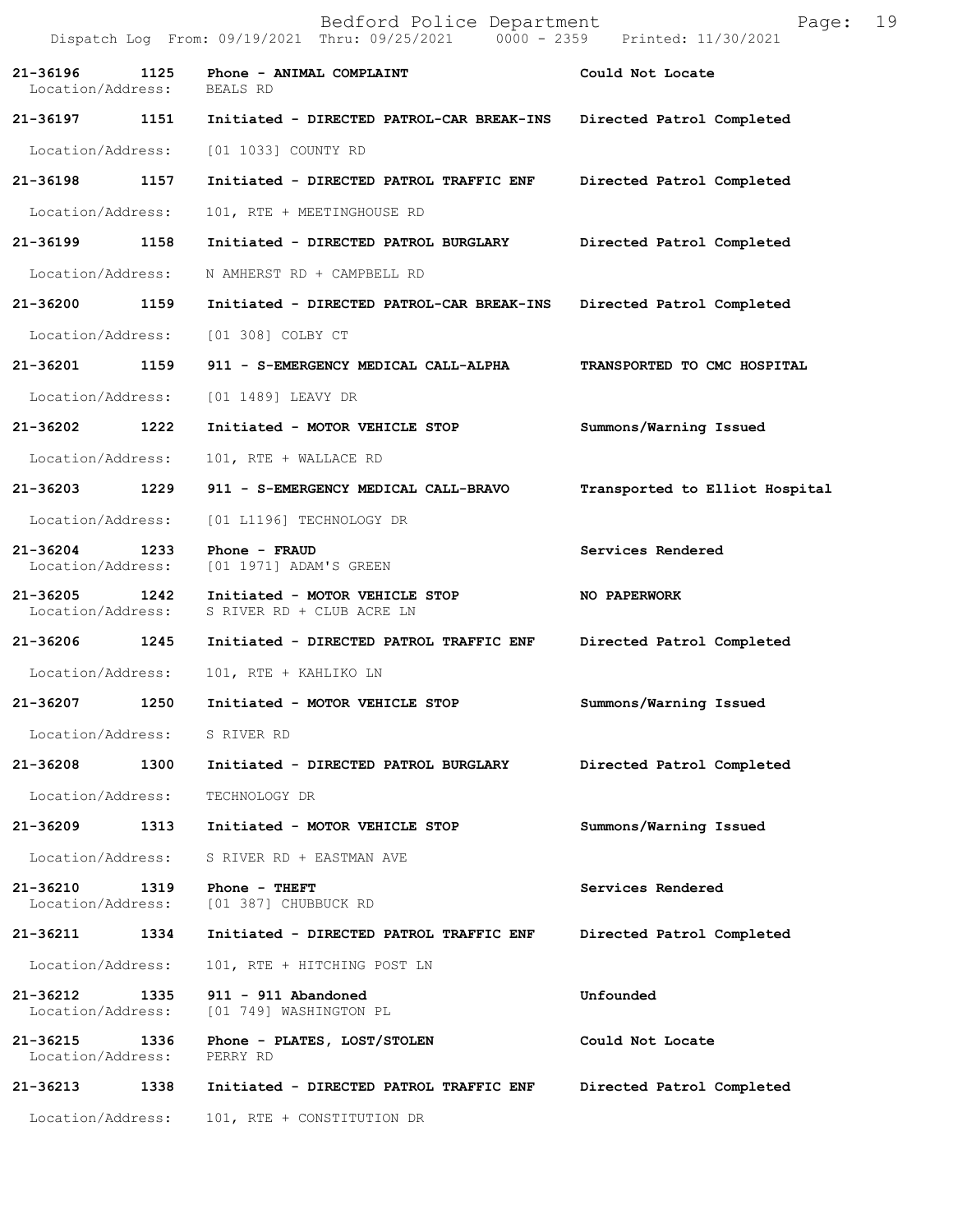Bedford Police Department Fage: 19 Dispatch Log From: 09/19/2021 Thru: 09/25/2021 0000 - 2359 Printed: 11/30/2021 **21-36196 1125 Phone - ANIMAL COMPLAINT Could Not Locate**  Location/Address: BEALS RD **21-36197 1151 Initiated - DIRECTED PATROL-CAR BREAK-INS Directed Patrol Completed**  Location/Address: [01 1033] COUNTY RD **21-36198 1157 Initiated - DIRECTED PATROL TRAFFIC ENF Directed Patrol Completed**  Location/Address: 101, RTE + MEETINGHOUSE RD **21-36199 1158 Initiated - DIRECTED PATROL BURGLARY Directed Patrol Completed**  Location/Address: N AMHERST RD + CAMPBELL RD **21-36200 1159 Initiated - DIRECTED PATROL-CAR BREAK-INS Directed Patrol Completed**  Location/Address: [01 308] COLBY CT **21-36201 1159 911 - S-EMERGENCY MEDICAL CALL-ALPHA TRANSPORTED TO CMC HOSPITAL**  Location/Address: [01 1489] LEAVY DR **21-36202 1222 Initiated - MOTOR VEHICLE STOP Summons/Warning Issued**  Location/Address: 101, RTE + WALLACE RD **21-36203 1229 911 - S-EMERGENCY MEDICAL CALL-BRAVO Transported to Elliot Hospital** Location/Address: [01 L1196] TECHNOLOGY DR **21-36204 1233 Phone - FRAUD Services Rendered**  Location/Address: [01 1971] ADAM'S GREEN **21-36205 1242 Initiated - MOTOR VEHICLE STOP NO PAPERWORK** Location/Address: S RIVER RD + CLUB ACRE LN S RIVER RD + CLUB ACRE LN **21-36206 1245 Initiated - DIRECTED PATROL TRAFFIC ENF Directed Patrol Completed**  Location/Address: 101, RTE + KAHLIKO LN **21-36207 1250 Initiated - MOTOR VEHICLE STOP Summons/Warning Issued**  Location/Address: S RIVER RD **21-36208 1300 Initiated - DIRECTED PATROL BURGLARY Directed Patrol Completed**  Location/Address: TECHNOLOGY DR **21-36209 1313 Initiated - MOTOR VEHICLE STOP Summons/Warning Issued**  Location/Address: S RIVER RD + EASTMAN AVE **21-36210 1319 Phone - THEFT Services Rendered**  Location/Address: [01 387] CHUBBUCK RD **21-36211 1334 Initiated - DIRECTED PATROL TRAFFIC ENF Directed Patrol Completed**  Location/Address: 101, RTE + HITCHING POST LN **21-36212 1335 911 - 911 Abandoned Unfounded**  Location/Address: [01 749] WASHINGTON PL 21-36215 1336 Phone - PLATES, LOST/STOLEN Could Not Locate Location/Address: PERRY RD Location/Address: **21-36213 1338 Initiated - DIRECTED PATROL TRAFFIC ENF Directed Patrol Completed**  Location/Address: 101, RTE + CONSTITUTION DR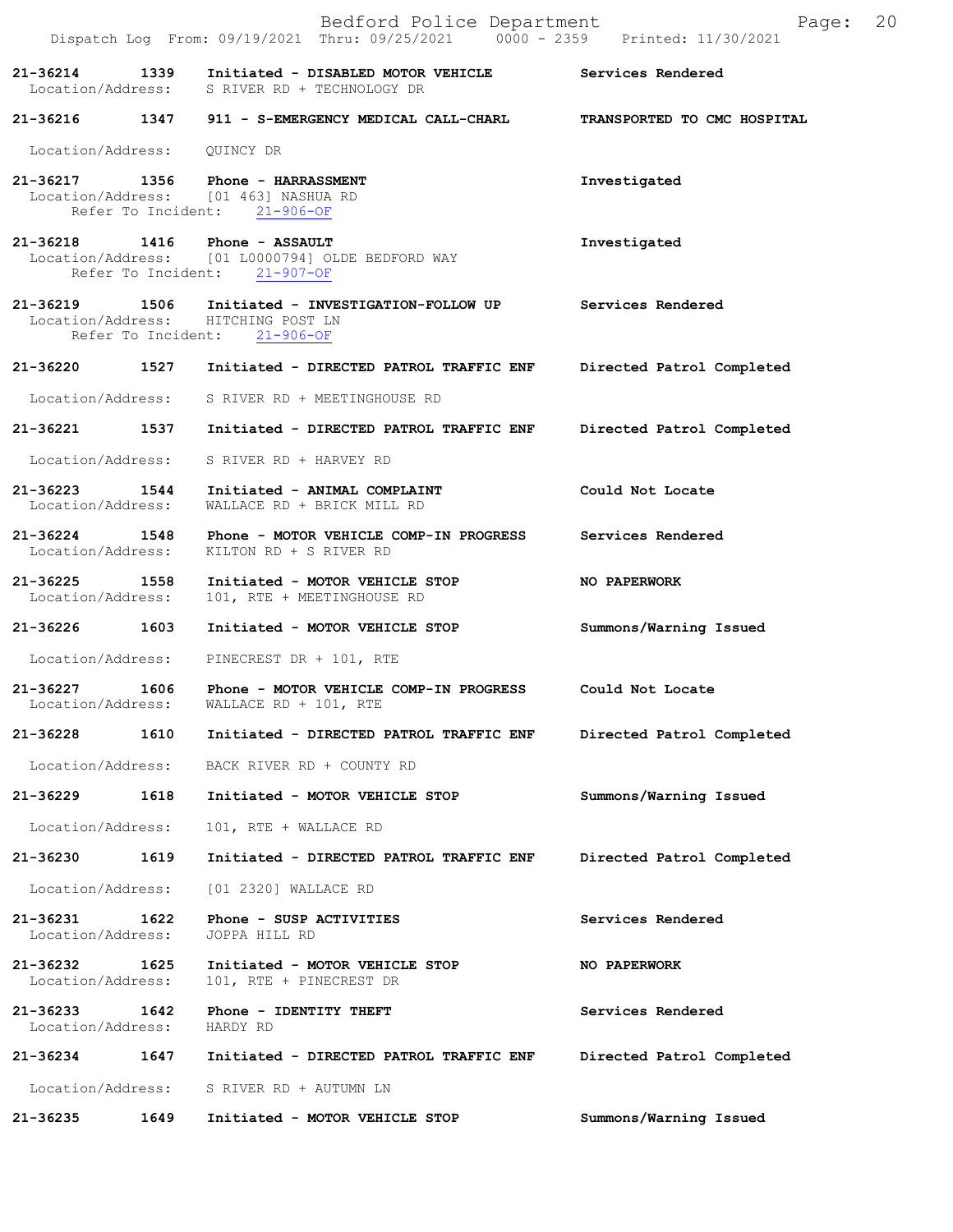|                                    |      | Bedford Police Department<br>Dispatch Log From: 09/19/2021 Thru: 09/25/2021 0000 - 2359 Printed: 11/30/2021       | 20<br>Page:                 |
|------------------------------------|------|-------------------------------------------------------------------------------------------------------------------|-----------------------------|
| $21 - 36214$                       | 1339 | Initiated - DISABLED MOTOR VEHICLE Services Rendered<br>Location/Address: S RIVER RD + TECHNOLOGY DR              |                             |
|                                    |      | 21-36216 1347 911 - S-EMERGENCY MEDICAL CALL-CHARL                                                                | TRANSPORTED TO CMC HOSPITAL |
| Location/Address:                  |      | QUINCY DR                                                                                                         |                             |
|                                    |      | 21-36217 1356 Phone - HARRASSMENT<br>Location/Address: [01 463] NASHUA RD<br>Refer To Incident: 21-906-OF         | Investigated                |
|                                    |      | 21-36218 1416 Phone - ASSAULT<br>Location/Address: [01 L0000794] OLDE BEDFORD WAY<br>Refer To Incident: 21-907-OF | Investigated                |
| 21-36219 1506                      |      | Initiated - INVESTIGATION-FOLLOW UP<br>Location/Address: HITCHING POST LN<br>Refer To Incident: 21-906-OF         | Services Rendered           |
| 21-36220                           | 1527 | Initiated - DIRECTED PATROL TRAFFIC ENF                                                                           | Directed Patrol Completed   |
|                                    |      | Location/Address: S RIVER RD + MEETINGHOUSE RD                                                                    |                             |
|                                    |      | 21-36221 1537 Initiated - DIRECTED PATROL TRAFFIC ENF                                                             | Directed Patrol Completed   |
| Location/Address:                  |      | S RIVER RD + HARVEY RD                                                                                            |                             |
| 21-36223 1544<br>Location/Address: |      | Initiated - ANIMAL COMPLAINT<br>WALLACE RD + BRICK MILL RD                                                        | Could Not Locate            |
| 21-36224 1548<br>Location/Address: |      | Phone - MOTOR VEHICLE COMP-IN PROGRESS<br>KILTON RD + S RIVER RD                                                  | Services Rendered           |
| 21-36225 1558<br>Location/Address: |      | Initiated - MOTOR VEHICLE STOP<br>101, RTE + MEETINGHOUSE RD                                                      | NO PAPERWORK                |
| 21-36226                           | 1603 | Initiated - MOTOR VEHICLE STOP                                                                                    | Summons/Warning Issued      |
| Location/Address:                  |      | PINECREST DR + 101, RTE                                                                                           |                             |
| 21-36227<br>Location/Address:      | 1606 | Phone - MOTOR VEHICLE COMP-IN PROGRESS<br>WALLACE RD + 101, RTE                                                   | Could Not Locate            |
| 21-36228                           | 1610 | Initiated - DIRECTED PATROL TRAFFIC ENF                                                                           | Directed Patrol Completed   |
| Location/Address:                  |      | BACK RIVER RD + COUNTY RD                                                                                         |                             |
| 21-36229                           | 1618 | Initiated - MOTOR VEHICLE STOP                                                                                    | Summons/Warning Issued      |
| Location/Address:                  |      | 101, RTE + WALLACE RD                                                                                             |                             |
| 21-36230                           | 1619 | Initiated - DIRECTED PATROL TRAFFIC ENF                                                                           | Directed Patrol Completed   |
| Location/Address:                  |      | [01 2320] WALLACE RD                                                                                              |                             |
| 21-36231<br>Location/Address:      | 1622 | Phone - SUSP ACTIVITIES<br>JOPPA HILL RD                                                                          | Services Rendered           |
| 21-36232<br>Location/Address:      | 1625 | Initiated - MOTOR VEHICLE STOP<br>101, RTE + PINECREST DR                                                         | <b>NO PAPERWORK</b>         |
| 21-36233<br>Location/Address:      | 1642 | Phone - IDENTITY THEFT<br>HARDY RD                                                                                | Services Rendered           |
| 21-36234                           | 1647 | Initiated - DIRECTED PATROL TRAFFIC ENF                                                                           | Directed Patrol Completed   |
| Location/Address:                  |      | S RIVER RD + AUTUMN LN                                                                                            |                             |
| 21-36235                           | 1649 | Initiated - MOTOR VEHICLE STOP                                                                                    | Summons/Warning Issued      |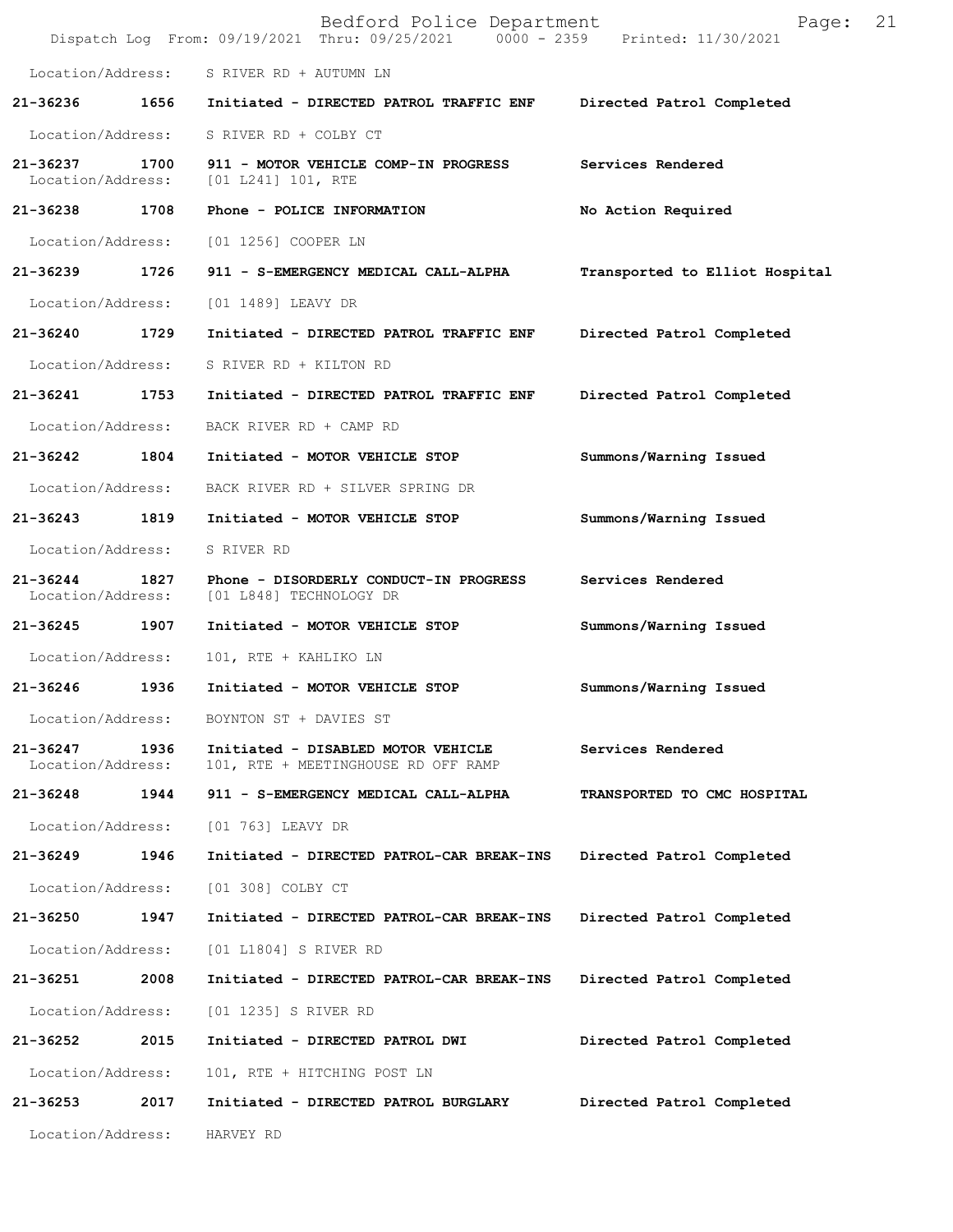|                                    |      | Bedford Police Department<br>Dispatch Log From: 09/19/2021 Thru: 09/25/2021 0000 - 2359 Printed: 11/30/2021 | 21<br>Page:                    |
|------------------------------------|------|-------------------------------------------------------------------------------------------------------------|--------------------------------|
|                                    |      | Location/Address: S RIVER RD + AUTUMN LN                                                                    |                                |
| 21-36236                           | 1656 | Initiated - DIRECTED PATROL TRAFFIC ENF                                                                     | Directed Patrol Completed      |
| Location/Address:                  |      | S RIVER RD + COLBY CT                                                                                       |                                |
| 21-36237 1700<br>Location/Address: |      | 911 - MOTOR VEHICLE COMP-IN PROGRESS<br>$[01 L241] 101$ , RTE                                               | Services Rendered              |
| 21-36238 1708                      |      | Phone - POLICE INFORMATION                                                                                  | No Action Required             |
| Location/Address:                  |      | [01 1256] COOPER LN                                                                                         |                                |
| 21-36239                           | 1726 | 911 - S-EMERGENCY MEDICAL CALL-ALPHA                                                                        | Transported to Elliot Hospital |
| Location/Address:                  |      | [01 1489] LEAVY DR                                                                                          |                                |
| 21-36240                           | 1729 | Initiated - DIRECTED PATROL TRAFFIC ENF                                                                     | Directed Patrol Completed      |
| Location/Address:                  |      | S RIVER RD + KILTON RD                                                                                      |                                |
| 21-36241 1753                      |      | Initiated - DIRECTED PATROL TRAFFIC ENF                                                                     | Directed Patrol Completed      |
| Location/Address:                  |      | BACK RIVER RD + CAMP RD                                                                                     |                                |
| 21-36242                           | 1804 | Initiated - MOTOR VEHICLE STOP                                                                              | Summons/Warning Issued         |
| Location/Address:                  |      | BACK RIVER RD + SILVER SPRING DR                                                                            |                                |
| 21-36243                           | 1819 | Initiated - MOTOR VEHICLE STOP                                                                              | Summons/Warning Issued         |
| Location/Address:                  |      | S RIVER RD                                                                                                  |                                |
| 21-36244<br>Location/Address:      | 1827 | Phone - DISORDERLY CONDUCT-IN PROGRESS<br>[01 L848] TECHNOLOGY DR                                           | Services Rendered              |
| 21-36245 1907                      |      | Initiated - MOTOR VEHICLE STOP                                                                              | Summons/Warning Issued         |
| Location/Address:                  |      | 101, RTE + KAHLIKO LN                                                                                       |                                |
| 21-36246                           | 1936 | Initiated - MOTOR VEHICLE STOP                                                                              | Summons/Warning Issued         |
| Location/Address:                  |      | BOYNTON ST + DAVIES ST                                                                                      |                                |
| 21-36247<br>Location/Address:      | 1936 | Initiated - DISABLED MOTOR VEHICLE<br>101, RTE + MEETINGHOUSE RD OFF RAMP                                   | Services Rendered              |
| 21-36248 1944                      |      | 911 - S-EMERGENCY MEDICAL CALL-ALPHA                                                                        | TRANSPORTED TO CMC HOSPITAL    |
| Location/Address:                  |      | [01 763] LEAVY DR                                                                                           |                                |
| 21-36249                           | 1946 | Initiated - DIRECTED PATROL-CAR BREAK-INS                                                                   | Directed Patrol Completed      |
| Location/Address:                  |      | [01 308] COLBY CT                                                                                           |                                |
| 21-36250                           | 1947 | Initiated - DIRECTED PATROL-CAR BREAK-INS                                                                   | Directed Patrol Completed      |
| Location/Address:                  |      | [01 L1804] S RIVER RD                                                                                       |                                |
| 21-36251                           | 2008 | Initiated - DIRECTED PATROL-CAR BREAK-INS                                                                   | Directed Patrol Completed      |
| Location/Address:                  |      | [01 1235] S RIVER RD                                                                                        |                                |
| 21-36252                           | 2015 | Initiated - DIRECTED PATROL DWI                                                                             | Directed Patrol Completed      |
| Location/Address:                  |      | 101, RTE + HITCHING POST LN                                                                                 |                                |
| 21-36253                           | 2017 | Initiated - DIRECTED PATROL BURGLARY                                                                        | Directed Patrol Completed      |
| Location/Address:                  |      | HARVEY RD                                                                                                   |                                |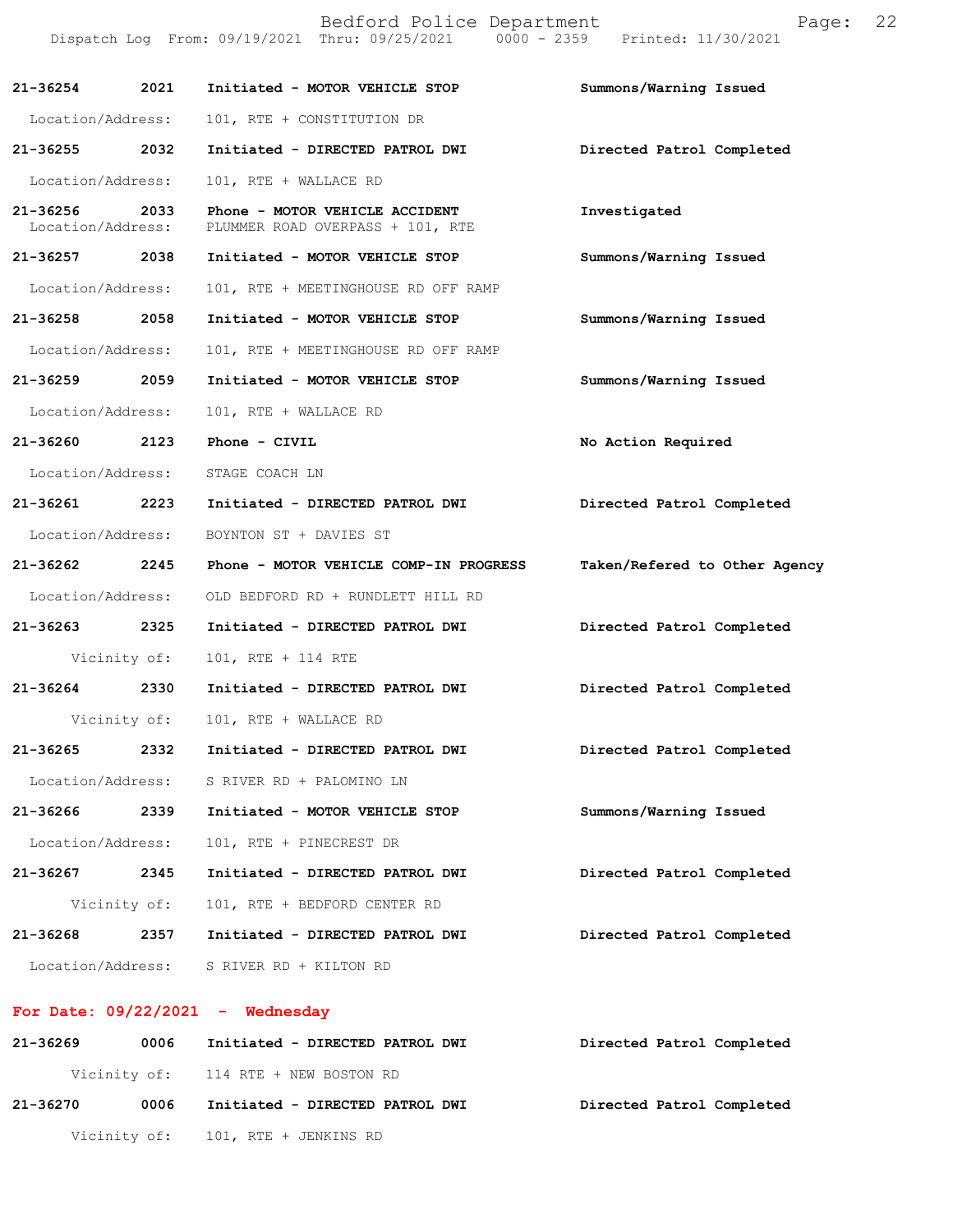|                               |              | Bedford Police Department<br>Dispatch Log From: 09/19/2021 Thru: 09/25/2021 0000 - 2359 Printed: 11/30/2021 | Page:                         | 22 |
|-------------------------------|--------------|-------------------------------------------------------------------------------------------------------------|-------------------------------|----|
| 21-36254                      | 2021         | Initiated - MOTOR VEHICLE STOP                                                                              | Summons/Warning Issued        |    |
| Location/Address:             |              | 101, RTE + CONSTITUTION DR                                                                                  |                               |    |
| 21-36255                      | 2032         | Initiated - DIRECTED PATROL DWI                                                                             | Directed Patrol Completed     |    |
| Location/Address:             |              | 101, RTE + WALLACE RD                                                                                       |                               |    |
| 21-36256<br>Location/Address: | 2033         | Phone - MOTOR VEHICLE ACCIDENT<br>PLUMMER ROAD OVERPASS + 101, RTE                                          | Investigated                  |    |
| 21-36257                      | 2038         | Initiated - MOTOR VEHICLE STOP                                                                              | Summons/Warning Issued        |    |
| Location/Address:             |              | 101, RTE + MEETINGHOUSE RD OFF RAMP                                                                         |                               |    |
| 21-36258 2058                 |              | Initiated - MOTOR VEHICLE STOP                                                                              | Summons/Warning Issued        |    |
| Location/Address:             |              | 101, RTE + MEETINGHOUSE RD OFF RAMP                                                                         |                               |    |
| 21-36259                      | 2059         | Initiated - MOTOR VEHICLE STOP                                                                              | Summons/Warning Issued        |    |
| Location/Address:             |              | 101, RTE + WALLACE RD                                                                                       |                               |    |
| 21-36260                      | 2123         | Phone - CIVIL                                                                                               | No Action Required            |    |
| Location/Address:             |              | STAGE COACH LN                                                                                              |                               |    |
| 21-36261 2223                 |              | Initiated - DIRECTED PATROL DWI                                                                             | Directed Patrol Completed     |    |
| Location/Address:             |              | BOYNTON ST + DAVIES ST                                                                                      |                               |    |
| 21-36262                      | 2245         | Phone - MOTOR VEHICLE COMP-IN PROGRESS                                                                      | Taken/Refered to Other Agency |    |
| Location/Address:             |              | OLD BEDFORD RD + RUNDLETT HILL RD                                                                           |                               |    |
| 21-36263                      | 2325         | Initiated - DIRECTED PATROL DWI                                                                             | Directed Patrol Completed     |    |
|                               | Vicinity of: | 101, RTE + 114 RTE                                                                                          |                               |    |
| 21-36264                      | 2330         | Initiated - DIRECTED PATROL DWI                                                                             | Directed Patrol Completed     |    |
|                               | Vicinity of: | 101, RTE + WALLACE RD                                                                                       |                               |    |
| 21-36265                      | 2332         | Initiated - DIRECTED PATROL DWI                                                                             | Directed Patrol Completed     |    |
| Location/Address:             |              | S RIVER RD + PALOMINO LN                                                                                    |                               |    |
| 21-36266                      | 2339         | Initiated - MOTOR VEHICLE STOP                                                                              | Summons/Warning Issued        |    |
| Location/Address:             |              | 101, RTE + PINECREST DR                                                                                     |                               |    |
| 21-36267                      | 2345         | Initiated - DIRECTED PATROL DWI                                                                             | Directed Patrol Completed     |    |
|                               | Vicinity of: | 101, RTE + BEDFORD CENTER RD                                                                                |                               |    |
| 21-36268                      | 2357         | Initiated - DIRECTED PATROL DWI                                                                             | Directed Patrol Completed     |    |
| Location/Address:             |              | S RIVER RD + KILTON RD                                                                                      |                               |    |

## **For Date: 09/22/2021 - Wednesday**

| 21-36269 | 0006 | Initiated - DIRECTED PATROL DWI      | Directed Patrol Completed |
|----------|------|--------------------------------------|---------------------------|
|          |      | Vicinity of: 114 RTE + NEW BOSTON RD |                           |
| 21-36270 | 0006 | Initiated - DIRECTED PATROL DWI      | Directed Patrol Completed |
|          |      | Vicinity of: 101, RTE + JENKINS RD   |                           |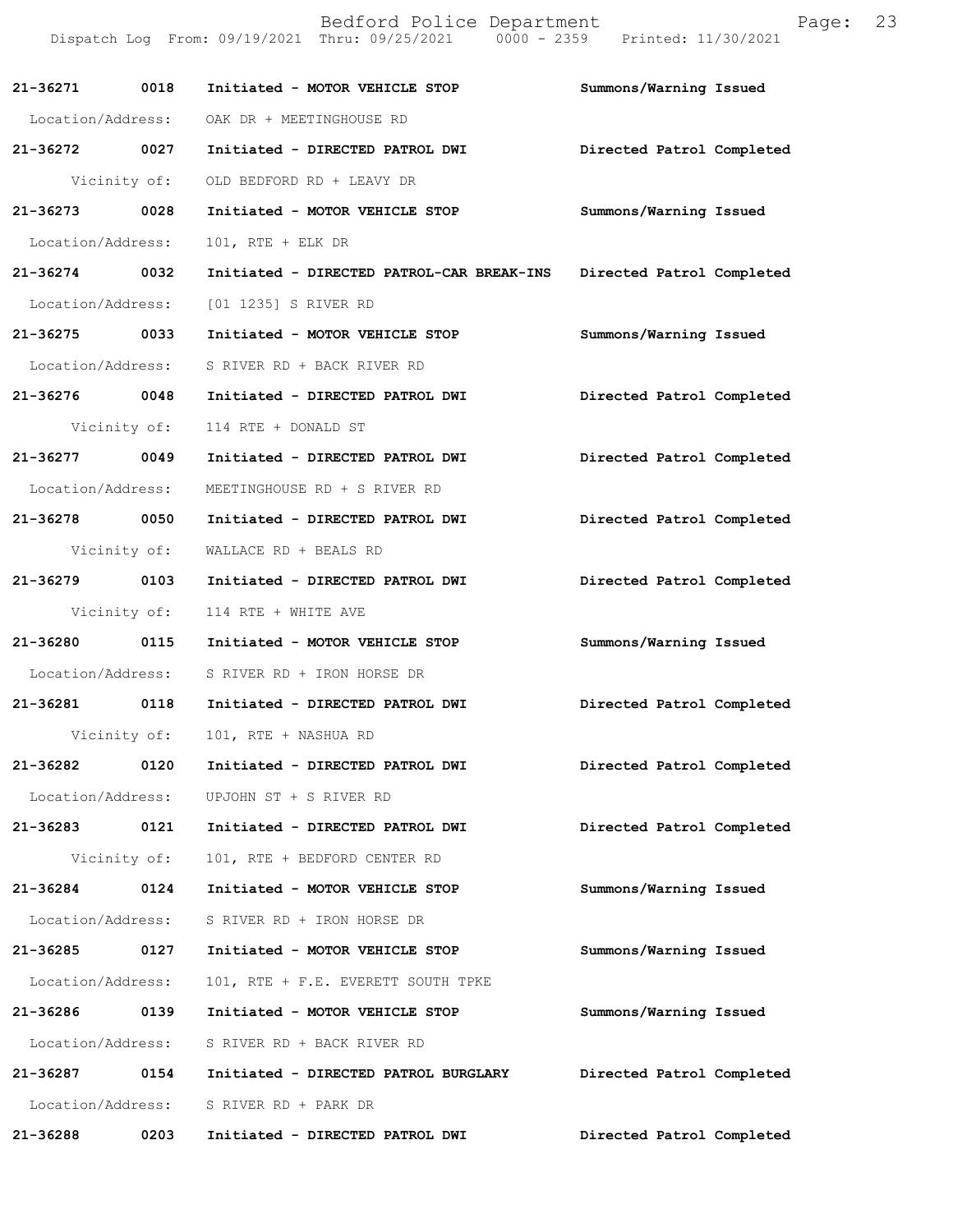|                   |              | Bedford Police Department<br>Dispatch Log From: 09/19/2021 Thru: 09/25/2021 0000 - 2359 Printed: 11/30/2021 | 23<br>Page:               |
|-------------------|--------------|-------------------------------------------------------------------------------------------------------------|---------------------------|
| 21-36271          | 0018         | Initiated - MOTOR VEHICLE STOP                                                                              | Summons/Warning Issued    |
| Location/Address: |              | OAK DR + MEETINGHOUSE RD                                                                                    |                           |
| 21-36272 0027     |              | Initiated - DIRECTED PATROL DWI                                                                             | Directed Patrol Completed |
|                   | Vicinity of: | OLD BEDFORD RD + LEAVY DR                                                                                   |                           |
| 21-36273 0028     |              | Initiated - MOTOR VEHICLE STOP                                                                              | Summons/Warning Issued    |
| Location/Address: |              | $101$ , RTE + ELK DR                                                                                        |                           |
| 21-36274          | 0032         | Initiated - DIRECTED PATROL-CAR BREAK-INS                                                                   | Directed Patrol Completed |
| Location/Address: |              | [01 1235] S RIVER RD                                                                                        |                           |
| 21-36275 0033     |              | Initiated - MOTOR VEHICLE STOP                                                                              | Summons/Warning Issued    |
| Location/Address: |              | S RIVER RD + BACK RIVER RD                                                                                  |                           |
| 21-36276 0048     |              | Initiated - DIRECTED PATROL DWI                                                                             | Directed Patrol Completed |
|                   | Vicinity of: | 114 RTE + DONALD ST                                                                                         |                           |
| 21-36277 0049     |              | Initiated - DIRECTED PATROL DWI                                                                             | Directed Patrol Completed |
| Location/Address: |              | MEETINGHOUSE RD + S RIVER RD                                                                                |                           |
| 21-36278 0050     |              | Initiated - DIRECTED PATROL DWI                                                                             | Directed Patrol Completed |
|                   | Vicinity of: | WALLACE RD + BEALS RD                                                                                       |                           |
| 21-36279 0103     |              | Initiated - DIRECTED PATROL DWI                                                                             | Directed Patrol Completed |
|                   | Vicinity of: | 114 RTE + WHITE AVE                                                                                         |                           |
| 21-36280 0115     |              | Initiated - MOTOR VEHICLE STOP                                                                              | Summons/Warning Issued    |
| Location/Address: |              | S RIVER RD + IRON HORSE DR                                                                                  |                           |
| 21-36281          | 0118         | Initiated - DIRECTED PATROL DWI                                                                             | Directed Patrol Completed |
|                   | Vicinity of: | 101, RTE + NASHUA RD                                                                                        |                           |
| 21-36282          | 0120         | Initiated - DIRECTED PATROL DWI                                                                             | Directed Patrol Completed |
| Location/Address: |              | UPJOHN ST + S RIVER RD                                                                                      |                           |
| 21-36283          | 0121         | Initiated - DIRECTED PATROL DWI                                                                             | Directed Patrol Completed |
|                   | Vicinity of: | 101, RTE + BEDFORD CENTER RD                                                                                |                           |
| 21-36284          | 0124         | Initiated - MOTOR VEHICLE STOP                                                                              | Summons/Warning Issued    |
| Location/Address: |              | S RIVER RD + IRON HORSE DR                                                                                  |                           |
| 21-36285          | 0127         | Initiated - MOTOR VEHICLE STOP                                                                              | Summons/Warning Issued    |
| Location/Address: |              | 101, RTE + F.E. EVERETT SOUTH TPKE                                                                          |                           |
| 21-36286          | 0139         | Initiated - MOTOR VEHICLE STOP                                                                              | Summons/Warning Issued    |
| Location/Address: |              | S RIVER RD + BACK RIVER RD                                                                                  |                           |
| 21-36287          | 0154         | Initiated - DIRECTED PATROL BURGLARY                                                                        | Directed Patrol Completed |
| Location/Address: |              | S RIVER RD + PARK DR                                                                                        |                           |
| 21-36288          | 0203         | Initiated - DIRECTED PATROL DWI                                                                             | Directed Patrol Completed |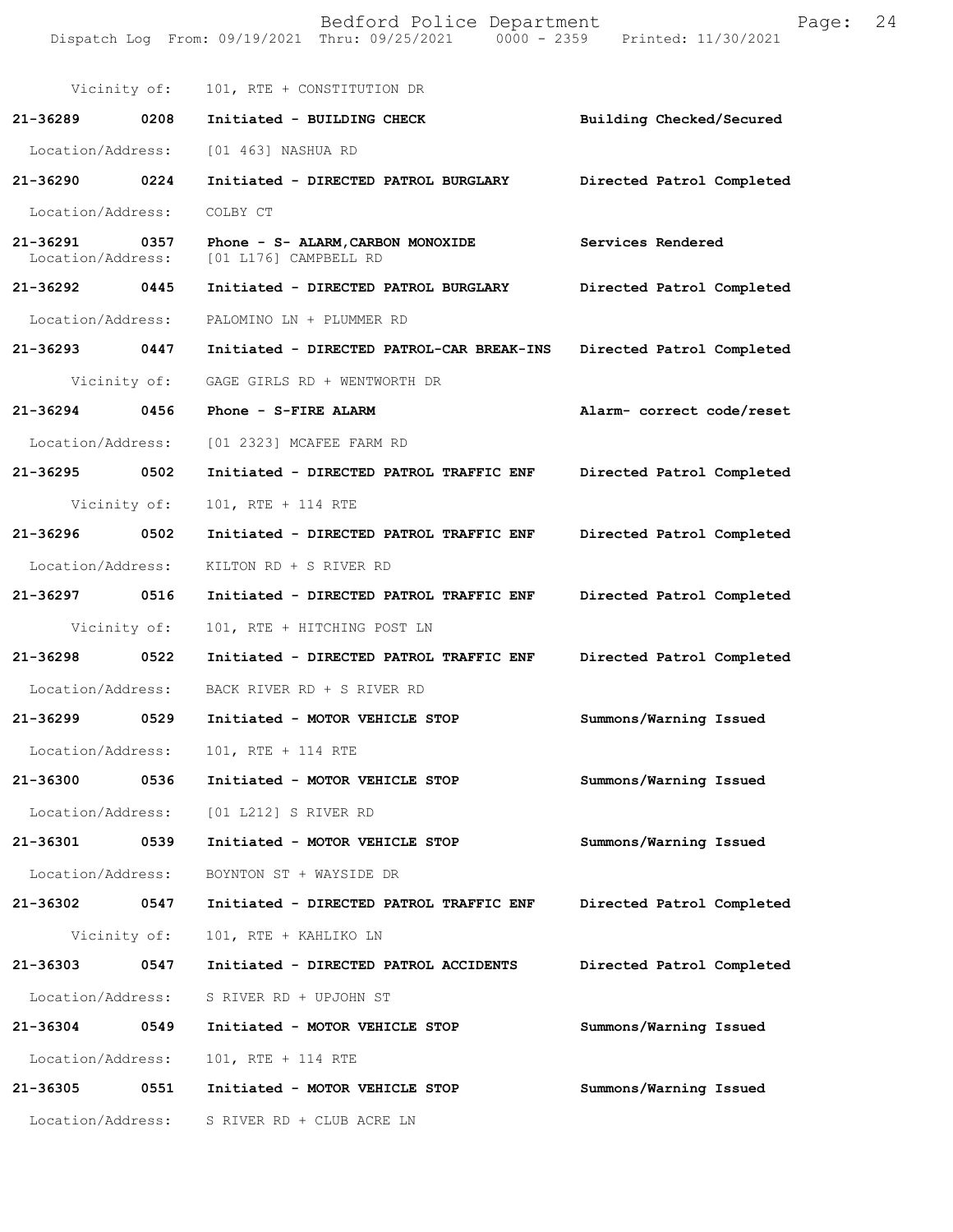|                               |              | Bedford Police Department<br>Dispatch Log From: 09/19/2021 Thru: 09/25/2021 0000 - 2359 Printed: 11/30/2021 | Page:                     | 24 |
|-------------------------------|--------------|-------------------------------------------------------------------------------------------------------------|---------------------------|----|
|                               | Vicinity of: | 101, RTE + CONSTITUTION DR                                                                                  |                           |    |
| 21-36289                      | 0208         | Initiated - BUILDING CHECK                                                                                  | Building Checked/Secured  |    |
| Location/Address:             |              | [01 463] NASHUA RD                                                                                          |                           |    |
| 21-36290                      | 0224         | Initiated - DIRECTED PATROL BURGLARY                                                                        | Directed Patrol Completed |    |
| Location/Address:             |              | COLBY CT                                                                                                    |                           |    |
| 21-36291<br>Location/Address: | 0357         | Phone - S- ALARM, CARBON MONOXIDE<br>[01 L176] CAMPBELL RD                                                  | Services Rendered         |    |
| 21-36292                      | 0445         | Initiated - DIRECTED PATROL BURGLARY                                                                        | Directed Patrol Completed |    |
| Location/Address:             |              | PALOMINO LN + PLUMMER RD                                                                                    |                           |    |
| 21-36293                      | 0447         | Initiated - DIRECTED PATROL-CAR BREAK-INS                                                                   | Directed Patrol Completed |    |
|                               | Vicinity of: | GAGE GIRLS RD + WENTWORTH DR                                                                                |                           |    |
| 21-36294                      | 0456         | Phone - S-FIRE ALARM                                                                                        | Alarm- correct code/reset |    |
| Location/Address:             |              | [01 2323] MCAFEE FARM RD                                                                                    |                           |    |
| 21-36295                      | 0502         | Initiated - DIRECTED PATROL TRAFFIC ENF                                                                     | Directed Patrol Completed |    |
|                               | Vicinity of: | 101, RTE + 114 RTE                                                                                          |                           |    |
| 21-36296                      | 0502         | Initiated - DIRECTED PATROL TRAFFIC ENF                                                                     | Directed Patrol Completed |    |
| Location/Address:             |              | KILTON RD + S RIVER RD                                                                                      |                           |    |
| 21-36297                      | 0516         | Initiated - DIRECTED PATROL TRAFFIC ENF                                                                     | Directed Patrol Completed |    |
|                               | Vicinity of: | 101, RTE + HITCHING POST LN                                                                                 |                           |    |
| 21-36298                      | 0522         | Initiated - DIRECTED PATROL TRAFFIC ENF                                                                     | Directed Patrol Completed |    |
| Location/Address:             |              | BACK RIVER RD + S RIVER RD                                                                                  |                           |    |
| 21-36299                      | 0529         | Initiated - MOTOR VEHICLE STOP                                                                              | Summons/Warning Issued    |    |
| Location/Address:             |              | 101, RTE + 114 RTE                                                                                          |                           |    |
| 21-36300                      | 0536         | Initiated - MOTOR VEHICLE STOP                                                                              | Summons/Warning Issued    |    |
| Location/Address:             |              | [01 L212] S RIVER RD                                                                                        |                           |    |
| 21-36301                      | 0539         | Initiated - MOTOR VEHICLE STOP                                                                              | Summons/Warning Issued    |    |
| Location/Address:             |              | BOYNTON ST + WAYSIDE DR                                                                                     |                           |    |
| 21-36302                      | 0547         | Initiated - DIRECTED PATROL TRAFFIC ENF                                                                     | Directed Patrol Completed |    |
|                               | Vicinity of: | 101, RTE + KAHLIKO LN                                                                                       |                           |    |
| 21-36303                      | 0547         | Initiated - DIRECTED PATROL ACCIDENTS                                                                       | Directed Patrol Completed |    |
| Location/Address:             |              | S RIVER RD + UPJOHN ST                                                                                      |                           |    |
| 21-36304                      | 0549         | Initiated - MOTOR VEHICLE STOP                                                                              | Summons/Warning Issued    |    |
| Location/Address:             |              | 101, RTE + 114 RTE                                                                                          |                           |    |
| 21-36305                      | 0551         | Initiated - MOTOR VEHICLE STOP                                                                              | Summons/Warning Issued    |    |
| Location/Address:             |              | S RIVER RD + CLUB ACRE LN                                                                                   |                           |    |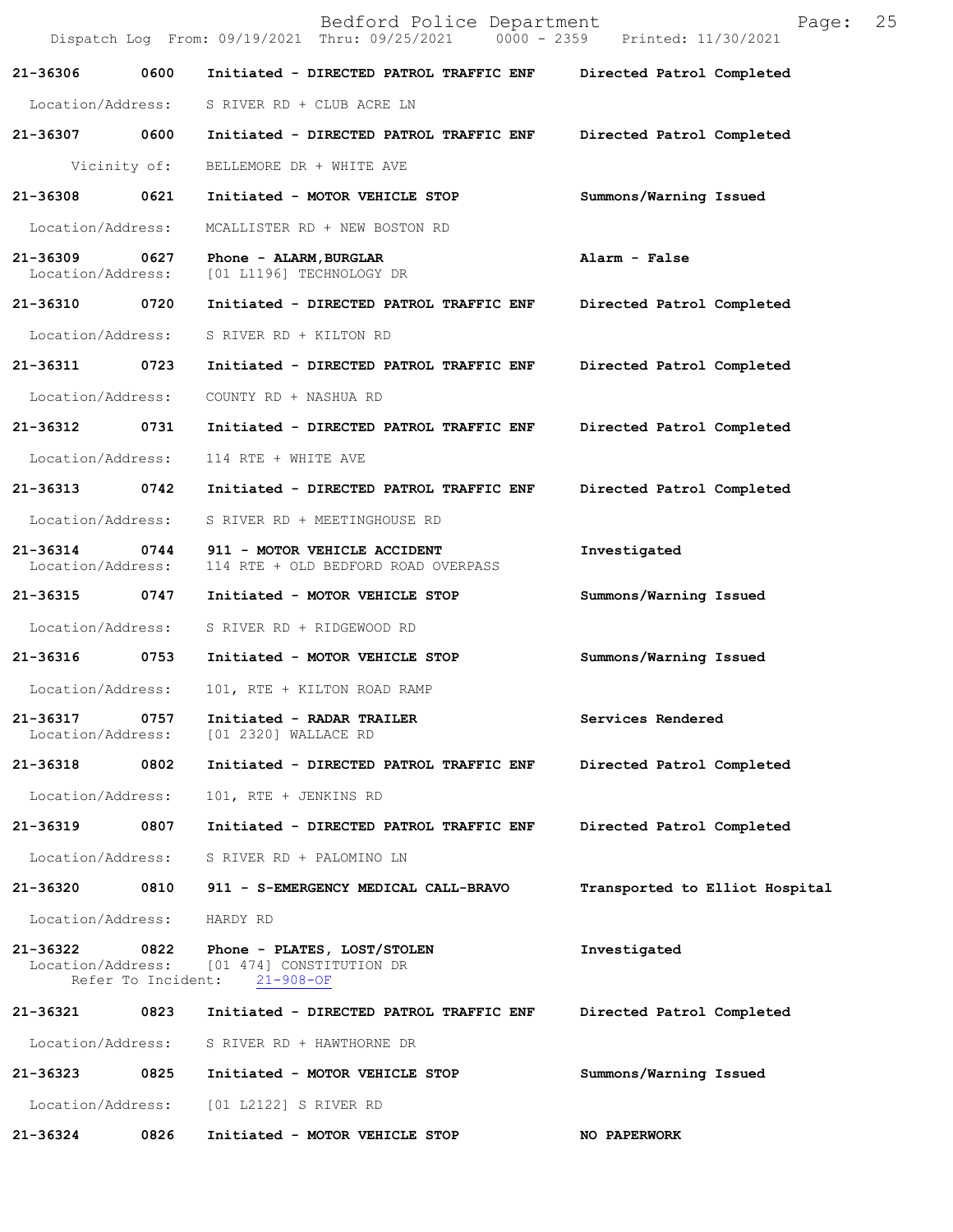|                               |              | Bedford Police Department<br>Dispatch Log From: 09/19/2021 Thru: 09/25/2021 0000 - 2359 Printed: 11/30/2021 | 25<br>Page:                    |
|-------------------------------|--------------|-------------------------------------------------------------------------------------------------------------|--------------------------------|
| 21-36306                      | 0600         | Initiated - DIRECTED PATROL TRAFFIC ENF                                                                     | Directed Patrol Completed      |
| Location/Address:             |              | S RIVER RD + CLUB ACRE LN                                                                                   |                                |
| 21-36307                      | 0600         | Initiated - DIRECTED PATROL TRAFFIC ENF                                                                     | Directed Patrol Completed      |
|                               | Vicinity of: | BELLEMORE DR + WHITE AVE                                                                                    |                                |
| 21-36308                      | 0621         | Initiated - MOTOR VEHICLE STOP                                                                              | Summons/Warning Issued         |
| Location/Address:             |              | MCALLISTER RD + NEW BOSTON RD                                                                               |                                |
| 21-36309<br>Location/Address: | 0627         | Phone - ALARM, BURGLAR<br>[01 L1196] TECHNOLOGY DR                                                          | Alarm - False                  |
| 21-36310                      | 0720         | Initiated - DIRECTED PATROL TRAFFIC ENF                                                                     | Directed Patrol Completed      |
| Location/Address:             |              | S RIVER RD + KILTON RD                                                                                      |                                |
| 21-36311                      | 0723         | Initiated - DIRECTED PATROL TRAFFIC ENF                                                                     | Directed Patrol Completed      |
| Location/Address:             |              | COUNTY RD + NASHUA RD                                                                                       |                                |
| 21-36312                      | 0731         | Initiated - DIRECTED PATROL TRAFFIC ENF                                                                     | Directed Patrol Completed      |
| Location/Address:             |              | 114 RTE + WHITE AVE                                                                                         |                                |
| 21-36313                      | 0742         | Initiated - DIRECTED PATROL TRAFFIC ENF                                                                     | Directed Patrol Completed      |
| Location/Address:             |              | S RIVER RD + MEETINGHOUSE RD                                                                                |                                |
| 21-36314<br>Location/Address: | 0744         | 911 - MOTOR VEHICLE ACCIDENT<br>114 RTE + OLD BEDFORD ROAD OVERPASS                                         | Investigated                   |
| 21-36315                      | 0747         | Initiated - MOTOR VEHICLE STOP                                                                              | Summons/Warning Issued         |
| Location/Address:             |              | S RIVER RD + RIDGEWOOD RD                                                                                   |                                |
| 21-36316                      | 0753         | Initiated - MOTOR VEHICLE STOP                                                                              | Summons/Warning Issued         |
| Location/Address:             |              | 101, RTE + KILTON ROAD RAMP                                                                                 |                                |
| 21-36317<br>Location/Address: | 0757         | Initiated - RADAR TRAILER<br>[01 2320] WALLACE RD                                                           | Services Rendered              |
| 21-36318                      | 0802         | Initiated - DIRECTED PATROL TRAFFIC ENF                                                                     | Directed Patrol Completed      |
| Location/Address:             |              | 101, RTE + JENKINS RD                                                                                       |                                |
| 21-36319                      | 0807         | Initiated - DIRECTED PATROL TRAFFIC ENF                                                                     | Directed Patrol Completed      |
| Location/Address:             |              | S RIVER RD + PALOMINO LN                                                                                    |                                |
| 21-36320                      | 0810         | 911 - S-EMERGENCY MEDICAL CALL-BRAVO                                                                        | Transported to Elliot Hospital |
| Location/Address:             |              | HARDY RD                                                                                                    |                                |
| 21-36322<br>Location/Address: | 0822         | Phone - PLATES, LOST/STOLEN<br>[01 474] CONSTITUTION DR<br>Refer To Incident: 21-908-OF                     | Investigated                   |
| 21-36321                      | 0823         | Initiated - DIRECTED PATROL TRAFFIC ENF                                                                     | Directed Patrol Completed      |
| Location/Address:             |              | S RIVER RD + HAWTHORNE DR                                                                                   |                                |
| 21-36323                      | 0825         | Initiated - MOTOR VEHICLE STOP                                                                              | Summons/Warning Issued         |
| Location/Address:             |              | [01 L2122] S RIVER RD                                                                                       |                                |
| 21-36324                      | 0826         | Initiated - MOTOR VEHICLE STOP                                                                              | NO PAPERWORK                   |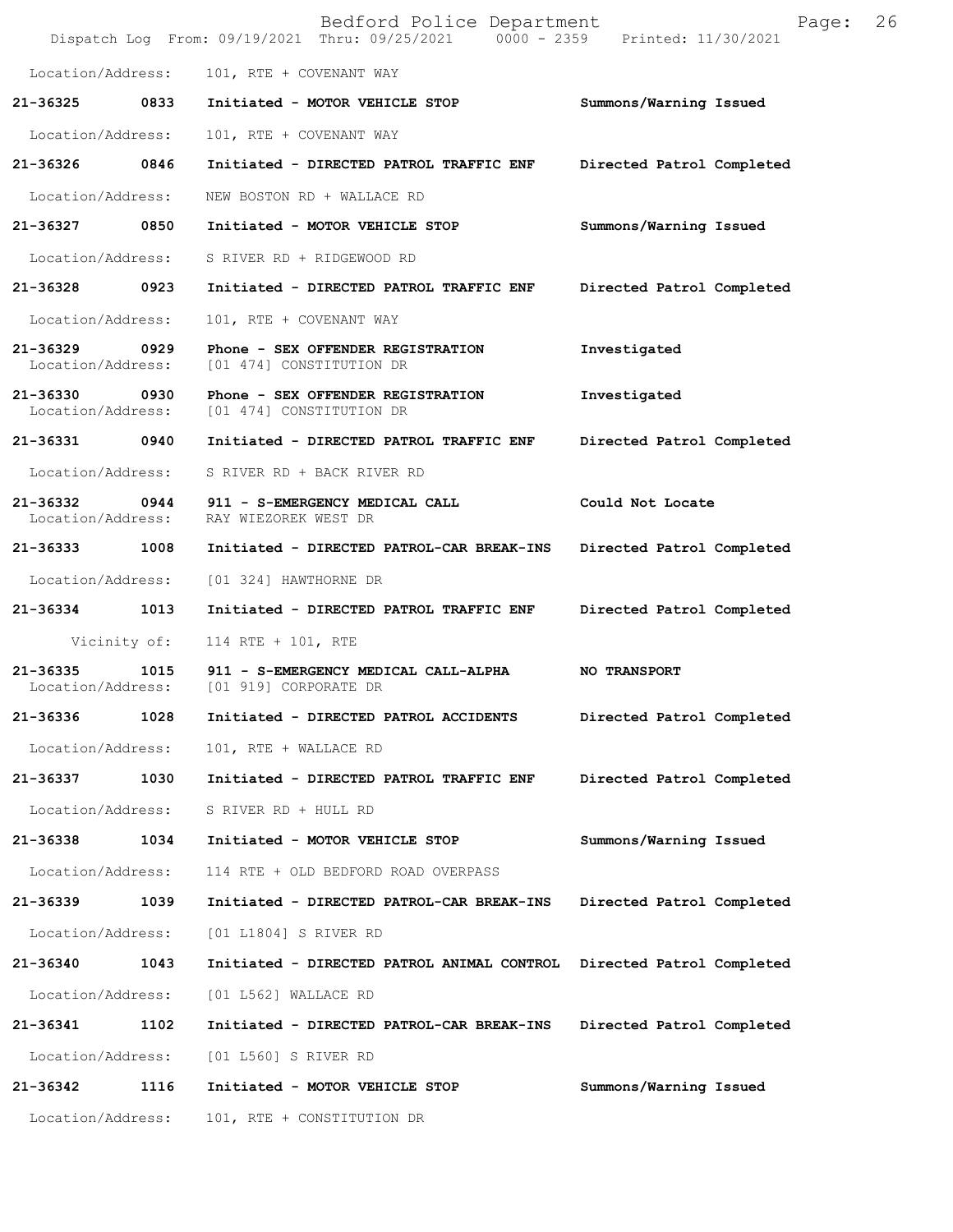|                                    |              | Bedford Police Department<br>Dispatch Log From: 09/19/2021 Thru: 09/25/2021 0000 - 2359 Printed: 11/30/2021 | Page:                     | 26 |
|------------------------------------|--------------|-------------------------------------------------------------------------------------------------------------|---------------------------|----|
| Location/Address:                  |              | 101, RTE + COVENANT WAY                                                                                     |                           |    |
| 21-36325                           | 0833         | Initiated - MOTOR VEHICLE STOP                                                                              | Summons/Warning Issued    |    |
| Location/Address:                  |              | 101, RTE + COVENANT WAY                                                                                     |                           |    |
| 21-36326                           | 0846         | Initiated - DIRECTED PATROL TRAFFIC ENF                                                                     | Directed Patrol Completed |    |
| Location/Address:                  |              | NEW BOSTON RD + WALLACE RD                                                                                  |                           |    |
| 21-36327 0850                      |              | Initiated - MOTOR VEHICLE STOP                                                                              | Summons/Warning Issued    |    |
| Location/Address:                  |              | S RIVER RD + RIDGEWOOD RD                                                                                   |                           |    |
| 21-36328 0923                      |              | Initiated - DIRECTED PATROL TRAFFIC ENF                                                                     | Directed Patrol Completed |    |
| Location/Address:                  |              | 101, RTE + COVENANT WAY                                                                                     |                           |    |
| 21-36329<br>Location/Address:      | 0929         | Phone - SEX OFFENDER REGISTRATION<br>[01 474] CONSTITUTION DR                                               | Investigated              |    |
| 21-36330 0930<br>Location/Address: |              | Phone - SEX OFFENDER REGISTRATION<br>[01 474] CONSTITUTION DR                                               | Investigated              |    |
| 21-36331                           | 0940         | Initiated - DIRECTED PATROL TRAFFIC ENF                                                                     | Directed Patrol Completed |    |
| Location/Address:                  |              | S RIVER RD + BACK RIVER RD                                                                                  |                           |    |
| 21-36332 0944<br>Location/Address: |              | 911 - S-EMERGENCY MEDICAL CALL<br>RAY WIEZOREK WEST DR                                                      | Could Not Locate          |    |
| 21-36333                           | 1008         | Initiated - DIRECTED PATROL-CAR BREAK-INS                                                                   | Directed Patrol Completed |    |
| Location/Address:                  |              | [01 324] HAWTHORNE DR                                                                                       |                           |    |
| 21-36334                           | 1013         | Initiated - DIRECTED PATROL TRAFFIC ENF                                                                     | Directed Patrol Completed |    |
|                                    | Vicinity of: | 114 RTE + 101, RTE                                                                                          |                           |    |
| 21-36335<br>Location/Address:      | 1015         | 911 - S-EMERGENCY MEDICAL CALL-ALPHA<br>[01 919] CORPORATE DR                                               | NO TRANSPORT              |    |
| 21-36336                           | 1028         | Initiated - DIRECTED PATROL ACCIDENTS                                                                       | Directed Patrol Completed |    |
| Location/Address:                  |              | 101, RTE + WALLACE RD                                                                                       |                           |    |
| 21-36337                           | 1030         | Initiated - DIRECTED PATROL TRAFFIC ENF                                                                     | Directed Patrol Completed |    |
| Location/Address:                  |              | S RIVER RD + HULL RD                                                                                        |                           |    |
| 21-36338                           | 1034         | Initiated - MOTOR VEHICLE STOP                                                                              | Summons/Warning Issued    |    |
| Location/Address:                  |              | 114 RTE + OLD BEDFORD ROAD OVERPASS                                                                         |                           |    |
| 21-36339                           | 1039         | Initiated - DIRECTED PATROL-CAR BREAK-INS                                                                   | Directed Patrol Completed |    |
| Location/Address:                  |              | [01 L1804] S RIVER RD                                                                                       |                           |    |
| 21-36340                           | 1043         | Initiated - DIRECTED PATROL ANIMAL CONTROL                                                                  | Directed Patrol Completed |    |
| Location/Address:                  |              | [01 L562] WALLACE RD                                                                                        |                           |    |
| 21-36341                           | 1102         | Initiated - DIRECTED PATROL-CAR BREAK-INS                                                                   | Directed Patrol Completed |    |
| Location/Address:                  |              | [01 L560] S RIVER RD                                                                                        |                           |    |
| 21-36342                           | 1116         | Initiated - MOTOR VEHICLE STOP                                                                              | Summons/Warning Issued    |    |
| Location/Address:                  |              | 101, RTE + CONSTITUTION DR                                                                                  |                           |    |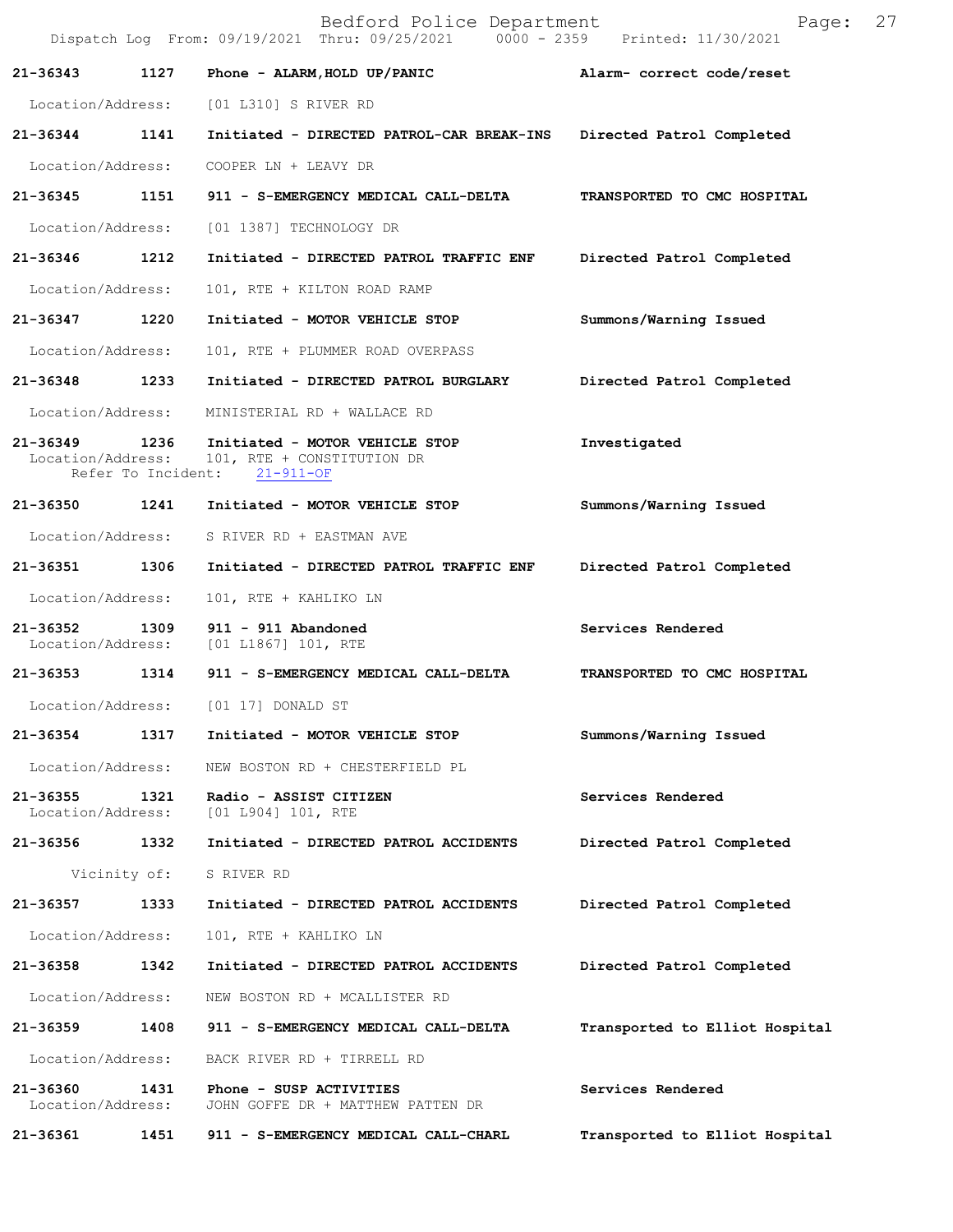|                               |                            | Bedford Police Department<br>Dispatch Log From: 09/19/2021 Thru: 09/25/2021 0000 - 2359 Printed: 11/30/2021 | Page:                          | 27 |
|-------------------------------|----------------------------|-------------------------------------------------------------------------------------------------------------|--------------------------------|----|
| 21-36343                      | 1127                       | Phone - ALARM, HOLD UP/PANIC                                                                                | Alarm- correct code/reset      |    |
| Location/Address:             |                            | [01 L310] S RIVER RD                                                                                        |                                |    |
| 21-36344                      | 1141                       | Initiated - DIRECTED PATROL-CAR BREAK-INS                                                                   | Directed Patrol Completed      |    |
| Location/Address:             |                            | COOPER LN + LEAVY DR                                                                                        |                                |    |
| 21-36345                      | 1151                       | 911 - S-EMERGENCY MEDICAL CALL-DELTA                                                                        | TRANSPORTED TO CMC HOSPITAL    |    |
| Location/Address:             |                            | [01 1387] TECHNOLOGY DR                                                                                     |                                |    |
| 21-36346                      | 1212                       | Initiated - DIRECTED PATROL TRAFFIC ENF                                                                     | Directed Patrol Completed      |    |
| Location/Address:             |                            | 101, RTE + KILTON ROAD RAMP                                                                                 |                                |    |
| 21-36347                      | 1220                       | Initiated - MOTOR VEHICLE STOP                                                                              | Summons/Warning Issued         |    |
| Location/Address:             |                            | 101, RTE + PLUMMER ROAD OVERPASS                                                                            |                                |    |
| 21-36348                      | 1233                       | Initiated - DIRECTED PATROL BURGLARY                                                                        | Directed Patrol Completed      |    |
| Location/Address:             |                            | MINISTERIAL RD + WALLACE RD                                                                                 |                                |    |
| 21-36349<br>Location/Address: | 1236<br>Refer To Incident: | Initiated - MOTOR VEHICLE STOP<br>101, RTE + CONSTITUTION DR<br>$21 - 911 - OF$                             | Investigated                   |    |
| 21-36350                      | 1241                       | Initiated - MOTOR VEHICLE STOP                                                                              | Summons/Warning Issued         |    |
| Location/Address:             |                            | S RIVER RD + EASTMAN AVE                                                                                    |                                |    |
| 21-36351                      | 1306                       | Initiated - DIRECTED PATROL TRAFFIC ENF                                                                     | Directed Patrol Completed      |    |
| Location/Address:             |                            | 101, RTE + KAHLIKO LN                                                                                       |                                |    |
| 21-36352<br>Location/Address: | 1309                       | 911 - 911 Abandoned<br>[01 L1867] 101, RTE                                                                  | Services Rendered              |    |
| 21-36353 1314                 |                            | 911 - S-EMERGENCY MEDICAL CALL-DELTA                                                                        | TRANSPORTED TO CMC HOSPITAL    |    |
| Location/Address:             |                            | [01 17] DONALD ST                                                                                           |                                |    |
| 21-36354                      | 1317                       | Initiated - MOTOR VEHICLE STOP                                                                              | Summons/Warning Issued         |    |
| Location/Address:             |                            | NEW BOSTON RD + CHESTERFIELD PL                                                                             |                                |    |
| 21-36355<br>Location/Address: | 1321                       | Radio - ASSIST CITIZEN<br>[01 L904] 101, RTE                                                                | Services Rendered              |    |
| 21-36356                      | 1332                       | Initiated - DIRECTED PATROL ACCIDENTS                                                                       | Directed Patrol Completed      |    |
|                               | Vicinity of:               | S RIVER RD                                                                                                  |                                |    |
| 21-36357                      | 1333                       | Initiated - DIRECTED PATROL ACCIDENTS                                                                       | Directed Patrol Completed      |    |
| Location/Address:             |                            | 101, RTE + KAHLIKO LN                                                                                       |                                |    |
| 21-36358                      | 1342                       | Initiated - DIRECTED PATROL ACCIDENTS                                                                       | Directed Patrol Completed      |    |
| Location/Address:             |                            | NEW BOSTON RD + MCALLISTER RD                                                                               |                                |    |
| 21-36359                      | 1408                       | 911 - S-EMERGENCY MEDICAL CALL-DELTA                                                                        | Transported to Elliot Hospital |    |
| Location/Address:             |                            | BACK RIVER RD + TIRRELL RD                                                                                  |                                |    |
| 21-36360<br>Location/Address: | 1431                       | Phone - SUSP ACTIVITIES<br>JOHN GOFFE DR + MATTHEW PATTEN DR                                                | Services Rendered              |    |
| 21-36361                      | 1451                       | 911 - S-EMERGENCY MEDICAL CALL-CHARL                                                                        | Transported to Elliot Hospital |    |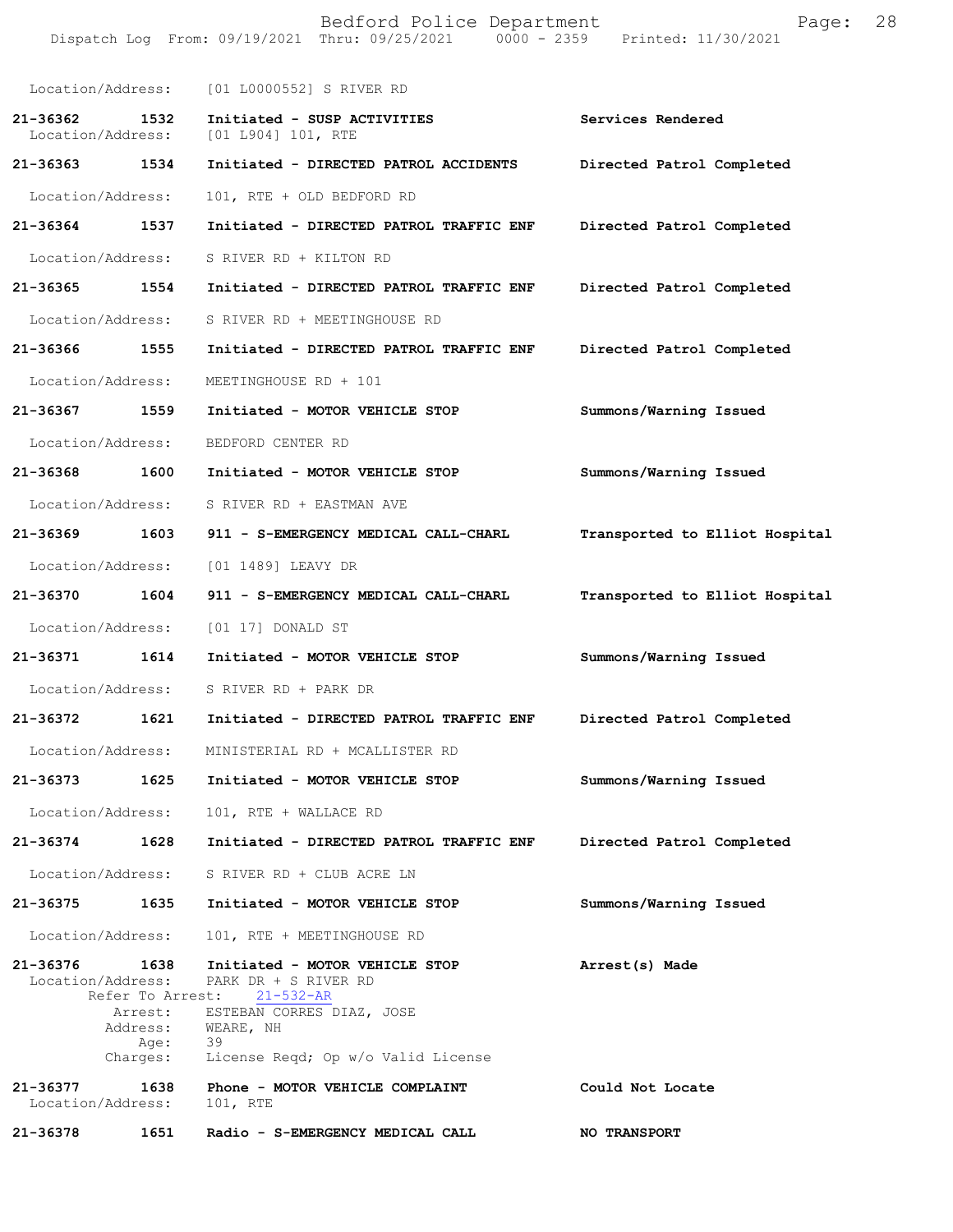|                               |                                                 | Bedford Police Department<br>Dispatch Log From: 09/19/2021 Thru: 09/25/2021 0000 - 2359 Printed: 11/30/2021                                                                | Page:                          | 28 |
|-------------------------------|-------------------------------------------------|----------------------------------------------------------------------------------------------------------------------------------------------------------------------------|--------------------------------|----|
| Location/Address:             |                                                 | [01 L0000552] S RIVER RD                                                                                                                                                   |                                |    |
| 21-36362<br>Location/Address: | 1532                                            | Initiated - SUSP ACTIVITIES<br>[01 1904] 101, RTE                                                                                                                          | Services Rendered              |    |
| 21-36363 1534                 |                                                 | Initiated - DIRECTED PATROL ACCIDENTS                                                                                                                                      | Directed Patrol Completed      |    |
| Location/Address:             |                                                 | 101, RTE + OLD BEDFORD RD                                                                                                                                                  |                                |    |
| 21-36364                      | 1537                                            | Initiated - DIRECTED PATROL TRAFFIC ENF                                                                                                                                    | Directed Patrol Completed      |    |
| Location/Address:             |                                                 | S RIVER RD + KILTON RD                                                                                                                                                     |                                |    |
| 21-36365                      | 1554                                            | Initiated - DIRECTED PATROL TRAFFIC ENF                                                                                                                                    | Directed Patrol Completed      |    |
| Location/Address:             |                                                 | S RIVER RD + MEETINGHOUSE RD                                                                                                                                               |                                |    |
| 21-36366 1555                 |                                                 | Initiated - DIRECTED PATROL TRAFFIC ENF                                                                                                                                    | Directed Patrol Completed      |    |
| Location/Address:             |                                                 | MEETINGHOUSE RD + 101                                                                                                                                                      |                                |    |
| 21-36367 1559                 |                                                 | Initiated - MOTOR VEHICLE STOP                                                                                                                                             | Summons/Warning Issued         |    |
| Location/Address:             |                                                 | BEDFORD CENTER RD                                                                                                                                                          |                                |    |
| 21-36368                      | 1600                                            | Initiated - MOTOR VEHICLE STOP                                                                                                                                             | Summons/Warning Issued         |    |
| Location/Address:             |                                                 | S RIVER RD + EASTMAN AVE                                                                                                                                                   |                                |    |
| 21-36369                      | 1603                                            | 911 - S-EMERGENCY MEDICAL CALL-CHARL                                                                                                                                       | Transported to Elliot Hospital |    |
| Location/Address:             |                                                 | [01 1489] LEAVY DR                                                                                                                                                         |                                |    |
| 21-36370                      | 1604                                            | 911 - S-EMERGENCY MEDICAL CALL-CHARL                                                                                                                                       | Transported to Elliot Hospital |    |
| Location/Address:             |                                                 | [01 17] DONALD ST                                                                                                                                                          |                                |    |
| 21-36371                      | 1614                                            | Initiated - MOTOR VEHICLE STOP                                                                                                                                             | Summons/Warning Issued         |    |
| Location/Address:             |                                                 | S RIVER RD + PARK DR                                                                                                                                                       |                                |    |
| 21-36372                      | 1621                                            | Initiated - DIRECTED PATROL TRAFFIC ENF                                                                                                                                    | Directed Patrol Completed      |    |
| Location/Address:             |                                                 | MINISTERIAL RD + MCALLISTER RD                                                                                                                                             |                                |    |
| 21-36373                      | 1625                                            | Initiated - MOTOR VEHICLE STOP                                                                                                                                             | Summons/Warning Issued         |    |
| Location/Address:             |                                                 | 101, RTE + WALLACE RD                                                                                                                                                      |                                |    |
| 21-36374                      | 1628                                            | Initiated - DIRECTED PATROL TRAFFIC ENF                                                                                                                                    | Directed Patrol Completed      |    |
| Location/Address:             |                                                 | S RIVER RD + CLUB ACRE LN                                                                                                                                                  |                                |    |
| 21-36375                      | 1635                                            | Initiated - MOTOR VEHICLE STOP                                                                                                                                             | Summons/Warning Issued         |    |
| Location/Address:             |                                                 | 101, RTE + MEETINGHOUSE RD                                                                                                                                                 |                                |    |
| 21-36376<br>Location/Address: | 1638<br>Arrest:<br>Address:<br>Age:<br>Charges: | Initiated - MOTOR VEHICLE STOP<br>PARK DR + S RIVER RD<br>Refer To Arrest: 21-532-AR<br>ESTEBAN CORRES DIAZ, JOSE<br>WEARE, NH<br>39<br>License Reqd; Op w/o Valid License | Arrest(s) Made                 |    |
| 21-36377<br>Location/Address: | 1638                                            | Phone - MOTOR VEHICLE COMPLAINT<br>101, RTE                                                                                                                                | Could Not Locate               |    |
| 21-36378                      | 1651                                            | Radio - S-EMERGENCY MEDICAL CALL                                                                                                                                           | <b>NO TRANSPORT</b>            |    |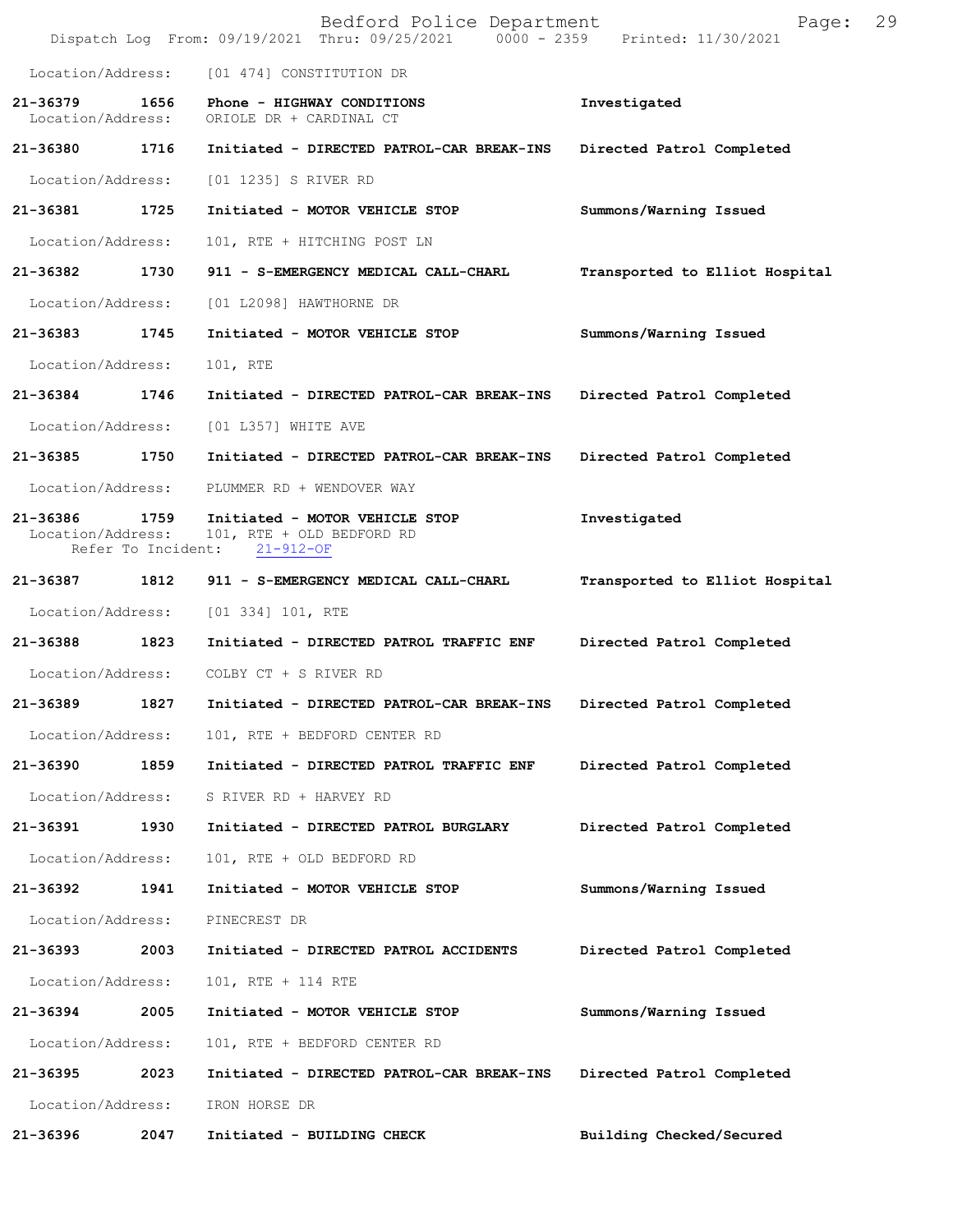|                                    |      | Bedford Police Department<br>Dispatch Log From: 09/19/2021 Thru: 09/25/2021 0000 - 2359 Printed: 11/30/2021 | Page:                          | 29 |
|------------------------------------|------|-------------------------------------------------------------------------------------------------------------|--------------------------------|----|
|                                    |      | Location/Address: [01 474] CONSTITUTION DR                                                                  |                                |    |
| 21-36379<br>Location/Address:      | 1656 | Phone - HIGHWAY CONDITIONS<br>ORIOLE DR + CARDINAL CT                                                       | Investigated                   |    |
| 21-36380 1716                      |      | Initiated - DIRECTED PATROL-CAR BREAK-INS                                                                   | Directed Patrol Completed      |    |
| Location/Address:                  |      | [01 1235] S RIVER RD                                                                                        |                                |    |
| 21-36381                           | 1725 | Initiated - MOTOR VEHICLE STOP                                                                              | Summons/Warning Issued         |    |
| Location/Address:                  |      | 101, RTE + HITCHING POST LN                                                                                 |                                |    |
| 21-36382                           | 1730 | 911 - S-EMERGENCY MEDICAL CALL-CHARL                                                                        | Transported to Elliot Hospital |    |
| Location/Address:                  |      | [01 L2098] HAWTHORNE DR                                                                                     |                                |    |
| 21-36383 1745                      |      | Initiated - MOTOR VEHICLE STOP                                                                              | Summons/Warning Issued         |    |
| Location/Address:                  |      | 101, RTE                                                                                                    |                                |    |
| 21-36384 1746                      |      | Initiated - DIRECTED PATROL-CAR BREAK-INS                                                                   | Directed Patrol Completed      |    |
| Location/Address:                  |      | [01 L357] WHITE AVE                                                                                         |                                |    |
| 21-36385                           | 1750 | Initiated - DIRECTED PATROL-CAR BREAK-INS                                                                   | Directed Patrol Completed      |    |
| Location/Address:                  |      | PLUMMER RD + WENDOVER WAY                                                                                   |                                |    |
| 21-36386 1759<br>Location/Address: |      | Initiated - MOTOR VEHICLE STOP<br>101, RTE + OLD BEDFORD RD<br>Refer To Incident: 21-912-OF                 | Investigated                   |    |
| 21-36387 1812                      |      | 911 - S-EMERGENCY MEDICAL CALL-CHARL                                                                        | Transported to Elliot Hospital |    |
| Location/Address:                  |      | $[01\;334]\;101$ , RTE                                                                                      |                                |    |
| 21-36388                           | 1823 | Initiated - DIRECTED PATROL TRAFFIC ENF                                                                     | Directed Patrol Completed      |    |
| Location/Address:                  |      | COLBY CT + S RIVER RD                                                                                       |                                |    |
| 21-36389                           | 1827 | Initiated - DIRECTED PATROL-CAR BREAK-INS                                                                   | Directed Patrol Completed      |    |
| Location/Address:                  |      | 101, RTE + BEDFORD CENTER RD                                                                                |                                |    |
| 21-36390                           | 1859 | Initiated - DIRECTED PATROL TRAFFIC ENF                                                                     | Directed Patrol Completed      |    |
| Location/Address:                  |      | S RIVER RD + HARVEY RD                                                                                      |                                |    |
| 21-36391                           | 1930 | Initiated - DIRECTED PATROL BURGLARY                                                                        | Directed Patrol Completed      |    |
| Location/Address:                  |      | 101, RTE + OLD BEDFORD RD                                                                                   |                                |    |
| 21-36392 1941                      |      | Initiated - MOTOR VEHICLE STOP                                                                              | Summons/Warning Issued         |    |
| Location/Address:                  |      | PINECREST DR                                                                                                |                                |    |
| 21-36393                           | 2003 | Initiated - DIRECTED PATROL ACCIDENTS                                                                       | Directed Patrol Completed      |    |
| Location/Address:                  |      | 101, RTE + 114 RTE                                                                                          |                                |    |
| 21-36394                           | 2005 | Initiated - MOTOR VEHICLE STOP                                                                              | Summons/Warning Issued         |    |
| Location/Address:                  |      | 101, RTE + BEDFORD CENTER RD                                                                                |                                |    |
| 21-36395                           | 2023 | Initiated - DIRECTED PATROL-CAR BREAK-INS                                                                   | Directed Patrol Completed      |    |
| Location/Address:                  |      | IRON HORSE DR                                                                                               |                                |    |
| 21-36396                           | 2047 | Initiated - BUILDING CHECK                                                                                  | Building Checked/Secured       |    |
|                                    |      |                                                                                                             |                                |    |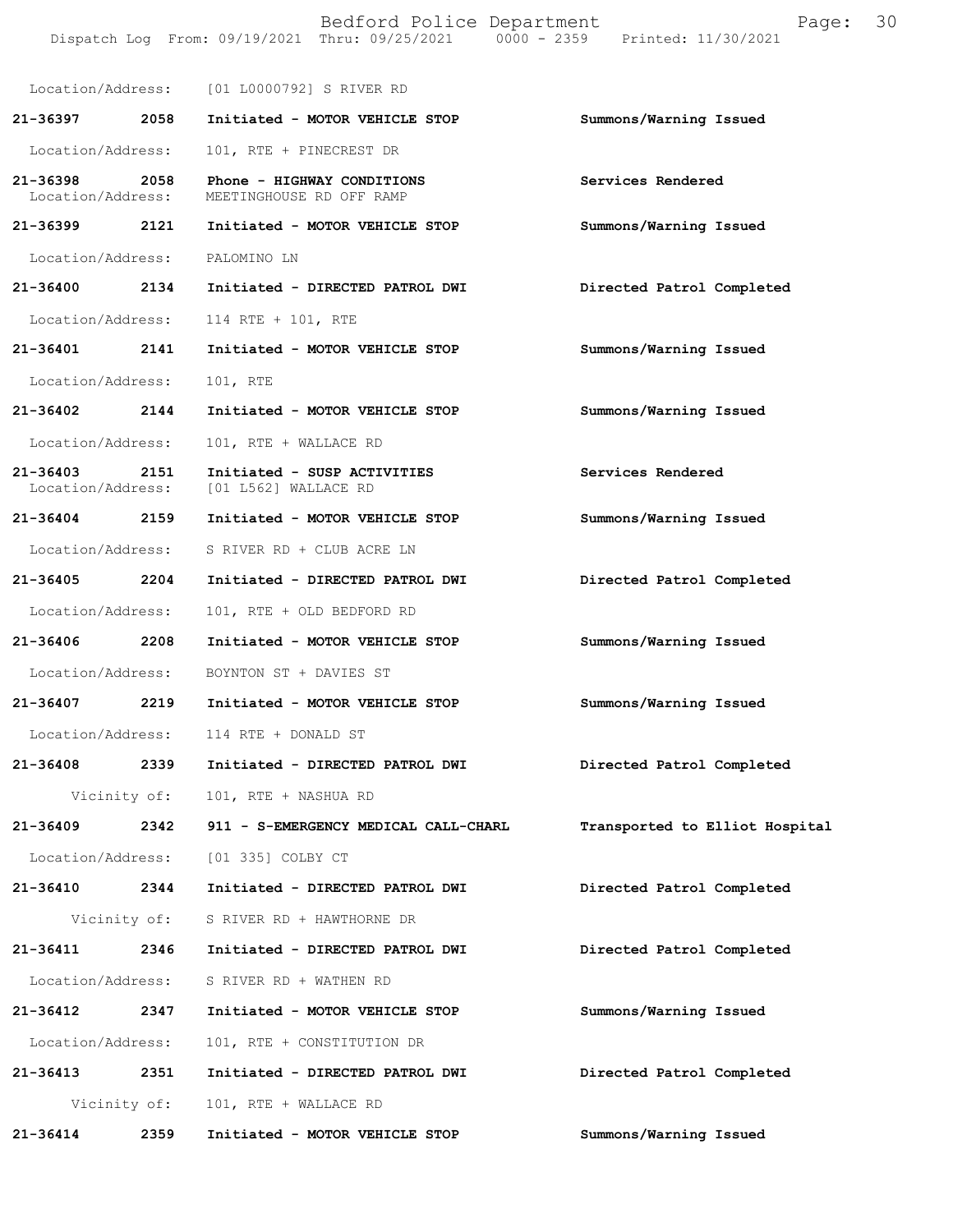|                               |              | Bedford Police Department<br>Dispatch Log From: 09/19/2021 Thru: 09/25/2021 0000 - 2359 Printed: 11/30/2021 | 30<br>Page:                    |
|-------------------------------|--------------|-------------------------------------------------------------------------------------------------------------|--------------------------------|
|                               |              | Location/Address: [01 L0000792] S RIVER RD                                                                  |                                |
| 21-36397                      | 2058         | Initiated - MOTOR VEHICLE STOP                                                                              | Summons/Warning Issued         |
| Location/Address:             |              | 101, RTE + PINECREST DR                                                                                     |                                |
| 21-36398<br>Location/Address: | 2058         | Phone - HIGHWAY CONDITIONS<br>MEETINGHOUSE RD OFF RAMP                                                      | Services Rendered              |
| 21-36399 2121                 |              | Initiated - MOTOR VEHICLE STOP                                                                              | Summons/Warning Issued         |
| Location/Address:             |              | PALOMINO LN                                                                                                 |                                |
| 21-36400                      | 2134         | Initiated - DIRECTED PATROL DWI                                                                             | Directed Patrol Completed      |
| Location/Address:             |              | 114 RTE + 101, RTE                                                                                          |                                |
| 21-36401 2141                 |              | Initiated - MOTOR VEHICLE STOP                                                                              | Summons/Warning Issued         |
| Location/Address:             |              | 101, RTE                                                                                                    |                                |
| 21-36402                      | 2144         | Initiated - MOTOR VEHICLE STOP                                                                              | Summons/Warning Issued         |
| Location/Address:             |              | 101, RTE + WALLACE RD                                                                                       |                                |
| 21-36403<br>Location/Address: | 2151         | Initiated - SUSP ACTIVITIES<br>[01 L562] WALLACE RD                                                         | Services Rendered              |
| 21-36404 2159                 |              | Initiated - MOTOR VEHICLE STOP                                                                              | Summons/Warning Issued         |
| Location/Address:             |              | S RIVER RD + CLUB ACRE LN                                                                                   |                                |
| 21-36405                      | 2204         | Initiated - DIRECTED PATROL DWI                                                                             | Directed Patrol Completed      |
| Location/Address:             |              | 101, RTE + OLD BEDFORD RD                                                                                   |                                |
| 21-36406                      | 2208         | Initiated - MOTOR VEHICLE STOP                                                                              | Summons/Warning Issued         |
|                               |              | Location/Address: BOYNTON ST + DAVIES ST                                                                    |                                |
|                               |              | 21-36407 2219 Initiated - MOTOR VEHICLE STOP                                                                | Summons/Warning Issued         |
|                               |              | Location/Address: 114 RTE + DONALD ST                                                                       |                                |
| 21-36408 2339                 |              | Initiated - DIRECTED PATROL DWI                                                                             | Directed Patrol Completed      |
|                               | Vicinity of: | 101, RTE + NASHUA RD                                                                                        |                                |
| 21-36409 2342                 |              | 911 - S-EMERGENCY MEDICAL CALL-CHARL                                                                        | Transported to Elliot Hospital |
| Location/Address:             |              | [01 335] COLBY CT                                                                                           |                                |
| 21-36410 2344                 |              | Initiated - DIRECTED PATROL DWI                                                                             | Directed Patrol Completed      |
|                               |              | Vicinity of: S RIVER RD + HAWTHORNE DR                                                                      |                                |
| 21-36411                      | 2346         | Initiated - DIRECTED PATROL DWI                                                                             | Directed Patrol Completed      |
| Location/Address:             |              | S RIVER RD + WATHEN RD                                                                                      |                                |
| 21-36412 2347                 |              | Initiated - MOTOR VEHICLE STOP                                                                              | Summons/Warning Issued         |
| Location/Address:             |              | 101, RTE + CONSTITUTION DR                                                                                  |                                |
| 21-36413 2351                 |              | Initiated - DIRECTED PATROL DWI                                                                             | Directed Patrol Completed      |
|                               | Vicinity of: | 101, RTE + WALLACE RD                                                                                       |                                |
| 21-36414                      | 2359         | Initiated - MOTOR VEHICLE STOP                                                                              | Summons/Warning Issued         |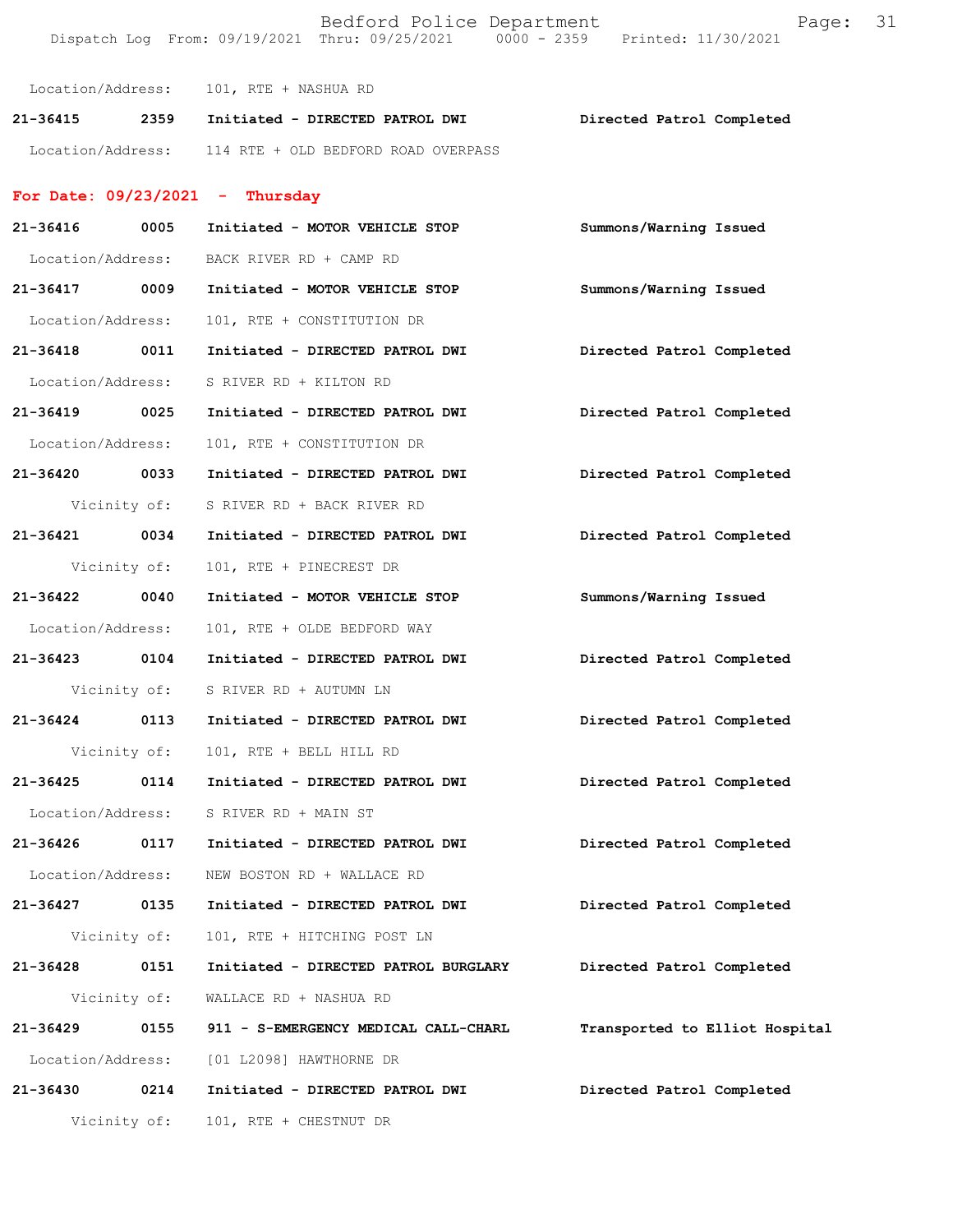|                   |              | Bedford Police Department<br>Dispatch Log From: 09/19/2021 Thru: 09/25/2021 0000 - 2359 Printed: 11/30/2021 | Page:                          | 31 |
|-------------------|--------------|-------------------------------------------------------------------------------------------------------------|--------------------------------|----|
|                   |              | Location/Address: 101, RTE + NASHUA RD                                                                      |                                |    |
|                   |              | 21-36415 2359 Initiated - DIRECTED PATROL DWI                                                               | Directed Patrol Completed      |    |
|                   |              | Location/Address: 114 RTE + OLD BEDFORD ROAD OVERPASS                                                       |                                |    |
|                   |              | For Date: $09/23/2021$ - Thursday                                                                           |                                |    |
| 21-36416          | 0005         | Initiated - MOTOR VEHICLE STOP                                                                              | Summons/Warning Issued         |    |
| Location/Address: |              | BACK RIVER RD + CAMP RD                                                                                     |                                |    |
| 21-36417          | 0009         | Initiated - MOTOR VEHICLE STOP                                                                              | Summons/Warning Issued         |    |
| Location/Address: |              | 101, RTE + CONSTITUTION DR                                                                                  |                                |    |
| 21-36418          | 0011         | Initiated - DIRECTED PATROL DWI                                                                             | Directed Patrol Completed      |    |
| Location/Address: |              | S RIVER RD + KILTON RD                                                                                      |                                |    |
| 21-36419 0025     |              | Initiated - DIRECTED PATROL DWI                                                                             | Directed Patrol Completed      |    |
| Location/Address: |              | 101, RTE + CONSTITUTION DR                                                                                  |                                |    |
| 21-36420 0033     |              | Initiated - DIRECTED PATROL DWI                                                                             | Directed Patrol Completed      |    |
|                   | Vicinity of: | S RIVER RD + BACK RIVER RD                                                                                  |                                |    |
| 21-36421          | 0034         | Initiated - DIRECTED PATROL DWI                                                                             | Directed Patrol Completed      |    |
|                   | Vicinity of: | 101, RTE + PINECREST DR                                                                                     |                                |    |
| 21-36422          | 0040         | Initiated - MOTOR VEHICLE STOP                                                                              | Summons/Warning Issued         |    |
| Location/Address: |              | 101, RTE + OLDE BEDFORD WAY                                                                                 |                                |    |
| 21-36423 0104     |              | Initiated - DIRECTED PATROL DWI                                                                             | Directed Patrol Completed      |    |
|                   |              | Vicinity of: S RIVER RD + AUTUMN LN                                                                         |                                |    |
| 21-36424          | 0113         | Initiated - DIRECTED PATROL DWI                                                                             | Directed Patrol Completed      |    |
|                   | Vicinity of: | 101, RTE + BELL HILL RD                                                                                     |                                |    |
| 21-36425          | 0114         | Initiated - DIRECTED PATROL DWI                                                                             | Directed Patrol Completed      |    |
| Location/Address: |              | S RIVER RD + MAIN ST                                                                                        |                                |    |
| 21-36426          | 0117         | Initiated - DIRECTED PATROL DWI                                                                             | Directed Patrol Completed      |    |
| Location/Address: |              | NEW BOSTON RD + WALLACE RD                                                                                  |                                |    |
| 21-36427          | 0135         | Initiated - DIRECTED PATROL DWI                                                                             | Directed Patrol Completed      |    |
|                   | Vicinity of: | 101, RTE + HITCHING POST LN                                                                                 |                                |    |
| 21-36428          | 0151         | Initiated - DIRECTED PATROL BURGLARY                                                                        | Directed Patrol Completed      |    |
|                   | Vicinity of: | WALLACE RD + NASHUA RD                                                                                      |                                |    |
| 21-36429          | 0155         | 911 - S-EMERGENCY MEDICAL CALL-CHARL                                                                        | Transported to Elliot Hospital |    |
| Location/Address: |              | [01 L2098] HAWTHORNE DR                                                                                     |                                |    |
| 21-36430          | 0214         | Initiated - DIRECTED PATROL DWI                                                                             | Directed Patrol Completed      |    |
|                   | Vicinity of: | 101, RTE + CHESTNUT DR                                                                                      |                                |    |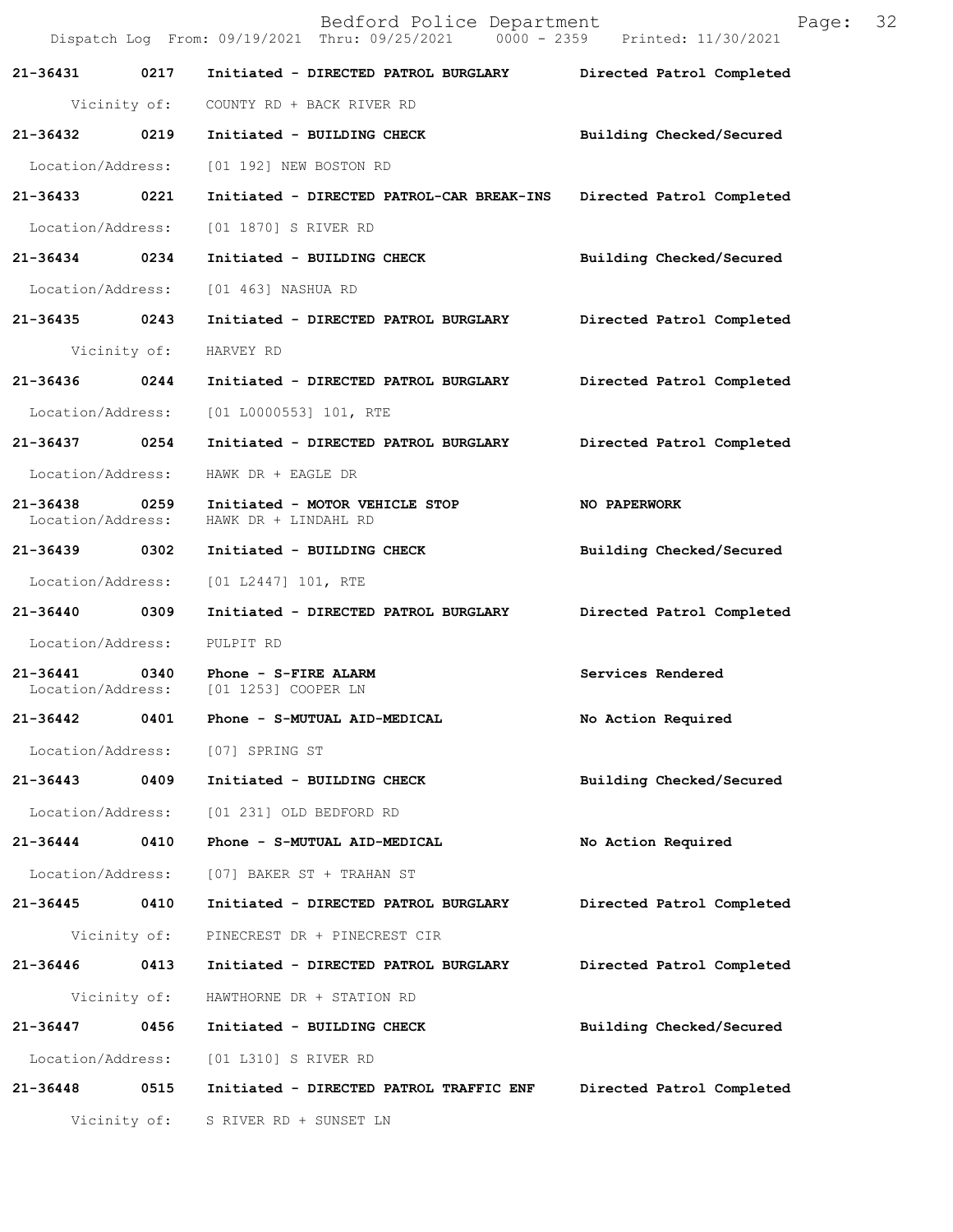|                                    |              | Bedford Police Department<br>Dispatch Log From: 09/19/2021 Thru: 09/25/2021 0000 - 2359 Printed: 11/30/2021 | Page:                     | 32 |
|------------------------------------|--------------|-------------------------------------------------------------------------------------------------------------|---------------------------|----|
| 21-36431                           | 0217         | Initiated - DIRECTED PATROL BURGLARY                                                                        | Directed Patrol Completed |    |
|                                    | Vicinity of: | COUNTY RD + BACK RIVER RD                                                                                   |                           |    |
| 21-36432                           | 0219         | Initiated - BUILDING CHECK                                                                                  | Building Checked/Secured  |    |
| Location/Address:                  |              | [01 192] NEW BOSTON RD                                                                                      |                           |    |
| 21-36433 0221                      |              | Initiated - DIRECTED PATROL-CAR BREAK-INS                                                                   | Directed Patrol Completed |    |
| Location/Address:                  |              | [01 1870] S RIVER RD                                                                                        |                           |    |
| 21-36434 0234                      |              | Initiated - BUILDING CHECK                                                                                  | Building Checked/Secured  |    |
| Location/Address:                  |              | [01 463] NASHUA RD                                                                                          |                           |    |
| 21-36435 0243                      |              | Initiated - DIRECTED PATROL BURGLARY                                                                        | Directed Patrol Completed |    |
|                                    | Vicinity of: | HARVEY RD                                                                                                   |                           |    |
| 21-36436                           | 0244         | Initiated - DIRECTED PATROL BURGLARY                                                                        | Directed Patrol Completed |    |
| Location/Address:                  |              | [01 L0000553] 101, RTE                                                                                      |                           |    |
| 21-36437 0254                      |              | Initiated - DIRECTED PATROL BURGLARY                                                                        | Directed Patrol Completed |    |
| Location/Address:                  |              | HAWK DR + EAGLE DR                                                                                          |                           |    |
| 21-36438 0259<br>Location/Address: |              | Initiated - MOTOR VEHICLE STOP<br>HAWK DR + LINDAHL RD                                                      | NO PAPERWORK              |    |
| 21-36439 0302                      |              | Initiated - BUILDING CHECK                                                                                  | Building Checked/Secured  |    |
| Location/Address:                  |              | [01 L2447] 101, RTE                                                                                         |                           |    |
| 21-36440 0309                      |              | Initiated - DIRECTED PATROL BURGLARY                                                                        | Directed Patrol Completed |    |
| Location/Address:                  |              | PULPIT RD                                                                                                   |                           |    |
| 21-36441<br>Location/Address:      | 0340         | Phone - S-FIRE ALARM<br>[01 1253] COOPER LN                                                                 | Services Rendered         |    |
| 21-36442                           | 0401         | Phone - S-MUTUAL AID-MEDICAL                                                                                | No Action Required        |    |
| Location/Address:                  |              | [07] SPRING ST                                                                                              |                           |    |
| 21-36443                           | 0409         | Initiated - BUILDING CHECK                                                                                  | Building Checked/Secured  |    |
| Location/Address:                  |              | [01 231] OLD BEDFORD RD                                                                                     |                           |    |
| 21-36444 0410                      |              | Phone - S-MUTUAL AID-MEDICAL                                                                                | No Action Required        |    |
| Location/Address:                  |              | [07] BAKER ST + TRAHAN ST                                                                                   |                           |    |
| 21-36445                           | 0410         | Initiated - DIRECTED PATROL BURGLARY                                                                        | Directed Patrol Completed |    |
|                                    | Vicinity of: | PINECREST DR + PINECREST CIR                                                                                |                           |    |
| 21-36446                           | 0413         | Initiated - DIRECTED PATROL BURGLARY                                                                        | Directed Patrol Completed |    |
|                                    | Vicinity of: | HAWTHORNE DR + STATION RD                                                                                   |                           |    |
| 21-36447                           | 0456         | Initiated - BUILDING CHECK                                                                                  | Building Checked/Secured  |    |
| Location/Address:                  |              | [01 L310] S RIVER RD                                                                                        |                           |    |
| 21-36448 0515                      |              | Initiated - DIRECTED PATROL TRAFFIC ENF                                                                     | Directed Patrol Completed |    |
|                                    | Vicinity of: | S RIVER RD + SUNSET LN                                                                                      |                           |    |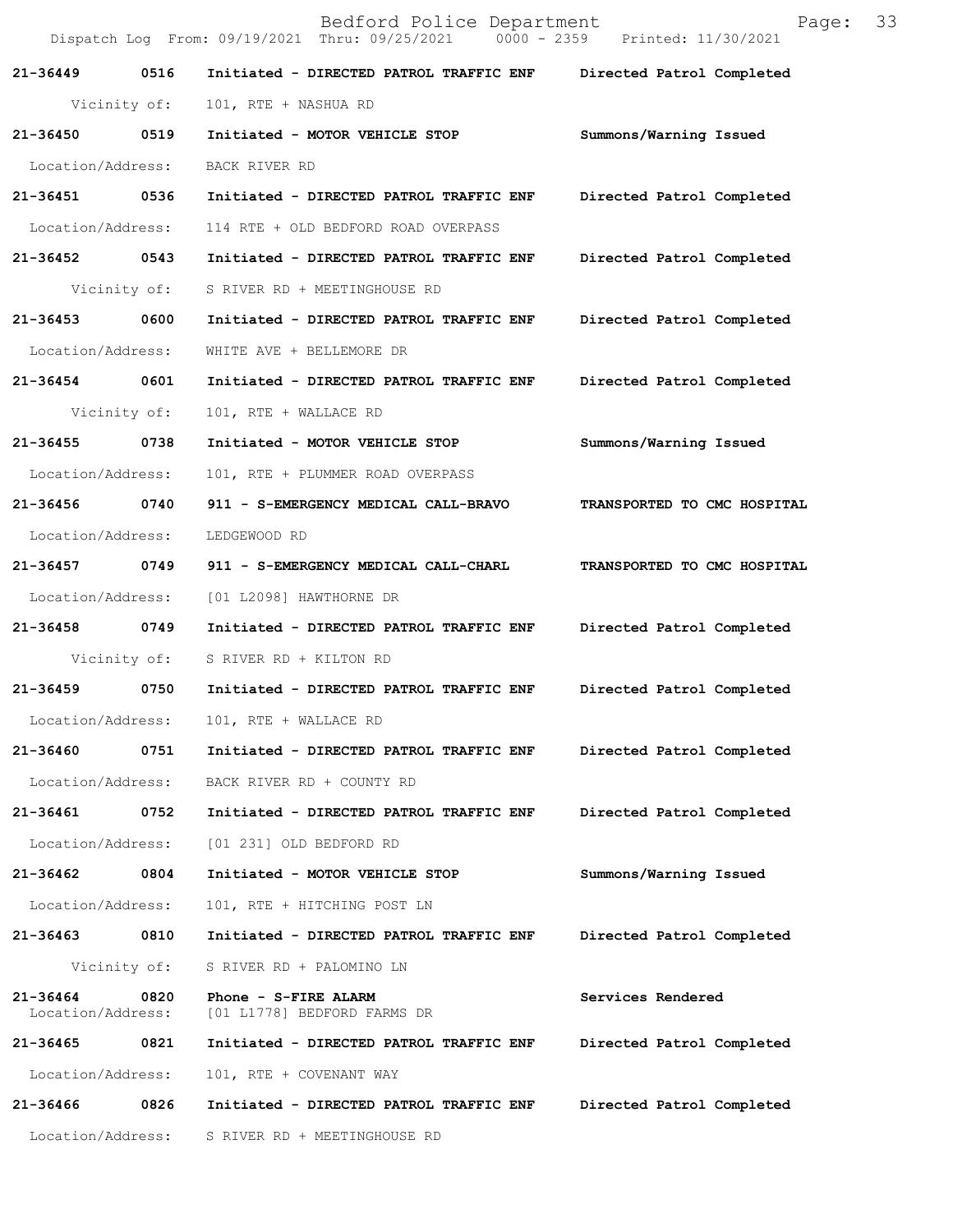|                               |              | Bedford Police Department<br>Dispatch Log From: 09/19/2021 Thru: 09/25/2021   0000 - 2359   Printed: 11/30/2021 | Page:                       | 33 |
|-------------------------------|--------------|-----------------------------------------------------------------------------------------------------------------|-----------------------------|----|
| 21-36449 0516                 |              | Initiated - DIRECTED PATROL TRAFFIC ENF Directed Patrol Completed                                               |                             |    |
|                               | Vicinity of: | 101, RTE + NASHUA RD                                                                                            |                             |    |
| 21-36450 0519                 |              | Initiated - MOTOR VEHICLE STOP                                                                                  | Summons/Warning Issued      |    |
| Location/Address:             |              | BACK RIVER RD                                                                                                   |                             |    |
| 21-36451 0536                 |              | Initiated - DIRECTED PATROL TRAFFIC ENF                                                                         | Directed Patrol Completed   |    |
| Location/Address:             |              | 114 RTE + OLD BEDFORD ROAD OVERPASS                                                                             |                             |    |
| 21-36452 0543                 |              | Initiated - DIRECTED PATROL TRAFFIC ENF                                                                         | Directed Patrol Completed   |    |
|                               | Vicinity of: | S RIVER RD + MEETINGHOUSE RD                                                                                    |                             |    |
| 21-36453 0600                 |              | Initiated - DIRECTED PATROL TRAFFIC ENF                                                                         | Directed Patrol Completed   |    |
| Location/Address:             |              | WHITE AVE + BELLEMORE DR                                                                                        |                             |    |
| 21-36454 0601                 |              | Initiated - DIRECTED PATROL TRAFFIC ENF                                                                         | Directed Patrol Completed   |    |
|                               | Vicinity of: | 101, RTE + WALLACE RD                                                                                           |                             |    |
| 21-36455 0738                 |              | Initiated - MOTOR VEHICLE STOP                                                                                  | Summons/Warning Issued      |    |
| Location/Address:             |              | 101, RTE + PLUMMER ROAD OVERPASS                                                                                |                             |    |
| 21-36456 0740                 |              | 911 - S-EMERGENCY MEDICAL CALL-BRAVO                                                                            | TRANSPORTED TO CMC HOSPITAL |    |
| Location/Address:             |              | LEDGEWOOD RD                                                                                                    |                             |    |
| 21-36457 0749                 |              | 911 - S-EMERGENCY MEDICAL CALL-CHARL                                                                            | TRANSPORTED TO CMC HOSPITAL |    |
| Location/Address:             |              | [01 L2098] HAWTHORNE DR                                                                                         |                             |    |
| 21-36458 0749                 |              | Initiated - DIRECTED PATROL TRAFFIC ENF                                                                         | Directed Patrol Completed   |    |
|                               | Vicinity of: | S RIVER RD + KILTON RD                                                                                          |                             |    |
| 21-36459                      | 0750         | Initiated - DIRECTED PATROL TRAFFIC ENF                                                                         | Directed Patrol Completed   |    |
| Location/Address:             |              | 101, RTE + WALLACE RD                                                                                           |                             |    |
| 21-36460                      | 0751         | Initiated - DIRECTED PATROL TRAFFIC ENF                                                                         | Directed Patrol Completed   |    |
| Location/Address:             |              | BACK RIVER RD + COUNTY RD                                                                                       |                             |    |
| 21-36461                      | 0752         | Initiated - DIRECTED PATROL TRAFFIC ENF                                                                         | Directed Patrol Completed   |    |
| Location/Address:             |              | [01 231] OLD BEDFORD RD                                                                                         |                             |    |
| 21-36462                      | 0804         | Initiated - MOTOR VEHICLE STOP                                                                                  | Summons/Warning Issued      |    |
| Location/Address:             |              | 101, RTE + HITCHING POST LN                                                                                     |                             |    |
| 21-36463                      | 0810         | Initiated - DIRECTED PATROL TRAFFIC ENF                                                                         | Directed Patrol Completed   |    |
|                               | Vicinity of: | S RIVER RD + PALOMINO LN                                                                                        |                             |    |
| 21-36464<br>Location/Address: | 0820         | Phone - S-FIRE ALARM<br>[01 L1778] BEDFORD FARMS DR                                                             | Services Rendered           |    |
| 21-36465                      | 0821         | Initiated - DIRECTED PATROL TRAFFIC ENF                                                                         | Directed Patrol Completed   |    |
| Location/Address:             |              | 101, RTE + COVENANT WAY                                                                                         |                             |    |
| 21-36466                      | 0826         | Initiated - DIRECTED PATROL TRAFFIC ENF                                                                         | Directed Patrol Completed   |    |
| Location/Address:             |              | S RIVER RD + MEETINGHOUSE RD                                                                                    |                             |    |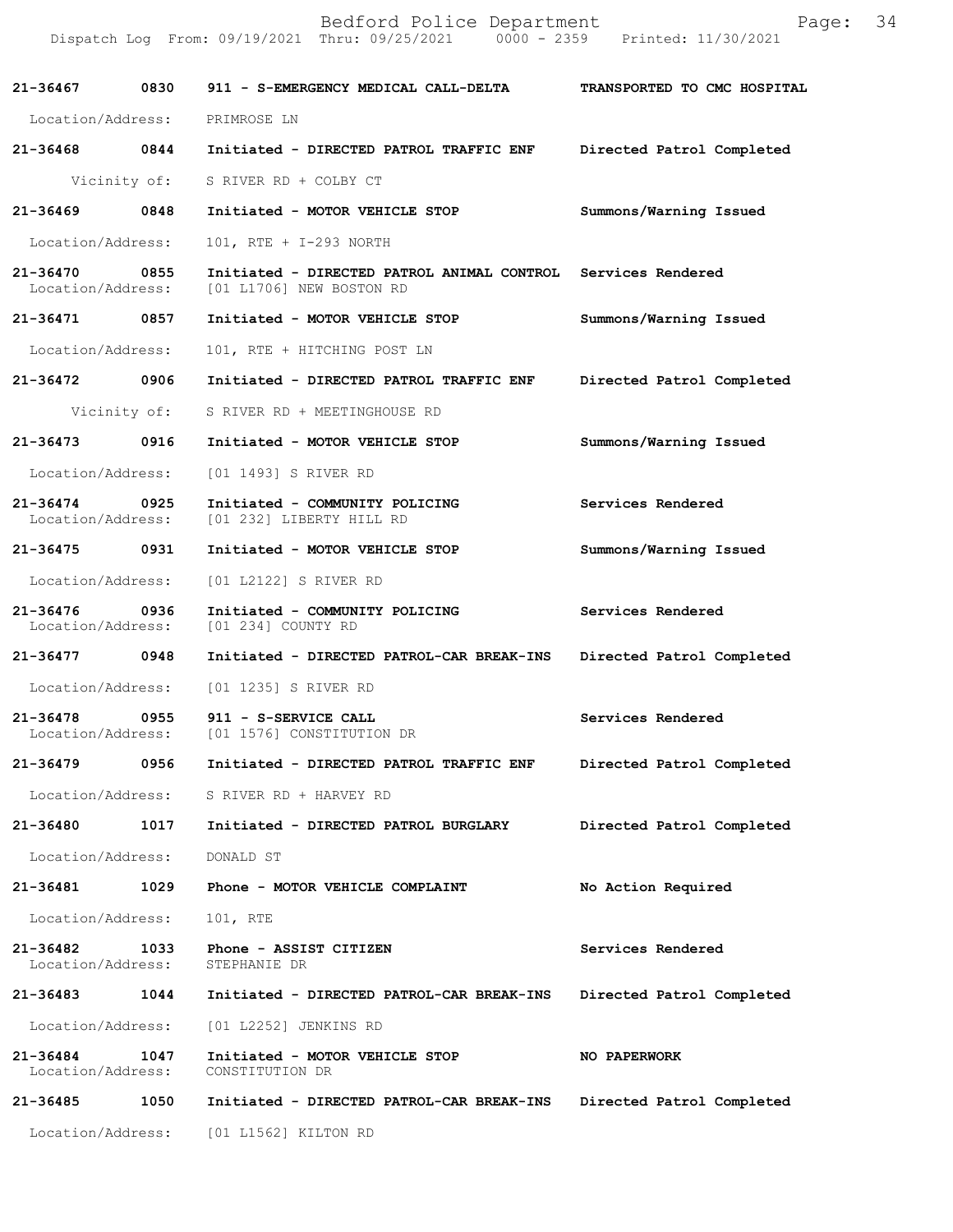|                                    |              | Bedford Police Department<br>Dispatch Log From: 09/19/2021 Thru: 09/25/2021 0000 - 2359 Printed: 11/30/2021 | Page:                       | 34 |
|------------------------------------|--------------|-------------------------------------------------------------------------------------------------------------|-----------------------------|----|
| 21-36467                           | 0830         | 911 - S-EMERGENCY MEDICAL CALL-DELTA                                                                        | TRANSPORTED TO CMC HOSPITAL |    |
| Location/Address:                  |              | PRIMROSE LN                                                                                                 |                             |    |
| 21-36468 0844                      |              | Initiated - DIRECTED PATROL TRAFFIC ENF                                                                     | Directed Patrol Completed   |    |
|                                    | Vicinity of: | S RIVER RD + COLBY CT                                                                                       |                             |    |
| 21-36469                           | 0848         | Initiated - MOTOR VEHICLE STOP                                                                              | Summons/Warning Issued      |    |
| Location/Address:                  |              | 101, RTE + I-293 NORTH                                                                                      |                             |    |
| $21 - 36470$<br>Location/Address:  | 0855         | Initiated - DIRECTED PATROL ANIMAL CONTROL Services Rendered<br>[01 L1706] NEW BOSTON RD                    |                             |    |
| 21-36471 0857                      |              | Initiated - MOTOR VEHICLE STOP                                                                              | Summons/Warning Issued      |    |
| Location/Address:                  |              | 101, RTE + HITCHING POST LN                                                                                 |                             |    |
| 21-36472                           | 0906         | Initiated - DIRECTED PATROL TRAFFIC ENF                                                                     | Directed Patrol Completed   |    |
|                                    | Vicinity of: | S RIVER RD + MEETINGHOUSE RD                                                                                |                             |    |
| 21-36473                           | 0916         | Initiated - MOTOR VEHICLE STOP                                                                              | Summons/Warning Issued      |    |
| Location/Address:                  |              | [01 1493] S RIVER RD                                                                                        |                             |    |
| 21-36474 0925<br>Location/Address: |              | Initiated - COMMUNITY POLICING<br>[01 232] LIBERTY HILL RD                                                  | Services Rendered           |    |
| 21-36475                           | 0931         | Initiated - MOTOR VEHICLE STOP                                                                              | Summons/Warning Issued      |    |
| Location/Address:                  |              | [01 L2122] S RIVER RD                                                                                       |                             |    |
| 21-36476 0936<br>Location/Address: |              | Initiated - COMMUNITY POLICING<br>[01 234] COUNTY RD                                                        | Services Rendered           |    |
| 21-36477 0948                      |              | Initiated - DIRECTED PATROL-CAR BREAK-INS                                                                   | Directed Patrol Completed   |    |
|                                    |              | Location/Address: [01 1235] S RIVER RD                                                                      |                             |    |
| 21-36478<br>Location/Address:      | 0955         | 911 - S-SERVICE CALL<br>[01 1576] CONSTITUTION DR                                                           | Services Rendered           |    |
| 21-36479                           | 0956         | Initiated - DIRECTED PATROL TRAFFIC ENF                                                                     | Directed Patrol Completed   |    |
| Location/Address:                  |              | S RIVER RD + HARVEY RD                                                                                      |                             |    |
| 21-36480                           | 1017         | Initiated - DIRECTED PATROL BURGLARY                                                                        | Directed Patrol Completed   |    |
| Location/Address:                  |              | DONALD ST                                                                                                   |                             |    |
| 21-36481                           | 1029         | Phone - MOTOR VEHICLE COMPLAINT                                                                             | No Action Required          |    |
| Location/Address:                  |              | 101, RTE                                                                                                    |                             |    |
| 21-36482<br>Location/Address:      | 1033         | Phone - ASSIST CITIZEN<br>STEPHANIE DR                                                                      | Services Rendered           |    |
| 21-36483                           | 1044         | Initiated - DIRECTED PATROL-CAR BREAK-INS                                                                   | Directed Patrol Completed   |    |
| Location/Address:                  |              | [01 L2252] JENKINS RD                                                                                       |                             |    |
| 21-36484<br>Location/Address:      | 1047         | Initiated - MOTOR VEHICLE STOP<br>CONSTITUTION DR                                                           | NO PAPERWORK                |    |
| 21-36485                           | 1050         | Initiated - DIRECTED PATROL-CAR BREAK-INS                                                                   | Directed Patrol Completed   |    |
| Location/Address:                  |              | [01 L1562] KILTON RD                                                                                        |                             |    |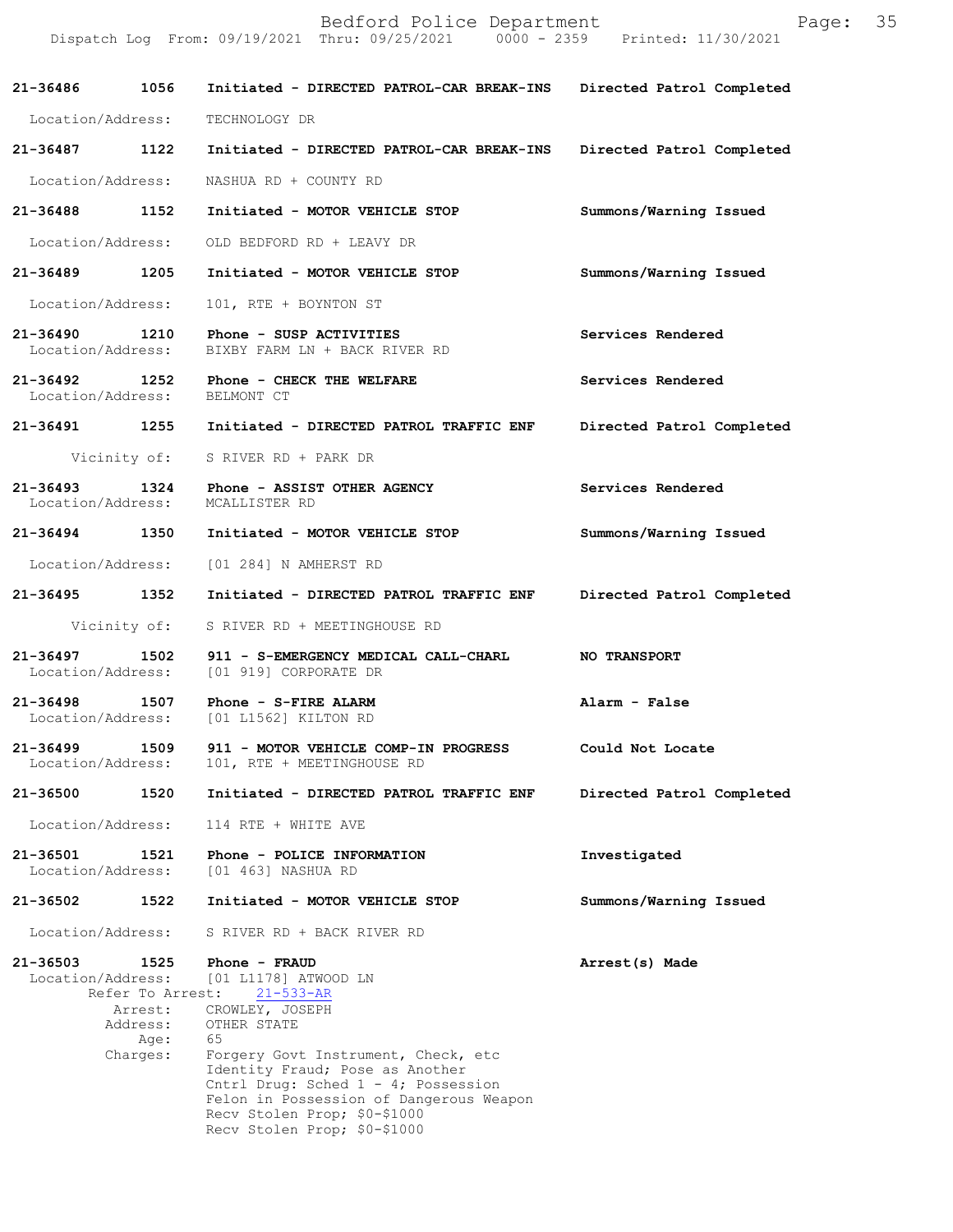|                                    |                                                 | Bedford Police Department<br>Dispatch Log From: 09/19/2021 Thru: 09/25/2021 0000 - 2359 Printed: 11/30/2021                                                                                                                       | Page:                     | 35 |
|------------------------------------|-------------------------------------------------|-----------------------------------------------------------------------------------------------------------------------------------------------------------------------------------------------------------------------------------|---------------------------|----|
| 21-36486                           | 1056                                            | Initiated - DIRECTED PATROL-CAR BREAK-INS                                                                                                                                                                                         | Directed Patrol Completed |    |
| Location/Address:                  |                                                 | TECHNOLOGY DR                                                                                                                                                                                                                     |                           |    |
| 21-36487 1122                      |                                                 | Initiated - DIRECTED PATROL-CAR BREAK-INS                                                                                                                                                                                         | Directed Patrol Completed |    |
| Location/Address:                  |                                                 | NASHUA RD + COUNTY RD                                                                                                                                                                                                             |                           |    |
| 21-36488 1152                      |                                                 | Initiated - MOTOR VEHICLE STOP                                                                                                                                                                                                    | Summons/Warning Issued    |    |
| Location/Address:                  |                                                 | OLD BEDFORD RD + LEAVY DR                                                                                                                                                                                                         |                           |    |
| 21-36489 1205                      |                                                 | Initiated - MOTOR VEHICLE STOP                                                                                                                                                                                                    | Summons/Warning Issued    |    |
| Location/Address:                  |                                                 | 101, RTE + BOYNTON ST                                                                                                                                                                                                             |                           |    |
| Location/Address:                  |                                                 | 21-36490 1210 Phone - SUSP ACTIVITIES<br>BIXBY FARM LN + BACK RIVER RD                                                                                                                                                            | Services Rendered         |    |
| Location/Address: BELMONT CT       |                                                 | 21-36492 1252 Phone - CHECK THE WELFARE                                                                                                                                                                                           | Services Rendered         |    |
|                                    |                                                 | 21-36491 1255 Initiated - DIRECTED PATROL TRAFFIC ENF                                                                                                                                                                             | Directed Patrol Completed |    |
|                                    |                                                 | Vicinity of: S RIVER RD + PARK DR                                                                                                                                                                                                 |                           |    |
| 21-36493 1324<br>Location/Address: |                                                 | Phone - ASSIST OTHER AGENCY<br>MCALLISTER RD                                                                                                                                                                                      | Services Rendered         |    |
| 21-36494 1350                      |                                                 | Initiated - MOTOR VEHICLE STOP                                                                                                                                                                                                    | Summons/Warning Issued    |    |
|                                    |                                                 | Location/Address: [01 284] N AMHERST RD                                                                                                                                                                                           |                           |    |
|                                    |                                                 | 21-36495 1352 Initiated - DIRECTED PATROL TRAFFIC ENF                                                                                                                                                                             | Directed Patrol Completed |    |
|                                    |                                                 | Vicinity of: S RIVER RD + MEETINGHOUSE RD                                                                                                                                                                                         |                           |    |
| $21 - 36497$                       |                                                 | 1502 911 - S-EMERGENCY MEDICAL CALL-CHARL<br>Location/Address: [01 919] CORPORATE DR                                                                                                                                              | <b>NO TRANSPORT</b>       |    |
| 21-36498 1507<br>Location/Address: |                                                 | Phone - S-FIRE ALARM<br>[01 L1562] KILTON RD                                                                                                                                                                                      | Alarm - False             |    |
| 21-36499<br>Location/Address:      | 1509                                            | 911 - MOTOR VEHICLE COMP-IN PROGRESS<br>101, RTE + MEETINGHOUSE RD                                                                                                                                                                | Could Not Locate          |    |
| 21-36500                           | 1520                                            | Initiated - DIRECTED PATROL TRAFFIC ENF                                                                                                                                                                                           | Directed Patrol Completed |    |
| Location/Address:                  |                                                 | 114 RTE + WHITE AVE                                                                                                                                                                                                               |                           |    |
| 21-36501<br>Location/Address:      | 1521                                            | Phone - POLICE INFORMATION<br>[01 463] NASHUA RD                                                                                                                                                                                  | Investigated              |    |
| 21-36502                           | 1522                                            | Initiated - MOTOR VEHICLE STOP                                                                                                                                                                                                    | Summons/Warning Issued    |    |
| Location/Address:                  |                                                 | S RIVER RD + BACK RIVER RD                                                                                                                                                                                                        |                           |    |
| 21-36503<br>Location/Address:      | 1525<br>Refer To Arrest:<br>Arrest:<br>Address: | Phone - FRAUD<br>[01 L1178] ATWOOD LN<br>$21 - 533 - AR$<br>CROWLEY, JOSEPH<br>OTHER STATE                                                                                                                                        | Arrest(s) Made            |    |
|                                    | Age:<br>Charges:                                | 65<br>Forgery Govt Instrument, Check, etc<br>Identity Fraud; Pose as Another<br>Cntrl Drug: Sched $1 - 4$ ; Possession<br>Felon in Possession of Dangerous Weapon<br>Recv Stolen Prop; \$0-\$1000<br>Recv Stolen Prop; \$0-\$1000 |                           |    |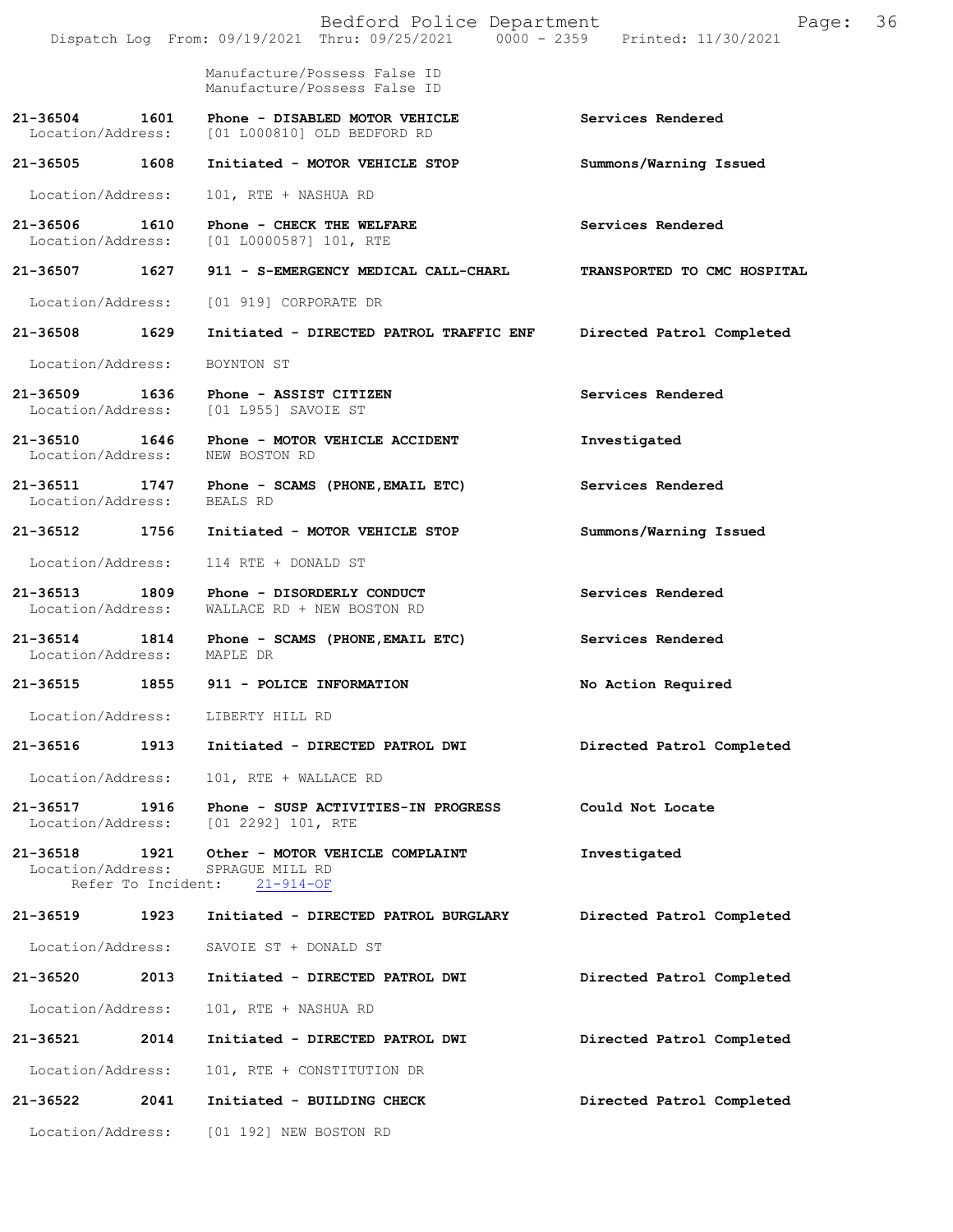|                                    |                    | Bedford Police Department<br>Dispatch Log From: 09/19/2021 Thru: 09/25/2021 0000 - 2359 Printed: 11/30/2021 | Page:                       | 36 |
|------------------------------------|--------------------|-------------------------------------------------------------------------------------------------------------|-----------------------------|----|
|                                    |                    | Manufacture/Possess False ID<br>Manufacture/Possess False ID                                                |                             |    |
| 21-36504 1601                      |                    | Phone - DISABLED MOTOR VEHICLE<br>Location/Address: [01 L000810] OLD BEDFORD RD                             | Services Rendered           |    |
| 21-36505 1608                      |                    | Initiated - MOTOR VEHICLE STOP                                                                              | Summons/Warning Issued      |    |
| Location/Address:                  |                    | 101, RTE + NASHUA RD                                                                                        |                             |    |
| 21-36506 1610                      |                    | Phone - CHECK THE WELFARE<br>Location/Address: [01 L0000587] 101, RTE                                       | Services Rendered           |    |
| 21-36507 1627                      |                    | 911 - S-EMERGENCY MEDICAL CALL-CHARL                                                                        | TRANSPORTED TO CMC HOSPITAL |    |
|                                    |                    | Location/Address: [01 919] CORPORATE DR                                                                     |                             |    |
| 21-36508                           | 1629               | Initiated - DIRECTED PATROL TRAFFIC ENF                                                                     | Directed Patrol Completed   |    |
| Location/Address:                  |                    | BOYNTON ST                                                                                                  |                             |    |
| 21-36509 1636                      |                    | Phone - ASSIST CITIZEN<br>Location/Address: [01 L955] SAVOIE ST                                             | Services Rendered           |    |
|                                    |                    | 21-36510 1646 Phone - MOTOR VEHICLE ACCIDENT<br>Location/Address: NEW BOSTON RD                             | Investigated                |    |
| 21-36511 1747<br>Location/Address: |                    | Phone - SCAMS (PHONE, EMAIL ETC)<br>BEALS RD                                                                | Services Rendered           |    |
| 21-36512 1756                      |                    | Initiated - MOTOR VEHICLE STOP                                                                              | Summons/Warning Issued      |    |
| Location/Address:                  |                    | 114 RTE + DONALD ST                                                                                         |                             |    |
| 21-36513 1809                      |                    | Phone - DISORDERLY CONDUCT<br>Location/Address: WALLACE RD + NEW BOSTON RD                                  | Services Rendered           |    |
| Location/Address: MAPLE DR         |                    | 21-36514 1814 Phone - SCAMS (PHONE, EMAIL ETC)                                                              | Services Rendered           |    |
|                                    |                    | 21-36515 1855 911 - POLICE INFORMATION                                                                      | No Action Required          |    |
| Location/Address:                  |                    | LIBERTY HILL RD                                                                                             |                             |    |
| 21-36516                           | 1913               | Initiated - DIRECTED PATROL DWI                                                                             | Directed Patrol Completed   |    |
| Location/Address:                  |                    | 101, RTE + WALLACE RD                                                                                       |                             |    |
| 21-36517<br>Location/Address:      | 1916               | Phone - SUSP ACTIVITIES-IN PROGRESS<br>[01 2292] 101, RTE                                                   | Could Not Locate            |    |
| 21-36518 1921<br>Location/Address: | Refer To Incident: | Other - MOTOR VEHICLE COMPLAINT<br>SPRAGUE MILL RD<br>$21 - 914 - OF$                                       | Investigated                |    |
| 21-36519                           | 1923               | Initiated - DIRECTED PATROL BURGLARY                                                                        | Directed Patrol Completed   |    |
| Location/Address:                  |                    | SAVOIE ST + DONALD ST                                                                                       |                             |    |
| 21-36520                           | 2013               | Initiated - DIRECTED PATROL DWI                                                                             | Directed Patrol Completed   |    |
| Location/Address:                  |                    | 101, RTE + NASHUA RD                                                                                        |                             |    |
| 21-36521                           | 2014               | Initiated - DIRECTED PATROL DWI                                                                             | Directed Patrol Completed   |    |
| Location/Address:                  |                    | 101, RTE + CONSTITUTION DR                                                                                  |                             |    |
| 21-36522                           | 2041               | Initiated - BUILDING CHECK                                                                                  | Directed Patrol Completed   |    |
|                                    |                    | Location/Address: [01 192] NEW BOSTON RD                                                                    |                             |    |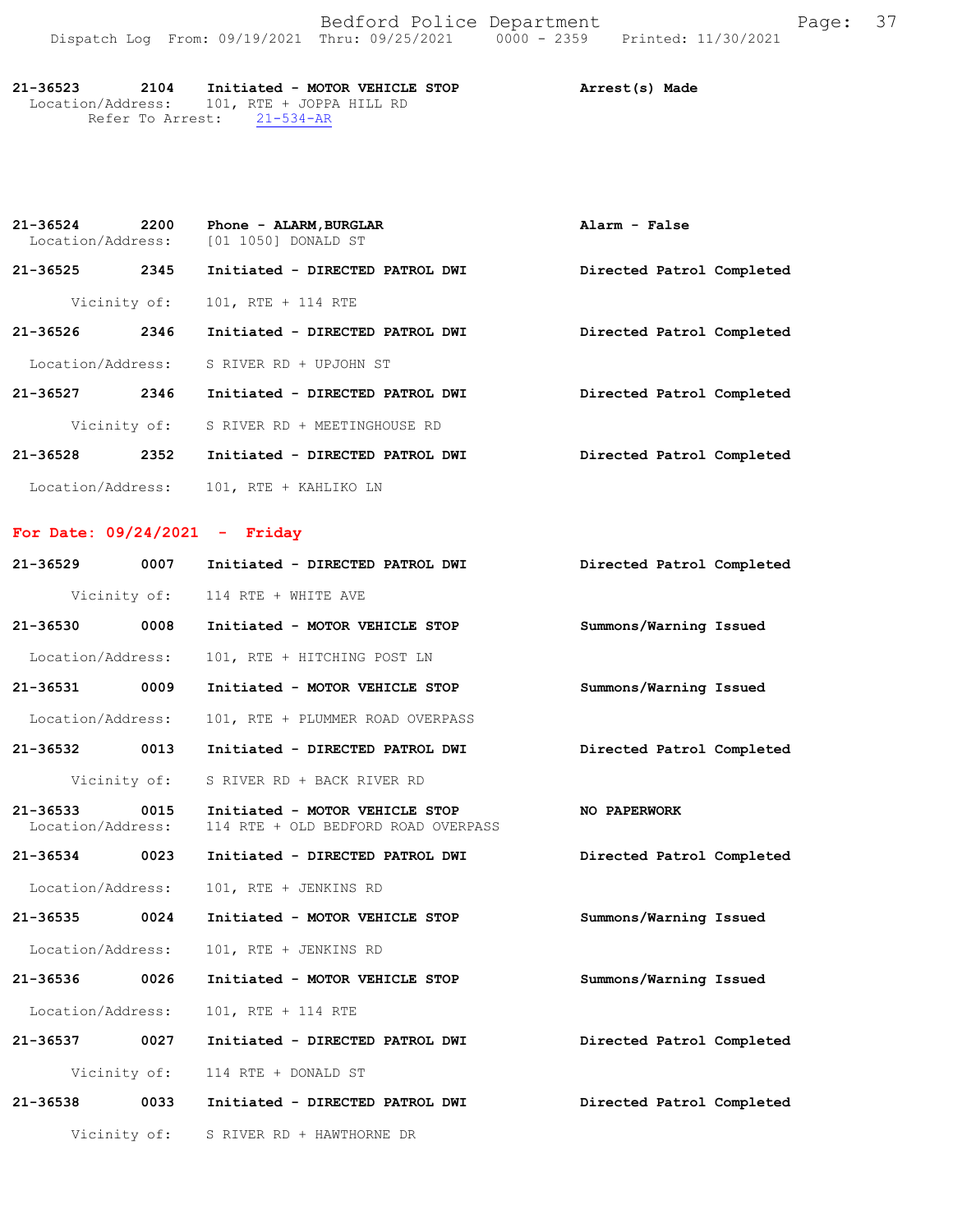Bedford Police Department Fage: 37 Dispatch Log From: 09/19/2021 Thru: 09/25/2021 0000 - 2359 Printed: 11/30/2021

| 21-36523                                   | 2104                       |  | Initiated - MOTOR VEHICLE STOP |  |  | Arrest(s) Made |  |
|--------------------------------------------|----------------------------|--|--------------------------------|--|--|----------------|--|
| Location/Address: 101, RTE + JOPPA HILL RD |                            |  |                                |  |  |                |  |
|                                            | Refer To Arrest: 21-534-AR |  |                                |  |  |                |  |

**Directed Patrol Completed** 

**Directed Patrol Completed** 

| $21 - 36524$                    | 2200 | Phone - ALARM, BURGLAR<br>Location/Address: [01 1050] DONALD ST | Alarm - False             |
|---------------------------------|------|-----------------------------------------------------------------|---------------------------|
| 21-36525                        | 2345 | Initiated - DIRECTED PATROL DWI                                 | Directed Patrol Completed |
| Vicinity of:                    |      | 101, RTE + 114 RTE                                              |                           |
| 21-36526                        | 2346 | Initiated - DIRECTED PATROL DWI                                 | Directed Patrol Completed |
| Location/Address:               |      | S RIVER RD + UPJOHN ST                                          |                           |
| 21-36527                        | 2346 | Initiated - DIRECTED PATROL DWI                                 | Directed Patrol Completed |
|                                 |      | Vicinity of: S RIVER RD + MEETINGHOUSE RD                       |                           |
| 21-36528 2352                   |      | Initiated - DIRECTED PATROL DWI                                 | Directed Patrol Completed |
|                                 |      | Location/Address: 101, RTE + KAHLIKO LN                         |                           |
| For Date: $09/24/2021$ - Friday |      |                                                                 |                           |
| $21 - 36529$                    | 0007 | Initiated - DIRECTED PATROL DWI                                 | Directed Patrol Completed |
|                                 |      | Vicinity of: 114 RTE + WHITE AVE                                |                           |
| 21-36530                        | 0008 | Initiated - MOTOR VEHICLE STOP                                  | Summons/Warning Issued    |
| Location/Address:               |      | 101, RTE + HITCHING POST LN                                     |                           |
| $21 - 36531$                    | 0009 | Initiated - MOTOR VEHICLE STOP                                  | Summons/Warning Issued    |

**Directed Patrol Completed**  Location/Address: 101, RTE + PLUMMER ROAD OVERPASS **21-36532 0013 Initiated - DIRECTED PATROL DWI**

**NO PAPERWORK 21-36533 0015 Initiated - MOTOR VEHICLE STOP** Location/Address: 114 RTE + OLD BEDFORD ROAD OVERPASS

**21-36534 0023 Initiated - DIRECTED PATROL DWI**

Vicinity of: S RIVER RD + BACK RIVER RD

Location/Address: 101, RTE + JENKINS RD

**Summons/Warning Issued 21-36535 0024 Initiated - MOTOR VEHICLE STOP**

Location/Address: 101, RTE + JENKINS RD

**Summons/Warning Issued 21-36536 0026 Initiated - MOTOR VEHICLE STOP** Location/Address: 101, RTE + 114 RTE

**Directed Patrol Completed 21-36537 0027 Initiated - DIRECTED PATROL DWI** Vicinity of: 114 RTE + DONALD ST

**21-36538 0033 Initiated - DIRECTED PATROL DWI**

Vicinity of: S RIVER RD + HAWTHORNE DR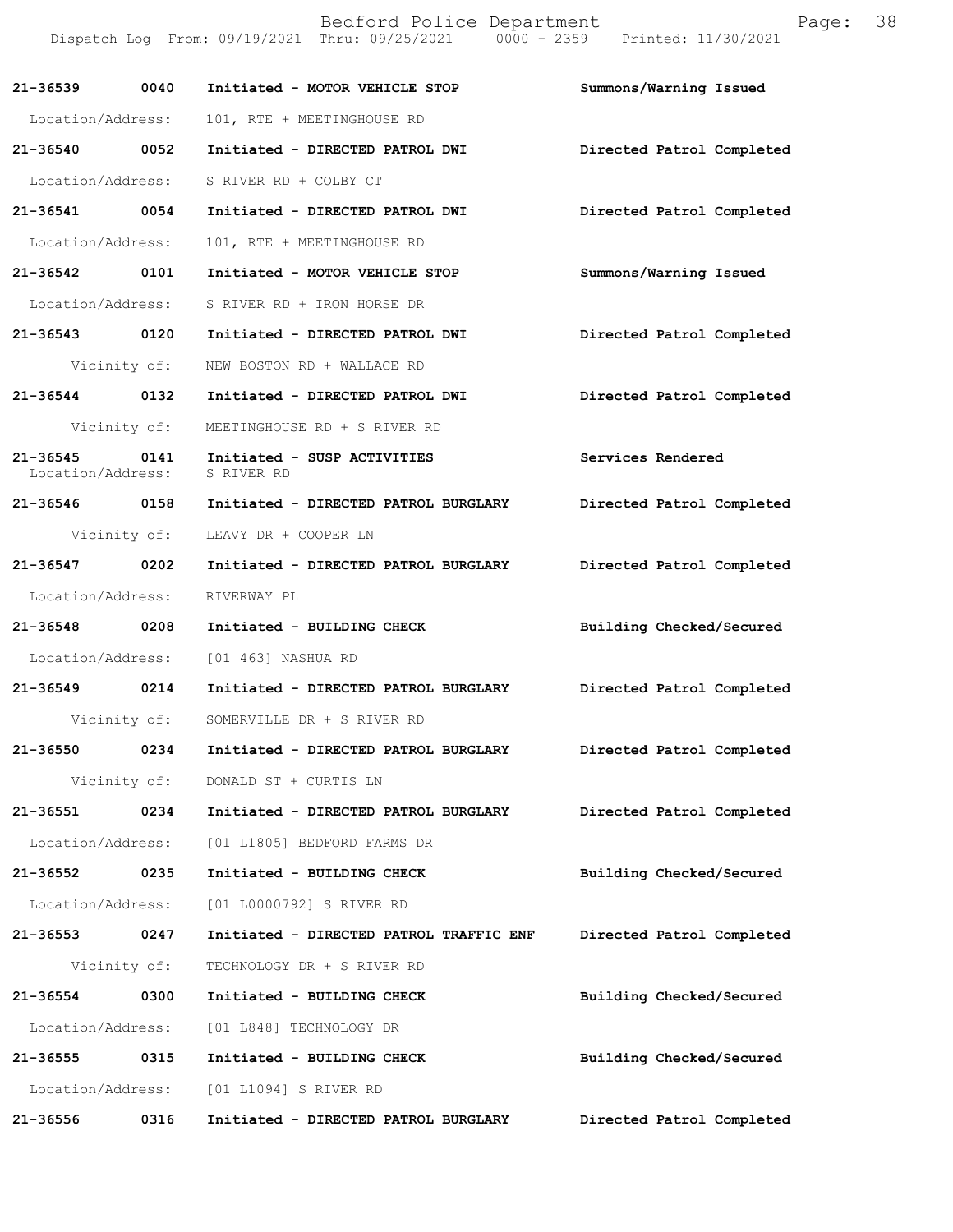|                                   |              | Bedford Police Department<br>Dispatch Log From: 09/19/2021 Thru: 09/25/2021 0000 - 2359 Printed: 11/30/2021 | Page:                     | 38 |
|-----------------------------------|--------------|-------------------------------------------------------------------------------------------------------------|---------------------------|----|
| 21-36539                          | 0040         | Initiated - MOTOR VEHICLE STOP                                                                              | Summons/Warning Issued    |    |
| Location/Address:                 |              | 101, RTE + MEETINGHOUSE RD                                                                                  |                           |    |
| 21-36540 0052                     |              | Initiated - DIRECTED PATROL DWI                                                                             | Directed Patrol Completed |    |
| Location/Address:                 |              | S RIVER RD + COLBY CT                                                                                       |                           |    |
| 21-36541 0054                     |              | Initiated - DIRECTED PATROL DWI                                                                             | Directed Patrol Completed |    |
| Location/Address:                 |              | 101, RTE + MEETINGHOUSE RD                                                                                  |                           |    |
| 21-36542                          | 0101         | Initiated - MOTOR VEHICLE STOP                                                                              | Summons/Warning Issued    |    |
| Location/Address:                 |              | S RIVER RD + IRON HORSE DR                                                                                  |                           |    |
| 21-36543 0120                     |              | Initiated - DIRECTED PATROL DWI                                                                             | Directed Patrol Completed |    |
|                                   | Vicinity of: | NEW BOSTON RD + WALLACE RD                                                                                  |                           |    |
| 21-36544 0132                     |              | Initiated - DIRECTED PATROL DWI                                                                             | Directed Patrol Completed |    |
|                                   | Vicinity of: | MEETINGHOUSE RD + S RIVER RD                                                                                |                           |    |
| $21 - 36545$<br>Location/Address: | 0141         | Initiated - SUSP ACTIVITIES<br>S RIVER RD                                                                   | Services Rendered         |    |
| 21-36546 0158                     |              | Initiated - DIRECTED PATROL BURGLARY                                                                        | Directed Patrol Completed |    |
|                                   | Vicinity of: | LEAVY DR + COOPER LN                                                                                        |                           |    |
| 21-36547 0202                     |              | Initiated - DIRECTED PATROL BURGLARY                                                                        | Directed Patrol Completed |    |
| Location/Address:                 |              | RIVERWAY PL                                                                                                 |                           |    |
| 21-36548                          | 0208         | Initiated - BUILDING CHECK                                                                                  | Building Checked/Secured  |    |
| Location/Address:                 |              | [01 463] NASHUA RD                                                                                          |                           |    |
| 21-36549                          | 0214         | Initiated - DIRECTED PATROL BURGLARY                                                                        | Directed Patrol Completed |    |
|                                   | Vicinity of: | SOMERVILLE DR + S RIVER RD                                                                                  |                           |    |
| 21-36550                          | 0234         | Initiated - DIRECTED PATROL BURGLARY                                                                        | Directed Patrol Completed |    |
|                                   | Vicinity of: | DONALD ST + CURTIS LN                                                                                       |                           |    |
| 21-36551                          | 0234         | Initiated - DIRECTED PATROL BURGLARY                                                                        | Directed Patrol Completed |    |
| Location/Address:                 |              | [01 L1805] BEDFORD FARMS DR                                                                                 |                           |    |
| 21-36552                          | 0235         | Initiated - BUILDING CHECK                                                                                  | Building Checked/Secured  |    |
| Location/Address:                 |              | [01 L0000792] S RIVER RD                                                                                    |                           |    |
| 21-36553                          | 0247         | Initiated - DIRECTED PATROL TRAFFIC ENF                                                                     | Directed Patrol Completed |    |
|                                   | Vicinity of: | TECHNOLOGY DR + S RIVER RD                                                                                  |                           |    |
| 21-36554                          | 0300         | Initiated - BUILDING CHECK                                                                                  | Building Checked/Secured  |    |
| Location/Address:                 |              | [01 L848] TECHNOLOGY DR                                                                                     |                           |    |
| 21-36555                          | 0315         | Initiated - BUILDING CHECK                                                                                  | Building Checked/Secured  |    |
| Location/Address:                 |              | [01 L1094] S RIVER RD                                                                                       |                           |    |
| 21-36556                          | 0316         | Initiated - DIRECTED PATROL BURGLARY                                                                        | Directed Patrol Completed |    |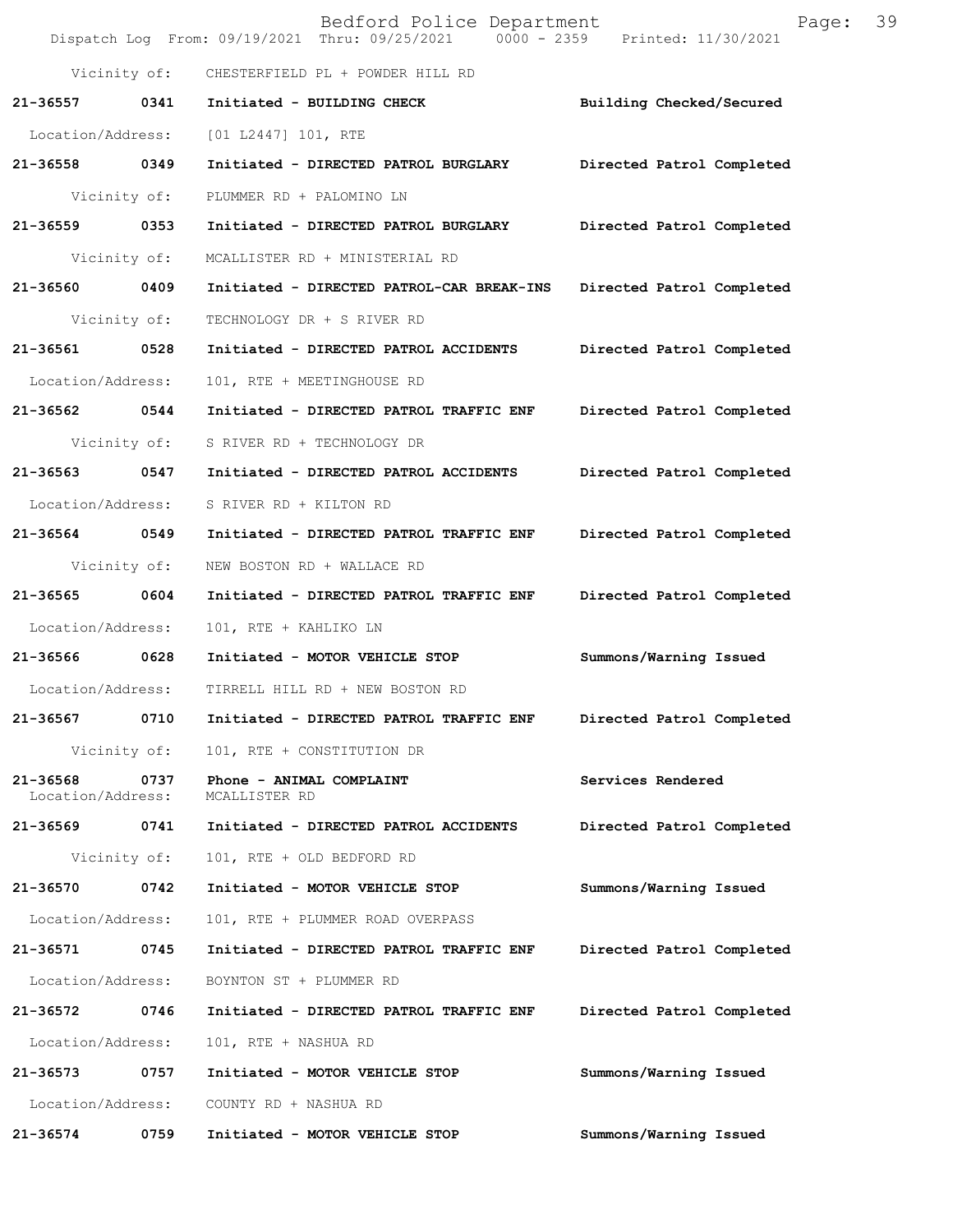|                               |              | Bedford Police Department<br>Dispatch Log From: 09/19/2021 Thru: 09/25/2021 0000 - 2359 Printed: 11/30/2021 | 39<br>Page:               |
|-------------------------------|--------------|-------------------------------------------------------------------------------------------------------------|---------------------------|
|                               | Vicinity of: | CHESTERFIELD PL + POWDER HILL RD                                                                            |                           |
| 21-36557                      | 0341         | Initiated - BUILDING CHECK                                                                                  | Building Checked/Secured  |
| Location/Address:             |              | [01 L2447] 101, RTE                                                                                         |                           |
| 21-36558 0349                 |              | Initiated - DIRECTED PATROL BURGLARY                                                                        | Directed Patrol Completed |
|                               | Vicinity of: | PLUMMER RD + PALOMINO LN                                                                                    |                           |
| 21-36559 0353                 |              | Initiated - DIRECTED PATROL BURGLARY                                                                        | Directed Patrol Completed |
| Vicinity of:                  |              | MCALLISTER RD + MINISTERIAL RD                                                                              |                           |
| 21-36560 0409                 |              | Initiated - DIRECTED PATROL-CAR BREAK-INS                                                                   | Directed Patrol Completed |
| Vicinity of:                  |              | TECHNOLOGY DR + S RIVER RD                                                                                  |                           |
| 21-36561 0528                 |              | Initiated - DIRECTED PATROL ACCIDENTS                                                                       | Directed Patrol Completed |
| Location/Address:             |              | 101, RTE + MEETINGHOUSE RD                                                                                  |                           |
| 21-36562 0544                 |              | Initiated - DIRECTED PATROL TRAFFIC ENF                                                                     | Directed Patrol Completed |
|                               | Vicinity of: | S RIVER RD + TECHNOLOGY DR                                                                                  |                           |
| 21-36563 0547                 |              | Initiated - DIRECTED PATROL ACCIDENTS                                                                       | Directed Patrol Completed |
| Location/Address:             |              | S RIVER RD + KILTON RD                                                                                      |                           |
| 21-36564 0549                 |              | Initiated - DIRECTED PATROL TRAFFIC ENF                                                                     | Directed Patrol Completed |
| Vicinity of:                  |              | NEW BOSTON RD + WALLACE RD                                                                                  |                           |
| 21-36565 0604                 |              | Initiated - DIRECTED PATROL TRAFFIC ENF                                                                     | Directed Patrol Completed |
| Location/Address:             |              | 101, RTE + KAHLIKO LN                                                                                       |                           |
| 21-36566 0628                 |              | Initiated - MOTOR VEHICLE STOP                                                                              | Summons/Warning Issued    |
| Location/Address:             |              | TIRRELL HILL RD + NEW BOSTON RD                                                                             |                           |
| 21-36567                      | 0710         | Initiated - DIRECTED PATROL TRAFFIC ENF                                                                     | Directed Patrol Completed |
|                               | Vicinity of: | 101, RTE + CONSTITUTION DR                                                                                  |                           |
| 21-36568<br>Location/Address: | 0737         | Phone - ANIMAL COMPLAINT<br>MCALLISTER RD                                                                   | Services Rendered         |
| 21-36569                      | 0741         | Initiated - DIRECTED PATROL ACCIDENTS                                                                       | Directed Patrol Completed |
|                               | Vicinity of: | 101, RTE + OLD BEDFORD RD                                                                                   |                           |
| 21-36570                      | 0742         | Initiated - MOTOR VEHICLE STOP                                                                              | Summons/Warning Issued    |
| Location/Address:             |              | 101, RTE + PLUMMER ROAD OVERPASS                                                                            |                           |
| 21-36571                      | 0745         | Initiated - DIRECTED PATROL TRAFFIC ENF                                                                     | Directed Patrol Completed |
| Location/Address:             |              | BOYNTON ST + PLUMMER RD                                                                                     |                           |
| 21-36572                      | 0746         | Initiated - DIRECTED PATROL TRAFFIC ENF                                                                     | Directed Patrol Completed |
| Location/Address:             |              | 101, RTE + NASHUA RD                                                                                        |                           |
| 21-36573                      | 0757         | Initiated - MOTOR VEHICLE STOP                                                                              | Summons/Warning Issued    |
| Location/Address:             |              | COUNTY RD + NASHUA RD                                                                                       |                           |
| 21-36574                      | 0759         | Initiated - MOTOR VEHICLE STOP                                                                              | Summons/Warning Issued    |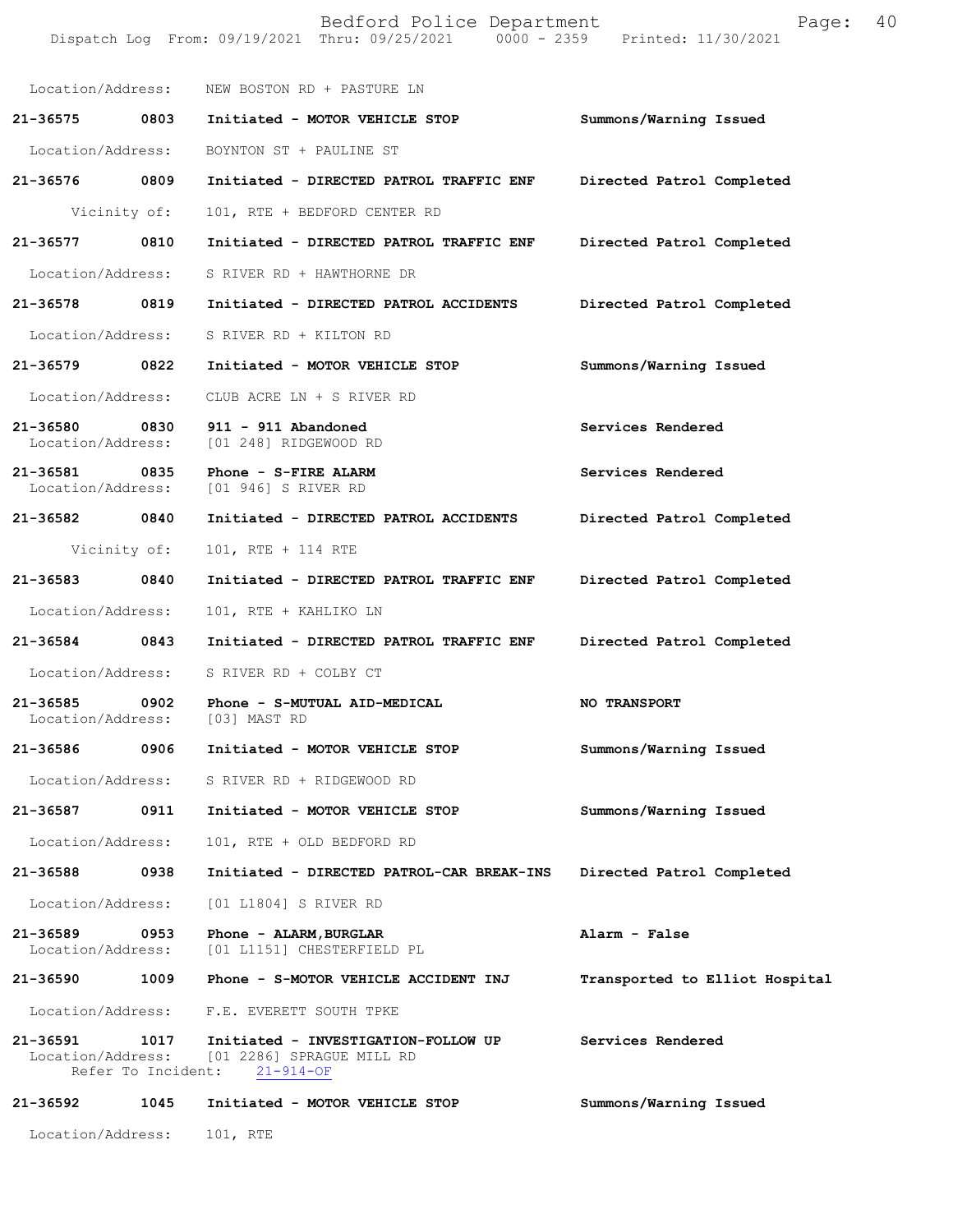|                                    |              | Bedford Police Department<br>Dispatch Log From: 09/19/2021 Thru: 09/25/2021 0000 - 2359 Printed: 11/30/2021 | Page:                          | 40 |
|------------------------------------|--------------|-------------------------------------------------------------------------------------------------------------|--------------------------------|----|
|                                    |              | Location/Address: NEW BOSTON RD + PASTURE LN                                                                |                                |    |
| 21-36575 0803                      |              | Initiated - MOTOR VEHICLE STOP                                                                              | Summons/Warning Issued         |    |
| Location/Address:                  |              | BOYNTON ST + PAULINE ST                                                                                     |                                |    |
| 21-36576 0809                      |              | Initiated - DIRECTED PATROL TRAFFIC ENF                                                                     | Directed Patrol Completed      |    |
|                                    | Vicinity of: | 101, RTE + BEDFORD CENTER RD                                                                                |                                |    |
| 21-36577                           | 0810         | Initiated - DIRECTED PATROL TRAFFIC ENF                                                                     | Directed Patrol Completed      |    |
| Location/Address:                  |              | S RIVER RD + HAWTHORNE DR                                                                                   |                                |    |
| 21-36578 0819                      |              | Initiated - DIRECTED PATROL ACCIDENTS                                                                       | Directed Patrol Completed      |    |
| Location/Address:                  |              | S RIVER RD + KILTON RD                                                                                      |                                |    |
| 21-36579                           | 0822         | Initiated - MOTOR VEHICLE STOP                                                                              | Summons/Warning Issued         |    |
| Location/Address:                  |              | CLUB ACRE LN + S RIVER RD                                                                                   |                                |    |
| 21-36580 0830<br>Location/Address: |              | 911 - 911 Abandoned<br>[01 248] RIDGEWOOD RD                                                                | Services Rendered              |    |
| 21-36581<br>Location/Address:      | 0835         | Phone - S-FIRE ALARM<br>[01 946] S RIVER RD                                                                 | Services Rendered              |    |
| 21-36582 0840                      |              | Initiated - DIRECTED PATROL ACCIDENTS                                                                       | Directed Patrol Completed      |    |
|                                    | Vicinity of: | 101, RTE + 114 RTE                                                                                          |                                |    |
| 21-36583 0840                      |              | Initiated - DIRECTED PATROL TRAFFIC ENF                                                                     | Directed Patrol Completed      |    |
| Location/Address:                  |              | 101, RTE + KAHLIKO LN                                                                                       |                                |    |
| 21-36584 0843                      |              | Initiated - DIRECTED PATROL TRAFFIC ENF                                                                     | Directed Patrol Completed      |    |
| Location/Address:                  |              | S RIVER RD + COLBY CT                                                                                       |                                |    |
| 21-36585<br>Location/Address:      | 0902         | Phone - S-MUTUAL AID-MEDICAL<br>[03] MAST RD                                                                | NO TRANSPORT                   |    |
| 21-36586                           | 0906         | Initiated - MOTOR VEHICLE STOP                                                                              | Summons/Warning Issued         |    |
| Location/Address:                  |              | S RIVER RD + RIDGEWOOD RD                                                                                   |                                |    |
| 21-36587                           | 0911         | Initiated - MOTOR VEHICLE STOP                                                                              | Summons/Warning Issued         |    |
| Location/Address:                  |              | 101, RTE + OLD BEDFORD RD                                                                                   |                                |    |
| 21-36588                           | 0938         | Initiated - DIRECTED PATROL-CAR BREAK-INS                                                                   | Directed Patrol Completed      |    |
| Location/Address:                  |              | [01 L1804] S RIVER RD                                                                                       |                                |    |
| 21-36589<br>Location/Address:      | 0953         | Phone - ALARM, BURGLAR<br>[01 L1151] CHESTERFIELD PL                                                        | Alarm - False                  |    |
| 21-36590                           | 1009         | Phone - S-MOTOR VEHICLE ACCIDENT INJ                                                                        | Transported to Elliot Hospital |    |
| Location/Address:                  |              | F.E. EVERETT SOUTH TPKE                                                                                     |                                |    |
| 21-36591<br>Location/Address:      | 1017         | Initiated - INVESTIGATION-FOLLOW UP<br>[01 2286] SPRAGUE MILL RD<br>Refer To Incident: 21-914-OF            | Services Rendered              |    |
| 21-36592                           | 1045         | Initiated - MOTOR VEHICLE STOP                                                                              | Summons/Warning Issued         |    |
| Location/Address:                  |              | 101, RTE                                                                                                    |                                |    |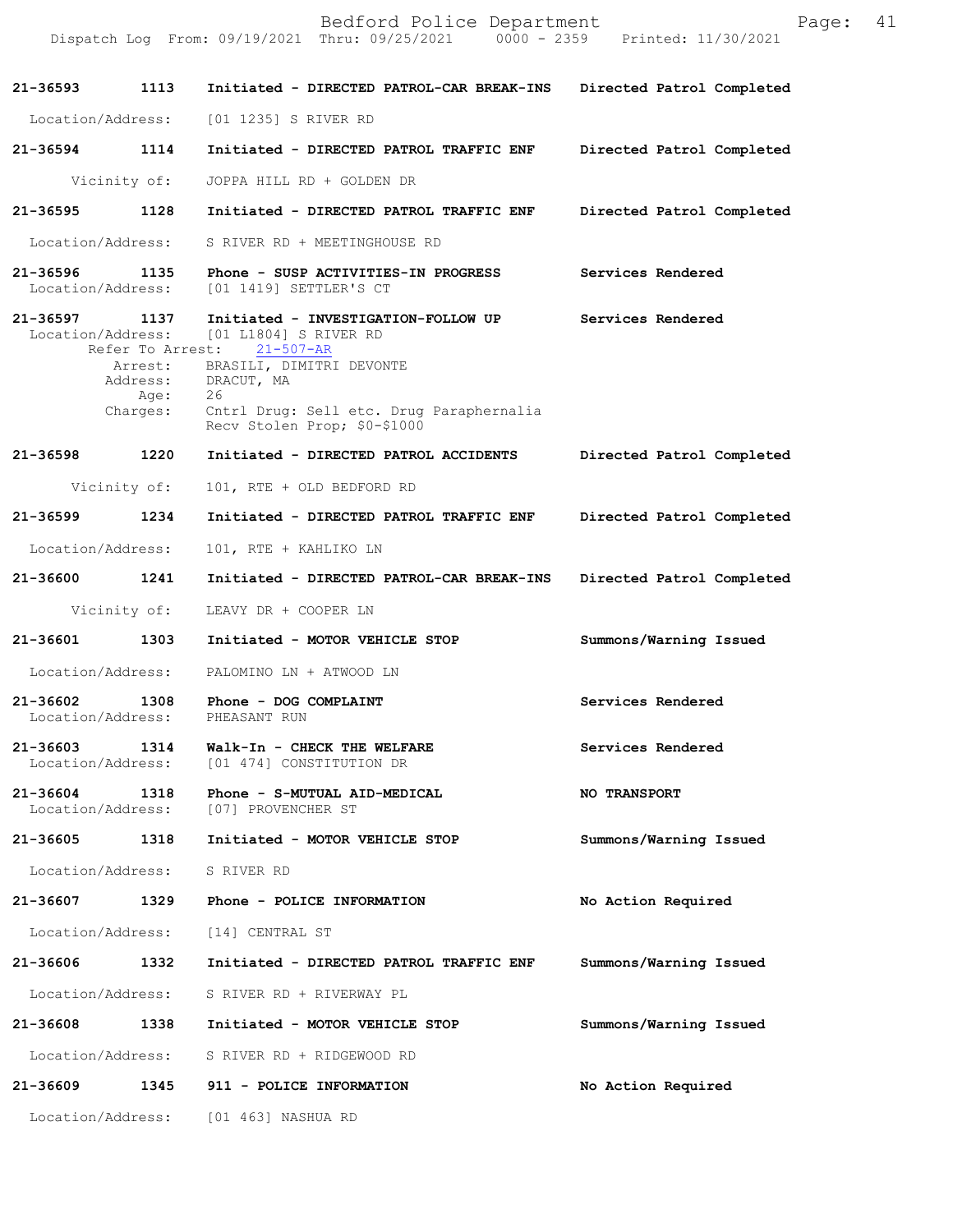|                              |                     | Bedford Police Department<br>Dispatch Log From: 09/19/2021 Thru: 09/25/2021 0000 - 2359 Printed: 11/30/2021  | Page: 41                  |  |
|------------------------------|---------------------|--------------------------------------------------------------------------------------------------------------|---------------------------|--|
| 21-36593 1113                |                     | Initiated - DIRECTED PATROL-CAR BREAK-INS                                                                    | Directed Patrol Completed |  |
| Location/Address:            |                     | [01 1235] S RIVER RD                                                                                         |                           |  |
| 21-36594 1114                |                     | Initiated - DIRECTED PATROL TRAFFIC ENF                                                                      | Directed Patrol Completed |  |
|                              | Vicinity of:        | JOPPA HILL RD + GOLDEN DR                                                                                    |                           |  |
| 21-36595 1128                |                     | Initiated - DIRECTED PATROL TRAFFIC ENF                                                                      | Directed Patrol Completed |  |
| Location/Address:            |                     | S RIVER RD + MEETINGHOUSE RD                                                                                 |                           |  |
| 21-36596 1135                |                     | Phone - SUSP ACTIVITIES-IN PROGRESS                                                                          | Services Rendered         |  |
| Location/Address:            |                     | [01 1419] SETTLER'S CT                                                                                       |                           |  |
| 21-36597 1137                |                     | Initiated - INVESTIGATION-FOLLOW UP<br>Location/Address: [01 L1804] S RIVER RD<br>Refer To Arrest: 21-507-AR | Services Rendered         |  |
|                              | Arrest:<br>Address: | BRASILI, DIMITRI DEVONTE<br>DRACUT, MA                                                                       |                           |  |
|                              | Age:<br>Charges:    | 26<br>Cntrl Drug: Sell etc. Drug Paraphernalia<br>Recv Stolen Prop; \$0-\$1000                               |                           |  |
| 21-36598 1220                |                     | Initiated - DIRECTED PATROL ACCIDENTS                                                                        | Directed Patrol Completed |  |
|                              | Vicinity of:        | 101, RTE + OLD BEDFORD RD                                                                                    |                           |  |
| 21-36599 1234                |                     | Initiated - DIRECTED PATROL TRAFFIC ENF                                                                      | Directed Patrol Completed |  |
| Location/Address:            |                     | 101, RTE + KAHLIKO LN                                                                                        |                           |  |
| 21-36600 1241                |                     | Initiated - DIRECTED PATROL-CAR BREAK-INS                                                                    | Directed Patrol Completed |  |
|                              | Vicinity of:        | LEAVY DR + COOPER LN                                                                                         |                           |  |
| 21-36601                     |                     | 1303 Initiated - MOTOR VEHICLE STOP                                                                          | Summons/Warning Issued    |  |
|                              |                     | Location/Address: PALOMINO LN + ATWOOD LN                                                                    |                           |  |
| Location/Address:            |                     | 21-36602 1308 Phone - DOG COMPLAINT<br>PHEASANT RUN                                                          | Services Rendered         |  |
|                              |                     | 21-36603 1314 Walk-In - CHECK THE WELFARE<br>Location/Address: [01 474] CONSTITUTION DR                      | Services Rendered         |  |
| Location/Address:            |                     | [07] PROVENCHER ST                                                                                           | <b>NO TRANSPORT</b>       |  |
|                              |                     | 21-36605 1318 Initiated - MOTOR VEHICLE STOP                                                                 | Summons/Warning Issued    |  |
| Location/Address: S RIVER RD |                     |                                                                                                              |                           |  |
|                              |                     | 21-36607 1329 Phone - POLICE INFORMATION                                                                     | No Action Required        |  |
| Location/Address:            |                     | [14] CENTRAL ST                                                                                              |                           |  |
| 21-36606                     | 1332                | Initiated - DIRECTED PATROL TRAFFIC ENF                                                                      | Summons/Warning Issued    |  |
|                              |                     | Location/Address: S RIVER RD + RIVERWAY PL                                                                   |                           |  |
|                              |                     | 21-36608 1338 Initiated - MOTOR VEHICLE STOP                                                                 | Summons/Warning Issued    |  |
|                              |                     | Location/Address: S RIVER RD + RIDGEWOOD RD                                                                  |                           |  |
|                              |                     | 21-36609 1345 911 - POLICE INFORMATION                                                                       | No Action Required        |  |
|                              |                     | Location/Address: [01 463] NASHUA RD                                                                         |                           |  |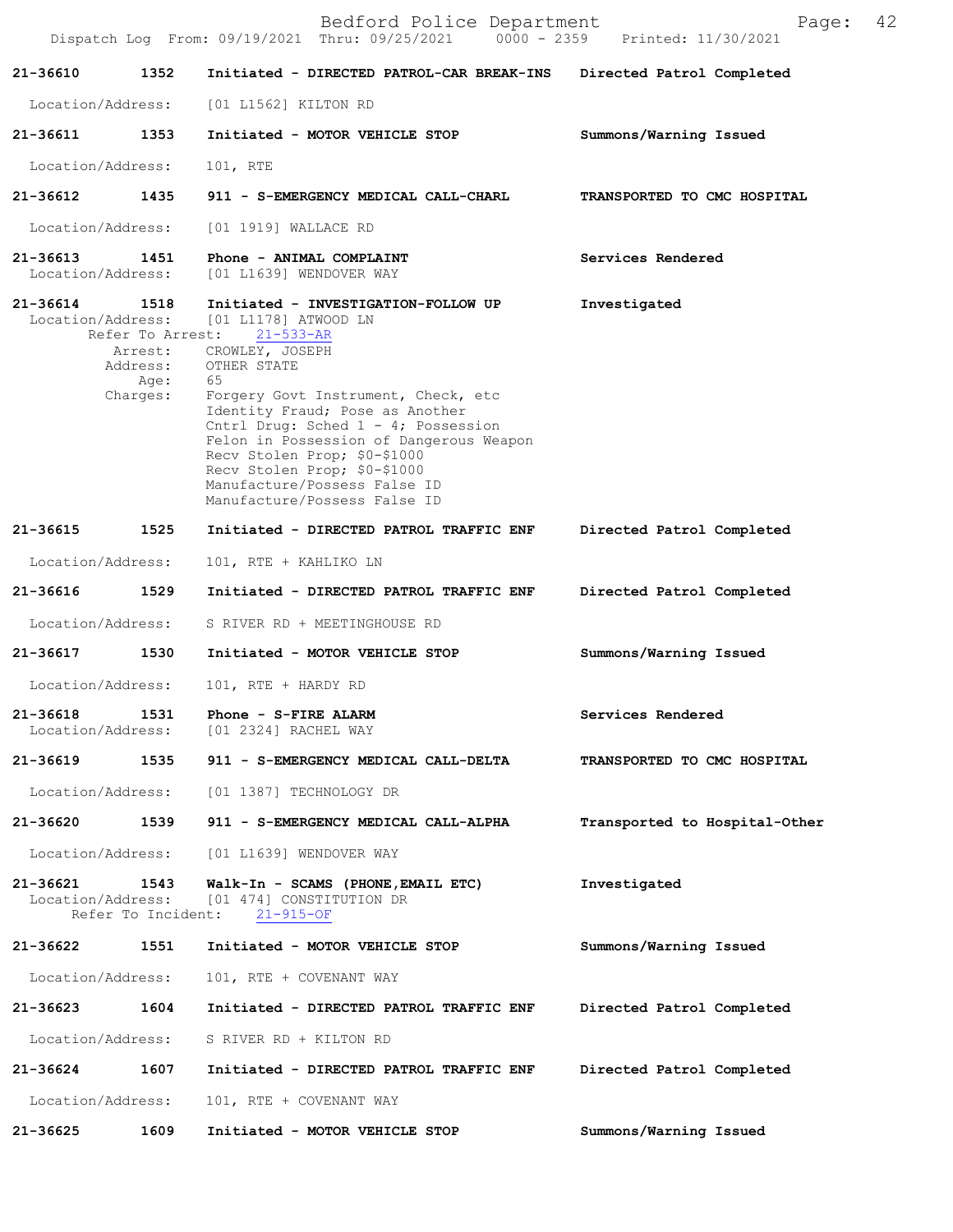|                               |                                                                     | Bedford Police Department<br>Dispatch Log From: 09/19/2021 Thru: 09/25/2021 0000 - 2359 Printed: 11/30/2021                                                                                                                                                                                                                                                                                                        | Page:                         | 42 |
|-------------------------------|---------------------------------------------------------------------|--------------------------------------------------------------------------------------------------------------------------------------------------------------------------------------------------------------------------------------------------------------------------------------------------------------------------------------------------------------------------------------------------------------------|-------------------------------|----|
| 21-36610                      | 1352                                                                | Initiated - DIRECTED PATROL-CAR BREAK-INS                                                                                                                                                                                                                                                                                                                                                                          | Directed Patrol Completed     |    |
| Location/Address:             |                                                                     | [01 L1562] KILTON RD                                                                                                                                                                                                                                                                                                                                                                                               |                               |    |
| 21-36611                      | 1353                                                                | Initiated - MOTOR VEHICLE STOP                                                                                                                                                                                                                                                                                                                                                                                     | Summons/Warning Issued        |    |
| Location/Address:             |                                                                     | 101, RTE                                                                                                                                                                                                                                                                                                                                                                                                           |                               |    |
| 21-36612                      | 1435                                                                | 911 - S-EMERGENCY MEDICAL CALL-CHARL                                                                                                                                                                                                                                                                                                                                                                               | TRANSPORTED TO CMC HOSPITAL   |    |
| Location/Address:             |                                                                     | [01 1919] WALLACE RD                                                                                                                                                                                                                                                                                                                                                                                               |                               |    |
| 21-36613<br>Location/Address: | 1451                                                                | Phone - ANIMAL COMPLAINT<br>[01 L1639] WENDOVER WAY                                                                                                                                                                                                                                                                                                                                                                | Services Rendered             |    |
| 21-36614<br>Location/Address: | 1518<br>Refer To Arrest:<br>Arrest:<br>Address:<br>Age:<br>Charges: | Initiated - INVESTIGATION-FOLLOW UP<br>[01 L1178] ATWOOD LN<br>$21 - 533 - AR$<br>CROWLEY, JOSEPH<br>OTHER STATE<br>65<br>Forgery Govt Instrument, Check, etc<br>Identity Fraud; Pose as Another<br>Cntrl Drug: Sched 1 - 4; Possession<br>Felon in Possession of Dangerous Weapon<br>Recv Stolen Prop; \$0-\$1000<br>Recv Stolen Prop; \$0-\$1000<br>Manufacture/Possess False ID<br>Manufacture/Possess False ID | Investigated                  |    |
| 21-36615                      | 1525                                                                | Initiated - DIRECTED PATROL TRAFFIC ENF                                                                                                                                                                                                                                                                                                                                                                            | Directed Patrol Completed     |    |
| Location/Address:             |                                                                     | 101, RTE + KAHLIKO LN                                                                                                                                                                                                                                                                                                                                                                                              |                               |    |
| 21-36616                      | 1529                                                                | Initiated - DIRECTED PATROL TRAFFIC ENF                                                                                                                                                                                                                                                                                                                                                                            | Directed Patrol Completed     |    |
| Location/Address:             |                                                                     | S RIVER RD + MEETINGHOUSE RD                                                                                                                                                                                                                                                                                                                                                                                       |                               |    |
| 21-36617                      | 1530                                                                | Initiated - MOTOR VEHICLE STOP                                                                                                                                                                                                                                                                                                                                                                                     | Summons/Warning Issued        |    |
| Location/Address:             |                                                                     | 101, RTE + HARDY RD                                                                                                                                                                                                                                                                                                                                                                                                |                               |    |
| 21-36618<br>Location/Address: | 1531                                                                | Phone - S-FIRE ALARM<br>[01 2324] RACHEL WAY                                                                                                                                                                                                                                                                                                                                                                       | Services Rendered             |    |
| 21-36619                      | 1535                                                                | 911 - S-EMERGENCY MEDICAL CALL-DELTA                                                                                                                                                                                                                                                                                                                                                                               | TRANSPORTED TO CMC HOSPITAL   |    |
| Location/Address:             |                                                                     | [01 1387] TECHNOLOGY DR                                                                                                                                                                                                                                                                                                                                                                                            |                               |    |
| 21-36620                      | 1539                                                                | 911 - S-EMERGENCY MEDICAL CALL-ALPHA                                                                                                                                                                                                                                                                                                                                                                               | Transported to Hospital-Other |    |
| Location/Address:             |                                                                     | [01 L1639] WENDOVER WAY                                                                                                                                                                                                                                                                                                                                                                                            |                               |    |
| 21-36621<br>Location/Address: | 1543<br>Refer To Incident:                                          | Walk-In - SCAMS (PHONE, EMAIL ETC)<br>[01 474] CONSTITUTION DR<br>$21 - 915 - OF$                                                                                                                                                                                                                                                                                                                                  | Investigated                  |    |
| 21-36622                      | 1551                                                                | Initiated - MOTOR VEHICLE STOP                                                                                                                                                                                                                                                                                                                                                                                     | Summons/Warning Issued        |    |
| Location/Address:             |                                                                     | 101, RTE + COVENANT WAY                                                                                                                                                                                                                                                                                                                                                                                            |                               |    |
| 21-36623                      | 1604                                                                | Initiated - DIRECTED PATROL TRAFFIC ENF                                                                                                                                                                                                                                                                                                                                                                            | Directed Patrol Completed     |    |
| Location/Address:             |                                                                     | S RIVER RD + KILTON RD                                                                                                                                                                                                                                                                                                                                                                                             |                               |    |
| 21-36624                      | 1607                                                                | Initiated - DIRECTED PATROL TRAFFIC ENF                                                                                                                                                                                                                                                                                                                                                                            | Directed Patrol Completed     |    |
| Location/Address:             |                                                                     | 101, RTE + COVENANT WAY                                                                                                                                                                                                                                                                                                                                                                                            |                               |    |
| 21-36625                      | 1609                                                                | Initiated - MOTOR VEHICLE STOP                                                                                                                                                                                                                                                                                                                                                                                     | Summons/Warning Issued        |    |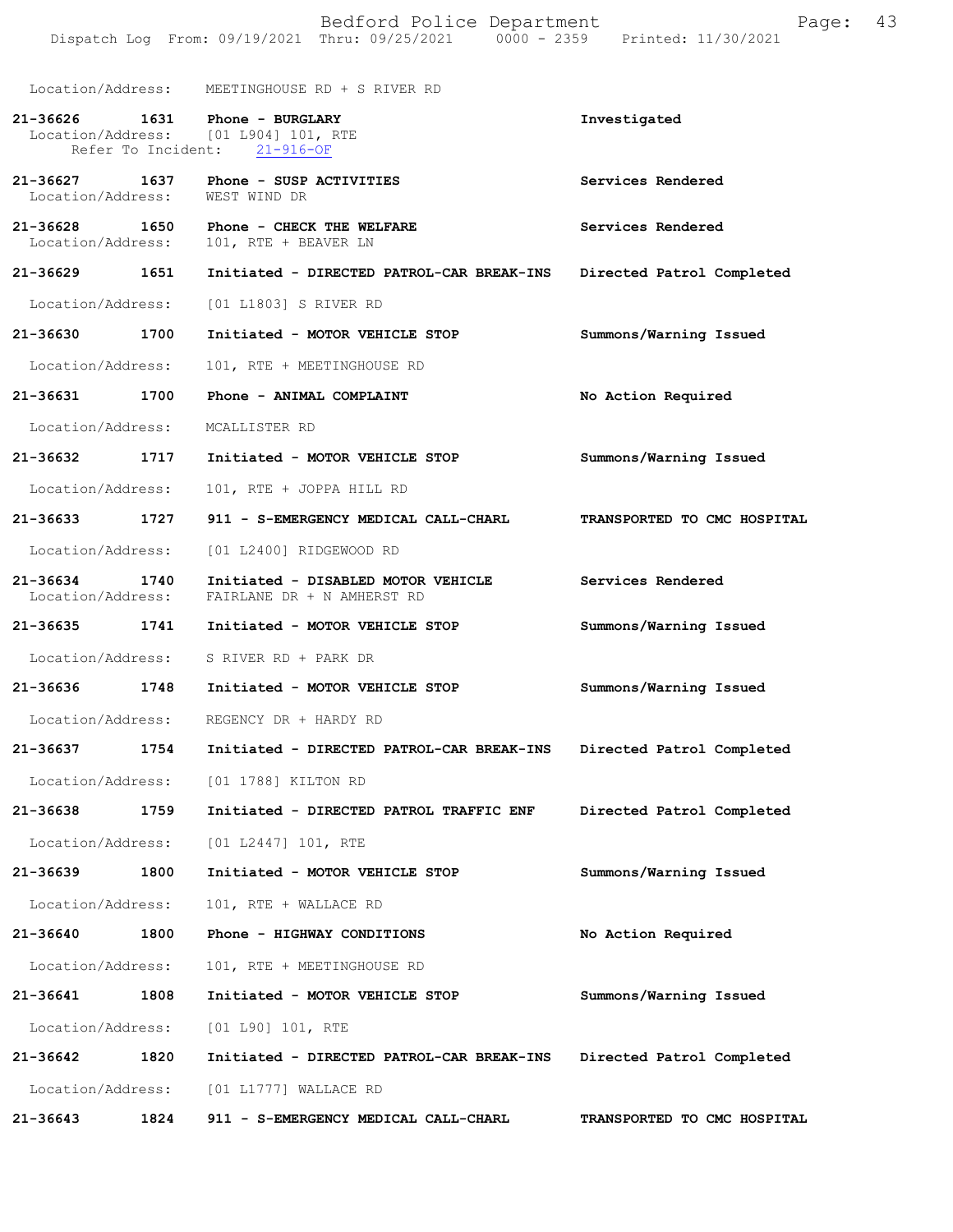|                                    |      | Bedford Police Department<br>Dispatch Log From: 09/19/2021 Thru: 09/25/2021 0000 - 2359 Printed: 11/30/2021 | Page:                       | 43 |
|------------------------------------|------|-------------------------------------------------------------------------------------------------------------|-----------------------------|----|
|                                    |      | Location/Address: MEETINGHOUSE RD + S RIVER RD                                                              |                             |    |
| 21-36626 1631                      |      | Phone - BURGLARY<br>Location/Address: [01 L904] 101, RTE<br>Refer To Incident: 21-916-OF                    | Investigated                |    |
| 21-36627 1637<br>Location/Address: |      | Phone - SUSP ACTIVITIES<br>WEST WIND DR                                                                     | Services Rendered           |    |
| 21-36628 1650<br>Location/Address: |      | Phone - CHECK THE WELFARE<br>101, RTE + BEAVER LN                                                           | Services Rendered           |    |
| 21-36629 1651                      |      | Initiated - DIRECTED PATROL-CAR BREAK-INS                                                                   | Directed Patrol Completed   |    |
| Location/Address:                  |      | [01 L1803] S RIVER RD                                                                                       |                             |    |
| 21-36630                           | 1700 | Initiated - MOTOR VEHICLE STOP                                                                              | Summons/Warning Issued      |    |
| Location/Address:                  |      | 101, RTE + MEETINGHOUSE RD                                                                                  |                             |    |
| 21-36631 1700                      |      | Phone - ANIMAL COMPLAINT                                                                                    | No Action Required          |    |
| Location/Address:                  |      | MCALLISTER RD                                                                                               |                             |    |
| 21-36632                           | 1717 | Initiated - MOTOR VEHICLE STOP                                                                              | Summons/Warning Issued      |    |
| Location/Address:                  |      | 101, RTE + JOPPA HILL RD                                                                                    |                             |    |
| 21-36633                           | 1727 | 911 - S-EMERGENCY MEDICAL CALL-CHARL                                                                        | TRANSPORTED TO CMC HOSPITAL |    |
| Location/Address:                  |      | [01 L2400] RIDGEWOOD RD                                                                                     |                             |    |
| 21-36634 1740<br>Location/Address: |      | Initiated - DISABLED MOTOR VEHICLE<br>FAIRLANE DR + N AMHERST RD                                            | Services Rendered           |    |
| 21-36635 1741                      |      | Initiated - MOTOR VEHICLE STOP                                                                              | Summons/Warning Issued      |    |
| Location/Address:                  |      | S RIVER RD + PARK DR                                                                                        |                             |    |
| 21-36636                           | 1748 | Initiated - MOTOR VEHICLE STOP                                                                              | Summons/Warning Issued      |    |
| Location/Address:                  |      | REGENCY DR + HARDY RD                                                                                       |                             |    |
| 21-36637                           | 1754 | Initiated - DIRECTED PATROL-CAR BREAK-INS                                                                   | Directed Patrol Completed   |    |
| Location/Address:                  |      | [01 1788] KILTON RD                                                                                         |                             |    |
| 21-36638                           | 1759 | Initiated - DIRECTED PATROL TRAFFIC ENF                                                                     | Directed Patrol Completed   |    |
| Location/Address:                  |      | [01 L2447] 101, RTE                                                                                         |                             |    |
| 21-36639                           | 1800 | Initiated - MOTOR VEHICLE STOP                                                                              | Summons/Warning Issued      |    |
| Location/Address:                  |      | 101, RTE + WALLACE RD                                                                                       |                             |    |
| 21-36640                           | 1800 | Phone - HIGHWAY CONDITIONS                                                                                  | No Action Required          |    |
| Location/Address:                  |      | 101, RTE + MEETINGHOUSE RD                                                                                  |                             |    |
| 21-36641                           | 1808 | Initiated - MOTOR VEHICLE STOP                                                                              | Summons/Warning Issued      |    |
| Location/Address:                  |      | [01 L90] 101, RTE                                                                                           |                             |    |
| 21-36642                           | 1820 | Initiated - DIRECTED PATROL-CAR BREAK-INS                                                                   | Directed Patrol Completed   |    |
| Location/Address:                  |      | $[01 L1777]$ WALLACE RD                                                                                     |                             |    |
| 21-36643                           | 1824 | 911 - S-EMERGENCY MEDICAL CALL-CHARL                                                                        | TRANSPORTED TO CMC HOSPITAL |    |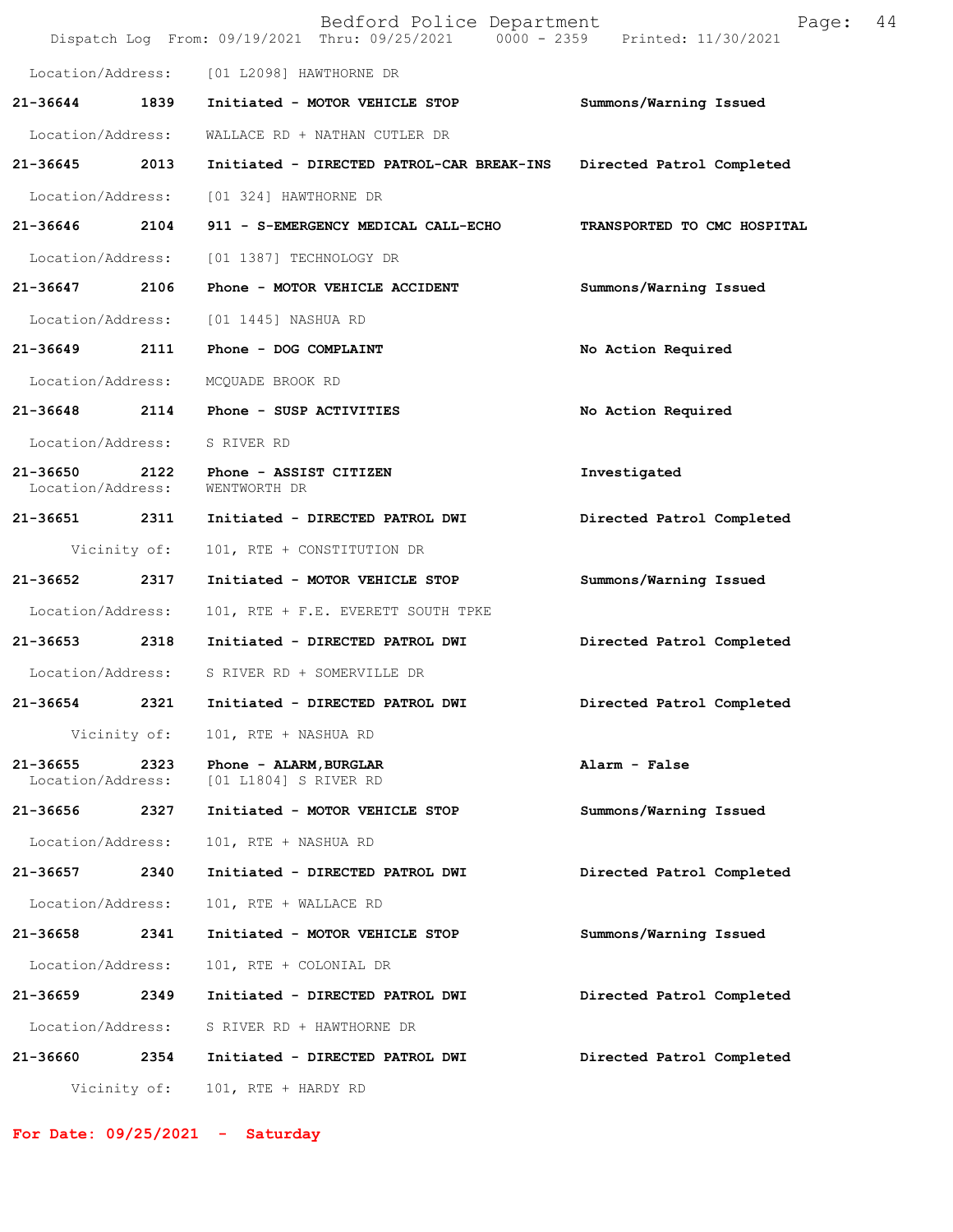|                               |              | Bedford Police Department<br>Dispatch Log From: 09/19/2021 Thru: 09/25/2021 0000 - 2359 Printed: 11/30/2021 | Page:                       | 44 |
|-------------------------------|--------------|-------------------------------------------------------------------------------------------------------------|-----------------------------|----|
|                               |              | Location/Address: [01 L2098] HAWTHORNE DR                                                                   |                             |    |
| 21-36644                      | 1839         | Initiated - MOTOR VEHICLE STOP                                                                              | Summons/Warning Issued      |    |
| Location/Address:             |              | WALLACE RD + NATHAN CUTLER DR                                                                               |                             |    |
| 21-36645 2013                 |              | Initiated - DIRECTED PATROL-CAR BREAK-INS                                                                   | Directed Patrol Completed   |    |
| Location/Address:             |              | [01 324] HAWTHORNE DR                                                                                       |                             |    |
| 21-36646 2104                 |              | 911 - S-EMERGENCY MEDICAL CALL-ECHO                                                                         | TRANSPORTED TO CMC HOSPITAL |    |
| Location/Address:             |              | [01 1387] TECHNOLOGY DR                                                                                     |                             |    |
| 21-36647                      | 2106         | Phone - MOTOR VEHICLE ACCIDENT                                                                              | Summons/Warning Issued      |    |
|                               |              | Location/Address: [01 1445] NASHUA RD                                                                       |                             |    |
| 21-36649                      |              | 2111 Phone - DOG COMPLAINT                                                                                  | No Action Required          |    |
| Location/Address:             |              | MCQUADE BROOK RD                                                                                            |                             |    |
|                               |              | 21-36648 2114 Phone - SUSP ACTIVITIES                                                                       | No Action Required          |    |
| Location/Address:             |              | S RIVER RD                                                                                                  |                             |    |
| 21-36650<br>Location/Address: | 2122         | Phone - ASSIST CITIZEN<br>WENTWORTH DR                                                                      | Investigated                |    |
| 21-36651 2311                 |              | Initiated - DIRECTED PATROL DWI                                                                             | Directed Patrol Completed   |    |
|                               | Vicinity of: | 101, RTE + CONSTITUTION DR                                                                                  |                             |    |
| 21-36652 2317                 |              | Initiated - MOTOR VEHICLE STOP                                                                              | Summons/Warning Issued      |    |
| Location/Address:             |              | 101, RTE + F.E. EVERETT SOUTH TPKE                                                                          |                             |    |
| 21-36653                      | 2318         | Initiated - DIRECTED PATROL DWI                                                                             | Directed Patrol Completed   |    |
|                               |              | Location/Address: S RIVER RD + SOMERVILLE DR                                                                |                             |    |
| 21-36654 2321                 |              | Initiated - DIRECTED PATROL DWI                                                                             | Directed Patrol Completed   |    |
|                               |              | Vicinity of: 101, RTE + NASHUA RD                                                                           |                             |    |
| 21-36655<br>Location/Address: | 2323         | Phone - ALARM, BURGLAR<br>[01 L1804] S RIVER RD                                                             | Alarm - False               |    |
| 21-36656 2327                 |              | Initiated - MOTOR VEHICLE STOP                                                                              | Summons/Warning Issued      |    |
| Location/Address:             |              | 101, RTE + NASHUA RD                                                                                        |                             |    |
| 21-36657                      | 2340         | Initiated - DIRECTED PATROL DWI                                                                             | Directed Patrol Completed   |    |
| Location/Address:             |              | 101, RTE + WALLACE RD                                                                                       |                             |    |
| 21-36658                      | 2341         | Initiated - MOTOR VEHICLE STOP                                                                              | Summons/Warning Issued      |    |
| Location/Address:             |              | 101, RTE + COLONIAL DR                                                                                      |                             |    |
| 21-36659 2349                 |              | Initiated - DIRECTED PATROL DWI                                                                             | Directed Patrol Completed   |    |
| Location/Address:             |              | S RIVER RD + HAWTHORNE DR                                                                                   |                             |    |
| 21-36660                      | 2354         | Initiated - DIRECTED PATROL DWI                                                                             | Directed Patrol Completed   |    |
|                               | Vicinity of: | 101, RTE + HARDY RD                                                                                         |                             |    |

**For Date: 09/25/2021 - Saturday**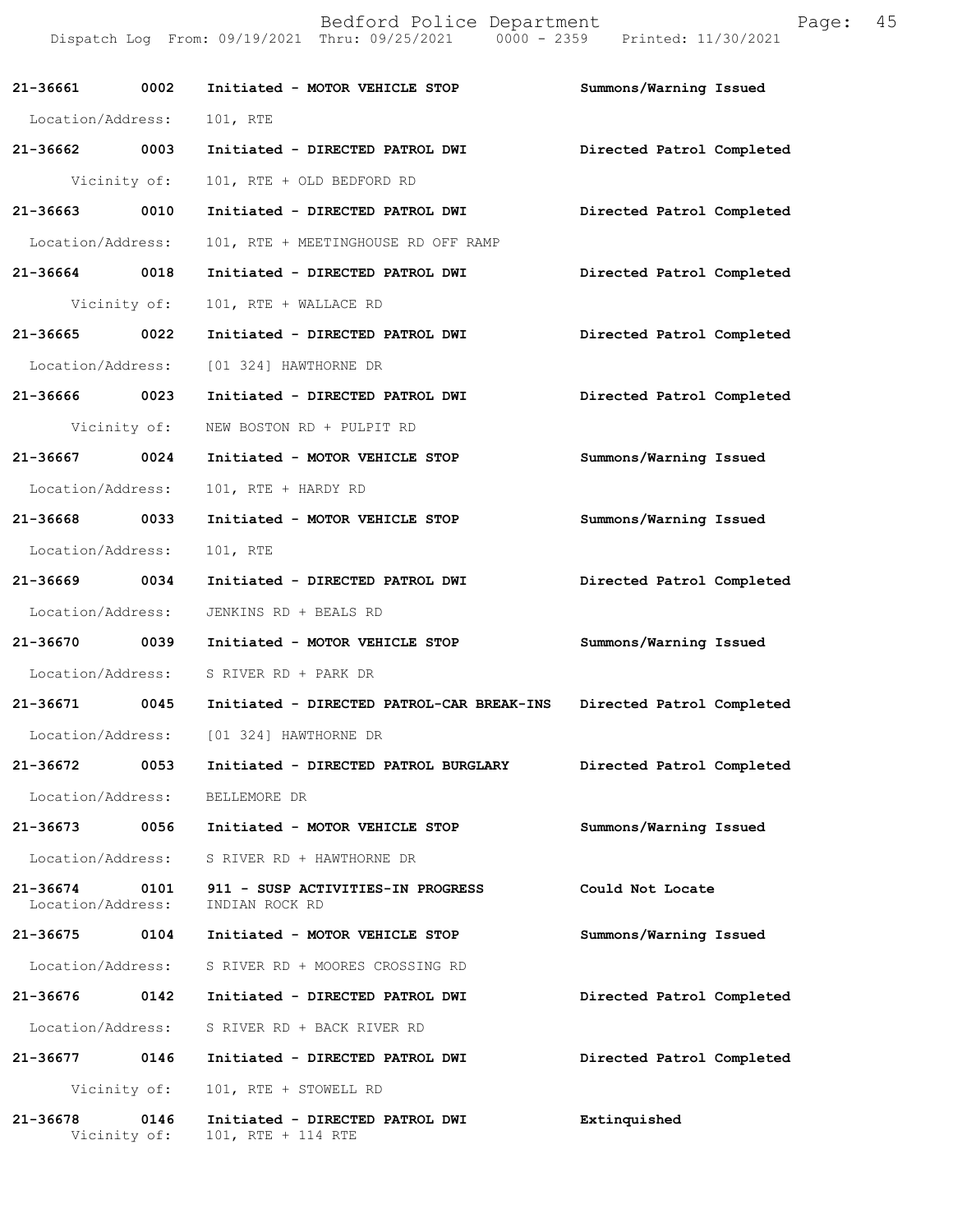|                   |              | Bedford Police Department<br>Dispatch Log From: 09/19/2021 Thru: 09/25/2021 0000 - 2359 Printed: 11/30/2021 | Page:                     | 45 |
|-------------------|--------------|-------------------------------------------------------------------------------------------------------------|---------------------------|----|
| 21-36661 0002     |              | Initiated - MOTOR VEHICLE STOP                                                                              | Summons/Warning Issued    |    |
| Location/Address: |              | 101, RTE                                                                                                    |                           |    |
| 21-36662 0003     |              | Initiated - DIRECTED PATROL DWI                                                                             | Directed Patrol Completed |    |
|                   | Vicinity of: | 101, RTE + OLD BEDFORD RD                                                                                   |                           |    |
| 21-36663 0010     |              | Initiated - DIRECTED PATROL DWI                                                                             | Directed Patrol Completed |    |
| Location/Address: |              | 101, RTE + MEETINGHOUSE RD OFF RAMP                                                                         |                           |    |
| 21-36664 0018     |              | Initiated - DIRECTED PATROL DWI                                                                             | Directed Patrol Completed |    |
| Vicinity of:      |              | 101, RTE + WALLACE RD                                                                                       |                           |    |
| 21-36665 0022     |              | Initiated - DIRECTED PATROL DWI                                                                             | Directed Patrol Completed |    |
|                   |              | Location/Address: [01 324] HAWTHORNE DR                                                                     |                           |    |
| 21-36666 0023     |              | Initiated - DIRECTED PATROL DWI                                                                             | Directed Patrol Completed |    |
|                   | Vicinity of: | NEW BOSTON RD + PULPIT RD                                                                                   |                           |    |
| 21-36667 0024     |              | Initiated - MOTOR VEHICLE STOP                                                                              | Summons/Warning Issued    |    |
| Location/Address: |              | 101, RTE + HARDY RD                                                                                         |                           |    |
| 21-36668 0033     |              | Initiated - MOTOR VEHICLE STOP                                                                              | Summons/Warning Issued    |    |
| Location/Address: |              | 101, RTE                                                                                                    |                           |    |
| 21-36669 0034     |              | Initiated - DIRECTED PATROL DWI                                                                             | Directed Patrol Completed |    |
| Location/Address: |              | JENKINS RD + BEALS RD                                                                                       |                           |    |
|                   |              | 21-36670 0039 Initiated - MOTOR VEHICLE STOP                                                                | Summons/Warning Issued    |    |
|                   |              | Location/Address: S RIVER RD + PARK DR                                                                      |                           |    |
| 21-36671 0045     |              | Initiated - DIRECTED PATROL-CAR BREAK-INS Directed Patrol Completed                                         |                           |    |
|                   |              | Location/Address: [01 324] HAWTHORNE DR                                                                     |                           |    |
|                   |              |                                                                                                             | Directed Patrol Completed |    |
| Location/Address: |              | BELLEMORE DR                                                                                                |                           |    |
| 21-36673 0056     |              | Initiated - MOTOR VEHICLE STOP                                                                              | Summons/Warning Issued    |    |
| Location/Address: |              | S RIVER RD + HAWTHORNE DR                                                                                   |                           |    |
| Location/Address: |              | 21-36674 0101 911 - SUSP ACTIVITIES-IN PROGRESS<br>INDIAN ROCK RD                                           | Could Not Locate          |    |
|                   |              |                                                                                                             | Summons/Warning Issued    |    |
| Location/Address: |              | S RIVER RD + MOORES CROSSING RD                                                                             |                           |    |
|                   |              |                                                                                                             | Directed Patrol Completed |    |
|                   |              | Location/Address: S RIVER RD + BACK RIVER RD                                                                |                           |    |
|                   |              |                                                                                                             | Directed Patrol Completed |    |
|                   | Vicinity of: | 101, RTE + STOWELL RD                                                                                       |                           |    |
| 21-36678          | 0146         | Initiated - DIRECTED PATROL DWI<br>Vicinity of: 101, RTE + 114 RTE                                          | Extinquished              |    |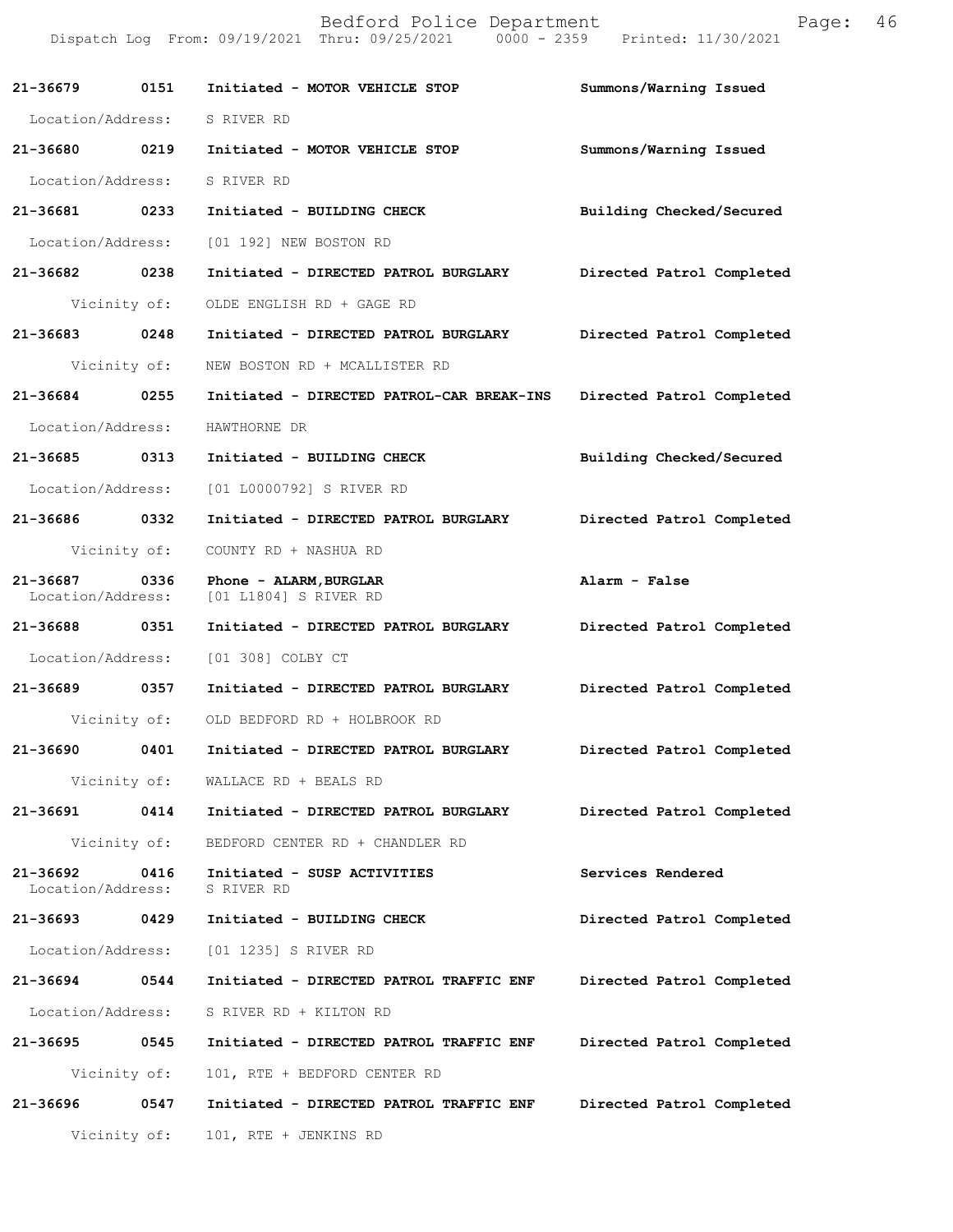|                               |              | Bedford Police Department<br>Dispatch Log From: 09/19/2021 Thru: 09/25/2021 0000 - 2359 Printed: 11/30/2021 | Page:                     | 46 |
|-------------------------------|--------------|-------------------------------------------------------------------------------------------------------------|---------------------------|----|
| 21-36679                      | 0151         | Initiated - MOTOR VEHICLE STOP                                                                              | Summons/Warning Issued    |    |
| Location/Address:             |              | S RIVER RD                                                                                                  |                           |    |
| 21-36680 0219                 |              | Initiated - MOTOR VEHICLE STOP                                                                              | Summons/Warning Issued    |    |
| Location/Address:             |              | S RIVER RD                                                                                                  |                           |    |
| 21-36681                      | 0233         | Initiated - BUILDING CHECK                                                                                  | Building Checked/Secured  |    |
| Location/Address:             |              | [01 192] NEW BOSTON RD                                                                                      |                           |    |
| 21-36682 0238                 |              | Initiated - DIRECTED PATROL BURGLARY                                                                        | Directed Patrol Completed |    |
|                               | Vicinity of: | OLDE ENGLISH RD + GAGE RD                                                                                   |                           |    |
| 21-36683                      | 0248         | Initiated - DIRECTED PATROL BURGLARY                                                                        | Directed Patrol Completed |    |
|                               | Vicinity of: | NEW BOSTON RD + MCALLISTER RD                                                                               |                           |    |
| 21-36684 0255                 |              | Initiated - DIRECTED PATROL-CAR BREAK-INS                                                                   | Directed Patrol Completed |    |
| Location/Address:             |              | HAWTHORNE DR                                                                                                |                           |    |
| 21-36685                      | 0313         | Initiated - BUILDING CHECK                                                                                  | Building Checked/Secured  |    |
| Location/Address:             |              | [01 L0000792] S RIVER RD                                                                                    |                           |    |
| 21-36686 0332                 |              | Initiated - DIRECTED PATROL BURGLARY                                                                        | Directed Patrol Completed |    |
|                               | Vicinity of: | COUNTY RD + NASHUA RD                                                                                       |                           |    |
| 21-36687<br>Location/Address: | 0336         | Phone - ALARM, BURGLAR<br>[01 L1804] S RIVER RD                                                             | Alarm - False             |    |
| 21-36688                      | 0351         | Initiated - DIRECTED PATROL BURGLARY                                                                        | Directed Patrol Completed |    |
| Location/Address:             |              | [01 308] COLBY CT                                                                                           |                           |    |
| 21-36689                      | 0357         | Initiated - DIRECTED PATROL BURGLARY                                                                        | Directed Patrol Completed |    |
|                               | Vicinity of: | OLD BEDFORD RD + HOLBROOK RD                                                                                |                           |    |
| 21-36690                      | 0401         | Initiated - DIRECTED PATROL BURGLARY                                                                        | Directed Patrol Completed |    |
|                               | Vicinity of: | WALLACE RD + BEALS RD                                                                                       |                           |    |
| 21-36691                      | 0414         | Initiated - DIRECTED PATROL BURGLARY                                                                        | Directed Patrol Completed |    |
|                               | Vicinity of: | BEDFORD CENTER RD + CHANDLER RD                                                                             |                           |    |
| 21-36692<br>Location/Address: | 0416         | Initiated - SUSP ACTIVITIES<br>S RIVER RD                                                                   | Services Rendered         |    |
| 21-36693 0429                 |              | Initiated - BUILDING CHECK                                                                                  | Directed Patrol Completed |    |
| Location/Address:             |              | [01 1235] S RIVER RD                                                                                        |                           |    |
| 21-36694 0544                 |              | Initiated - DIRECTED PATROL TRAFFIC ENF                                                                     | Directed Patrol Completed |    |
| Location/Address:             |              | S RIVER RD + KILTON RD                                                                                      |                           |    |
| 21-36695                      | 0545         | Initiated - DIRECTED PATROL TRAFFIC ENF                                                                     | Directed Patrol Completed |    |
|                               | Vicinity of: | 101, RTE + BEDFORD CENTER RD                                                                                |                           |    |
| 21-36696                      | 0547         | Initiated - DIRECTED PATROL TRAFFIC ENF                                                                     | Directed Patrol Completed |    |
|                               | Vicinity of: | 101, RTE + JENKINS RD                                                                                       |                           |    |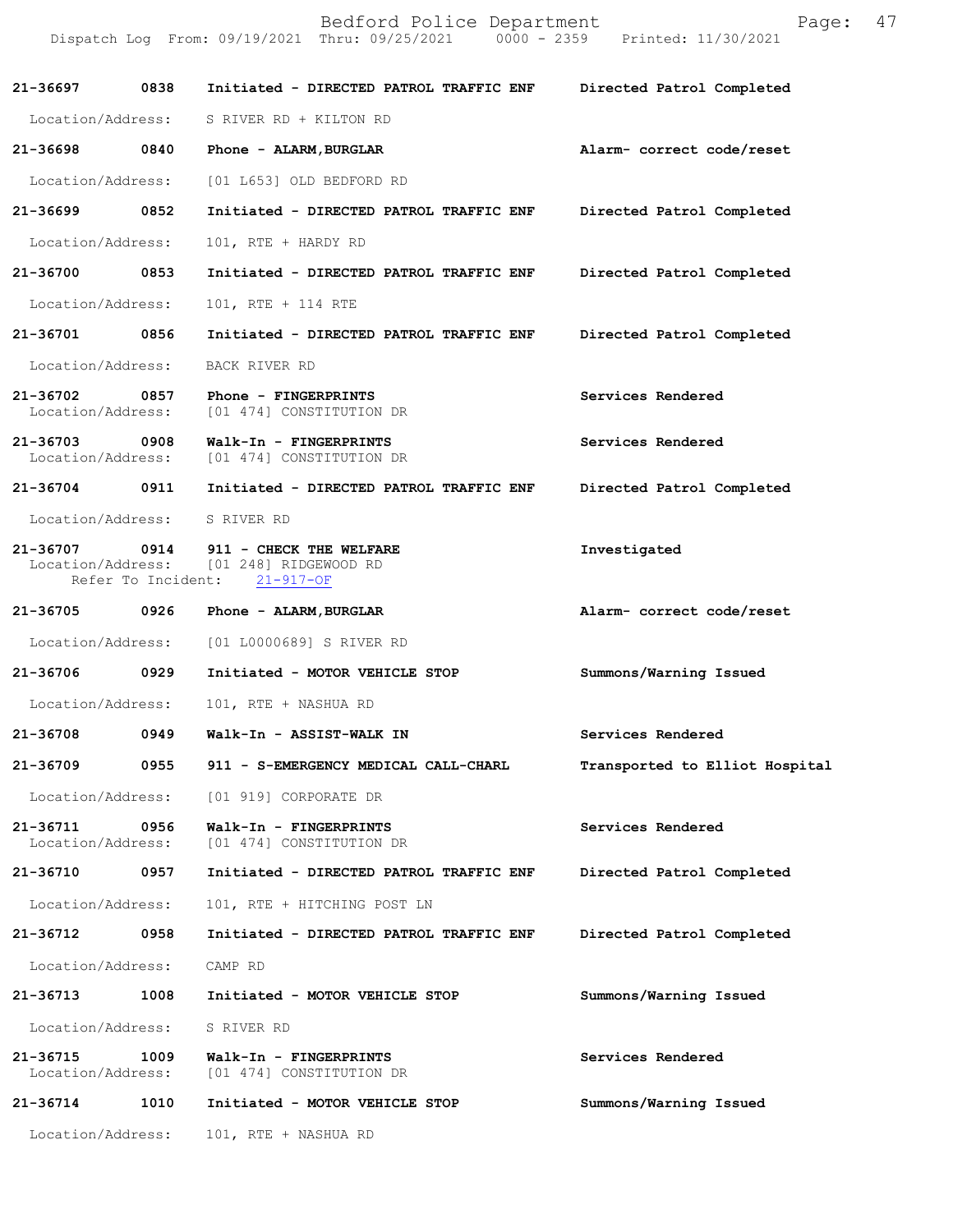|                                    |                    | Bedford Police Department<br>Dispatch Log From: 09/19/2021 Thru: 09/25/2021 0000 - 2359 Printed: 11/30/2021 | 47<br>Page:                    |
|------------------------------------|--------------------|-------------------------------------------------------------------------------------------------------------|--------------------------------|
| 21-36697                           | 0838               | Initiated - DIRECTED PATROL TRAFFIC ENF                                                                     | Directed Patrol Completed      |
|                                    |                    | Location/Address: S RIVER RD + KILTON RD                                                                    |                                |
|                                    |                    | 21-36698 0840 Phone - ALARM, BURGLAR                                                                        | Alarm- correct code/reset      |
| Location/Address:                  |                    | [01 L653] OLD BEDFORD RD                                                                                    |                                |
| 21-36699                           | 0852               | Initiated - DIRECTED PATROL TRAFFIC ENF                                                                     | Directed Patrol Completed      |
| Location/Address:                  |                    | 101, RTE + HARDY RD                                                                                         |                                |
| 21-36700                           | 0853               | Initiated - DIRECTED PATROL TRAFFIC ENF                                                                     | Directed Patrol Completed      |
| Location/Address:                  |                    | 101, RTE + 114 RTE                                                                                          |                                |
| 21-36701 0856                      |                    | Initiated - DIRECTED PATROL TRAFFIC ENF                                                                     | Directed Patrol Completed      |
| Location/Address:                  |                    | BACK RIVER RD                                                                                               |                                |
| 21-36702 0857<br>Location/Address: |                    | Phone - FINGERPRINTS<br>[01 474] CONSTITUTION DR                                                            | Services Rendered              |
| 21-36703 0908                      |                    | Walk-In - FINGERPRINTS<br>Location/Address: [01 474] CONSTITUTION DR                                        | Services Rendered              |
| 21-36704 0911                      |                    | Initiated - DIRECTED PATROL TRAFFIC ENF                                                                     | Directed Patrol Completed      |
|                                    |                    | Location/Address: S RIVER RD                                                                                |                                |
| 21-36707                           | Refer To Incident: | 0914 911 - CHECK THE WELFARE<br>Location/Address: [01 248] RIDGEWOOD RD<br>$21 - 917 - OF$                  | Investigated                   |
| 21-36705 0926                      |                    | Phone - ALARM, BURGLAR                                                                                      | Alarm- correct code/reset      |
| Location/Address:                  |                    | [01 L0000689] S RIVER RD                                                                                    |                                |
| 21-36706 0929                      |                    | Initiated - MOTOR VEHICLE STOP                                                                              | Summons/Warning Issued         |
| Location/Address:                  |                    | 101, RTE + NASHUA RD                                                                                        |                                |
| 21-36708                           | 0949               | Walk-In - ASSIST-WALK IN                                                                                    | Services Rendered              |
| 21-36709                           | 0955               | 911 - S-EMERGENCY MEDICAL CALL-CHARL                                                                        | Transported to Elliot Hospital |
| Location/Address:                  |                    | [01 919] CORPORATE DR                                                                                       |                                |
| 21-36711<br>Location/Address:      | 0956               | Walk-In - FINGERPRINTS<br>[01 474] CONSTITUTION DR                                                          | Services Rendered              |
| 21-36710                           | 0957               | Initiated - DIRECTED PATROL TRAFFIC ENF                                                                     | Directed Patrol Completed      |
| Location/Address:                  |                    | 101, RTE + HITCHING POST LN                                                                                 |                                |
| 21-36712                           | 0958               | Initiated - DIRECTED PATROL TRAFFIC ENF                                                                     | Directed Patrol Completed      |
| Location/Address:                  |                    | CAMP RD                                                                                                     |                                |
| 21-36713                           | 1008               | Initiated - MOTOR VEHICLE STOP                                                                              | Summons/Warning Issued         |
| Location/Address:                  |                    | S RIVER RD                                                                                                  |                                |
| 21-36715<br>Location/Address:      | 1009               | Walk-In - FINGERPRINTS<br>[01 474] CONSTITUTION DR                                                          | Services Rendered              |
| 21-36714                           | 1010               | Initiated - MOTOR VEHICLE STOP                                                                              | Summons/Warning Issued         |
| Location/Address:                  |                    | 101, RTE + NASHUA RD                                                                                        |                                |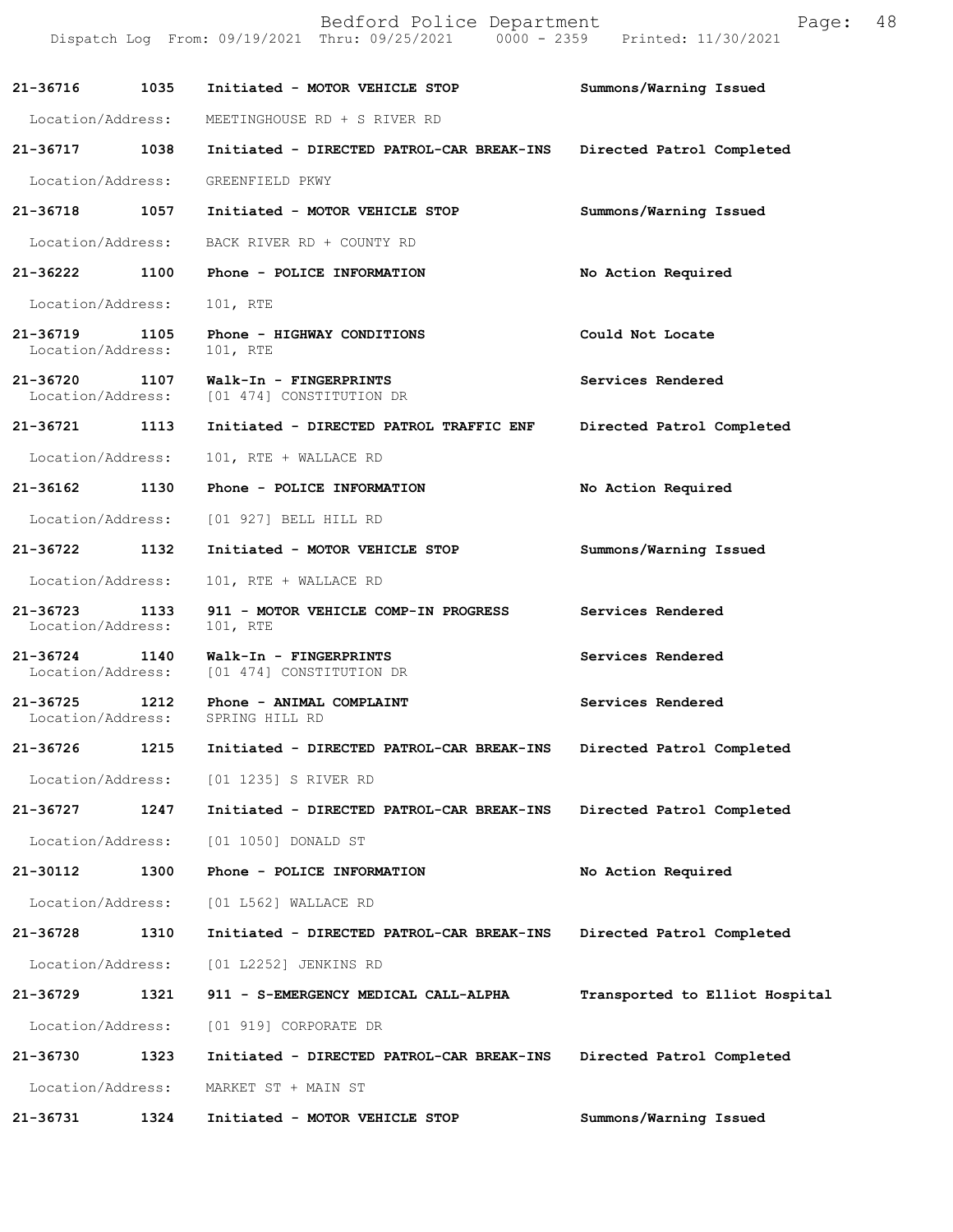|                                    |      | Bedford Police Department<br>Dispatch Log From: 09/19/2021 Thru: 09/25/2021 0000 - 2359 Printed: 11/30/2021 | 48<br>Page:                    |
|------------------------------------|------|-------------------------------------------------------------------------------------------------------------|--------------------------------|
| 21-36716                           | 1035 | Initiated - MOTOR VEHICLE STOP                                                                              | Summons/Warning Issued         |
| Location/Address:                  |      | MEETINGHOUSE RD + S RIVER RD                                                                                |                                |
| 21-36717 1038                      |      | Initiated - DIRECTED PATROL-CAR BREAK-INS                                                                   | Directed Patrol Completed      |
| Location/Address:                  |      | GREENFIELD PKWY                                                                                             |                                |
| 21-36718                           | 1057 | Initiated - MOTOR VEHICLE STOP                                                                              | Summons/Warning Issued         |
| Location/Address:                  |      | BACK RIVER RD + COUNTY RD                                                                                   |                                |
| 21-36222                           | 1100 | Phone - POLICE INFORMATION                                                                                  | No Action Required             |
| Location/Address:                  |      | 101, RTE                                                                                                    |                                |
| 21-36719<br>Location/Address:      | 1105 | Phone - HIGHWAY CONDITIONS<br>101, RTE                                                                      | Could Not Locate               |
| 21-36720                           | 1107 | Walk-In - FINGERPRINTS<br>Location/Address: [01 474] CONSTITUTION DR                                        | Services Rendered              |
| 21-36721                           | 1113 | Initiated - DIRECTED PATROL TRAFFIC ENF                                                                     | Directed Patrol Completed      |
| Location/Address:                  |      | 101, RTE + WALLACE RD                                                                                       |                                |
| 21-36162 1130                      |      | Phone - POLICE INFORMATION                                                                                  | No Action Required             |
| Location/Address:                  |      | [01 927] BELL HILL RD                                                                                       |                                |
| 21-36722                           | 1132 | Initiated - MOTOR VEHICLE STOP                                                                              | Summons/Warning Issued         |
| Location/Address:                  |      | 101, RTE + WALLACE RD                                                                                       |                                |
| 21-36723 1133<br>Location/Address: |      | 911 - MOTOR VEHICLE COMP-IN PROGRESS<br>101, RTE                                                            | Services Rendered              |
| 21-36724<br>Location/Address:      | 1140 | Walk-In - FINGERPRINTS<br>[01 474] CONSTITUTION DR                                                          | Services Rendered              |
| 21-36725<br>Location/Address:      | 1212 | Phone - ANIMAL COMPLAINT<br>SPRING HILL RD                                                                  | Services Rendered              |
| 21-36726                           | 1215 | Initiated - DIRECTED PATROL-CAR BREAK-INS                                                                   | Directed Patrol Completed      |
| Location/Address:                  |      | [01 1235] S RIVER RD                                                                                        |                                |
| 21-36727                           | 1247 | Initiated - DIRECTED PATROL-CAR BREAK-INS                                                                   | Directed Patrol Completed      |
| Location/Address:                  |      | [01 1050] DONALD ST                                                                                         |                                |
| 21-30112                           | 1300 | Phone - POLICE INFORMATION                                                                                  | No Action Required             |
| Location/Address:                  |      | [01 L562] WALLACE RD                                                                                        |                                |
| 21-36728                           | 1310 | Initiated - DIRECTED PATROL-CAR BREAK-INS                                                                   | Directed Patrol Completed      |
| Location/Address:                  |      | [01 L2252] JENKINS RD                                                                                       |                                |
| 21-36729                           | 1321 | 911 - S-EMERGENCY MEDICAL CALL-ALPHA                                                                        | Transported to Elliot Hospital |
| Location/Address:                  |      | [01 919] CORPORATE DR                                                                                       |                                |
| 21-36730                           | 1323 | Initiated - DIRECTED PATROL-CAR BREAK-INS                                                                   | Directed Patrol Completed      |
| Location/Address:                  |      | MARKET ST + MAIN ST                                                                                         |                                |
| 21-36731                           | 1324 | Initiated - MOTOR VEHICLE STOP                                                                              | Summons/Warning Issued         |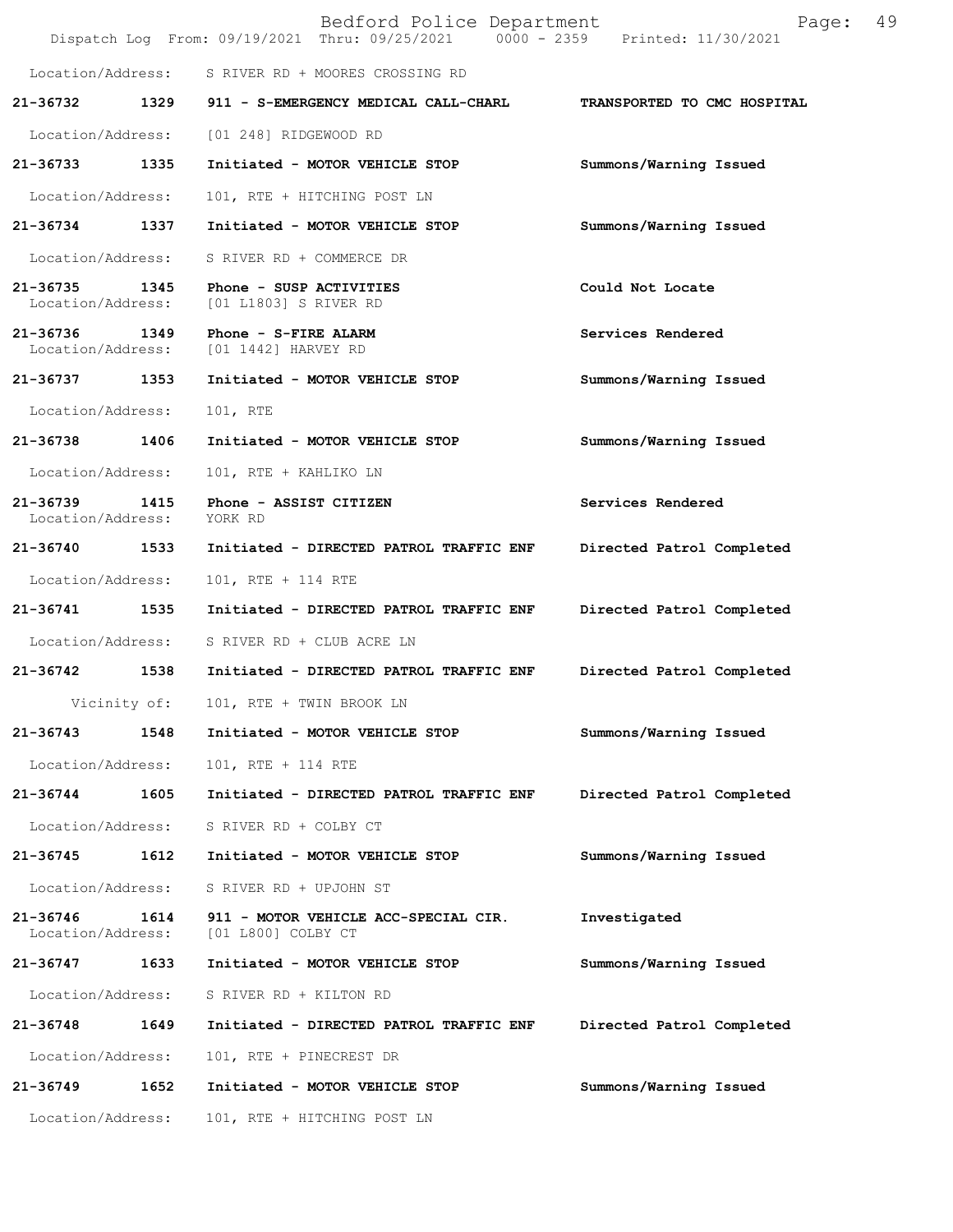|                                    |              | Bedford Police Department<br>Dispatch Log From: 09/19/2021 Thru: 09/25/2021 0000 - 2359 Printed: 11/30/2021 | 49<br>Page:                 |
|------------------------------------|--------------|-------------------------------------------------------------------------------------------------------------|-----------------------------|
|                                    |              | Location/Address: S RIVER RD + MOORES CROSSING RD                                                           |                             |
| 21-36732                           |              | 1329 911 - S-EMERGENCY MEDICAL CALL-CHARL                                                                   | TRANSPORTED TO CMC HOSPITAL |
| Location/Address:                  |              | [01 248] RIDGEWOOD RD                                                                                       |                             |
| 21-36733                           | 1335         | Initiated - MOTOR VEHICLE STOP                                                                              | Summons/Warning Issued      |
| Location/Address:                  |              | 101, RTE + HITCHING POST LN                                                                                 |                             |
| 21-36734 1337                      |              | Initiated - MOTOR VEHICLE STOP                                                                              | Summons/Warning Issued      |
| Location/Address:                  |              | S RIVER RD + COMMERCE DR                                                                                    |                             |
| 21-36735<br>Location/Address:      | 1345         | Phone - SUSP ACTIVITIES<br>[01 L1803] S RIVER RD                                                            | Could Not Locate            |
| 21-36736 1349<br>Location/Address: |              | Phone - S-FIRE ALARM<br>[01 1442] HARVEY RD                                                                 | Services Rendered           |
| 21-36737 1353                      |              | Initiated - MOTOR VEHICLE STOP                                                                              | Summons/Warning Issued      |
| Location/Address:                  |              | 101, RTE                                                                                                    |                             |
| 21-36738                           | 1406         | Initiated - MOTOR VEHICLE STOP                                                                              | Summons/Warning Issued      |
| Location/Address:                  |              | 101, RTE + KAHLIKO LN                                                                                       |                             |
| 21-36739<br>Location/Address:      | 1415         | Phone - ASSIST CITIZEN<br>YORK RD                                                                           | Services Rendered           |
| 21-36740                           | 1533         | Initiated - DIRECTED PATROL TRAFFIC ENF                                                                     | Directed Patrol Completed   |
| Location/Address:                  |              | 101, RTE + 114 RTE                                                                                          |                             |
| 21-36741                           | 1535         | Initiated - DIRECTED PATROL TRAFFIC ENF                                                                     | Directed Patrol Completed   |
| Location/Address:                  |              | S RIVER RD + CLUB ACRE LN                                                                                   |                             |
| 21-36742                           | 1538         | Initiated - DIRECTED PATROL TRAFFIC ENF                                                                     | Directed Patrol Completed   |
|                                    | Vicinity of: | 101, RTE + TWIN BROOK LN                                                                                    |                             |
| $21 - 36743$                       | 1548         | Initiated - MOTOR VEHICLE STOP                                                                              | Summons/Warning Issued      |
| Location/Address:                  |              | 101, RTE + 114 RTE                                                                                          |                             |
| 21-36744                           | 1605         | Initiated - DIRECTED PATROL TRAFFIC ENF                                                                     | Directed Patrol Completed   |
| Location/Address:                  |              | S RIVER RD + COLBY CT                                                                                       |                             |
| 21-36745                           | 1612         | Initiated - MOTOR VEHICLE STOP                                                                              | Summons/Warning Issued      |
| Location/Address:                  |              | S RIVER RD + UPJOHN ST                                                                                      |                             |
| 21-36746<br>Location/Address:      | 1614         | 911 - MOTOR VEHICLE ACC-SPECIAL CIR.<br>[01 L800] COLBY CT                                                  | Investigated                |
| 21-36747                           | 1633         | Initiated - MOTOR VEHICLE STOP                                                                              | Summons/Warning Issued      |
| Location/Address:                  |              | S RIVER RD + KILTON RD                                                                                      |                             |
| 21-36748                           | 1649         | Initiated - DIRECTED PATROL TRAFFIC ENF                                                                     | Directed Patrol Completed   |
| Location/Address:                  |              | 101, RTE + PINECREST DR                                                                                     |                             |
| 21-36749                           | 1652         | Initiated - MOTOR VEHICLE STOP                                                                              | Summons/Warning Issued      |
| Location/Address:                  |              | 101, RTE + HITCHING POST LN                                                                                 |                             |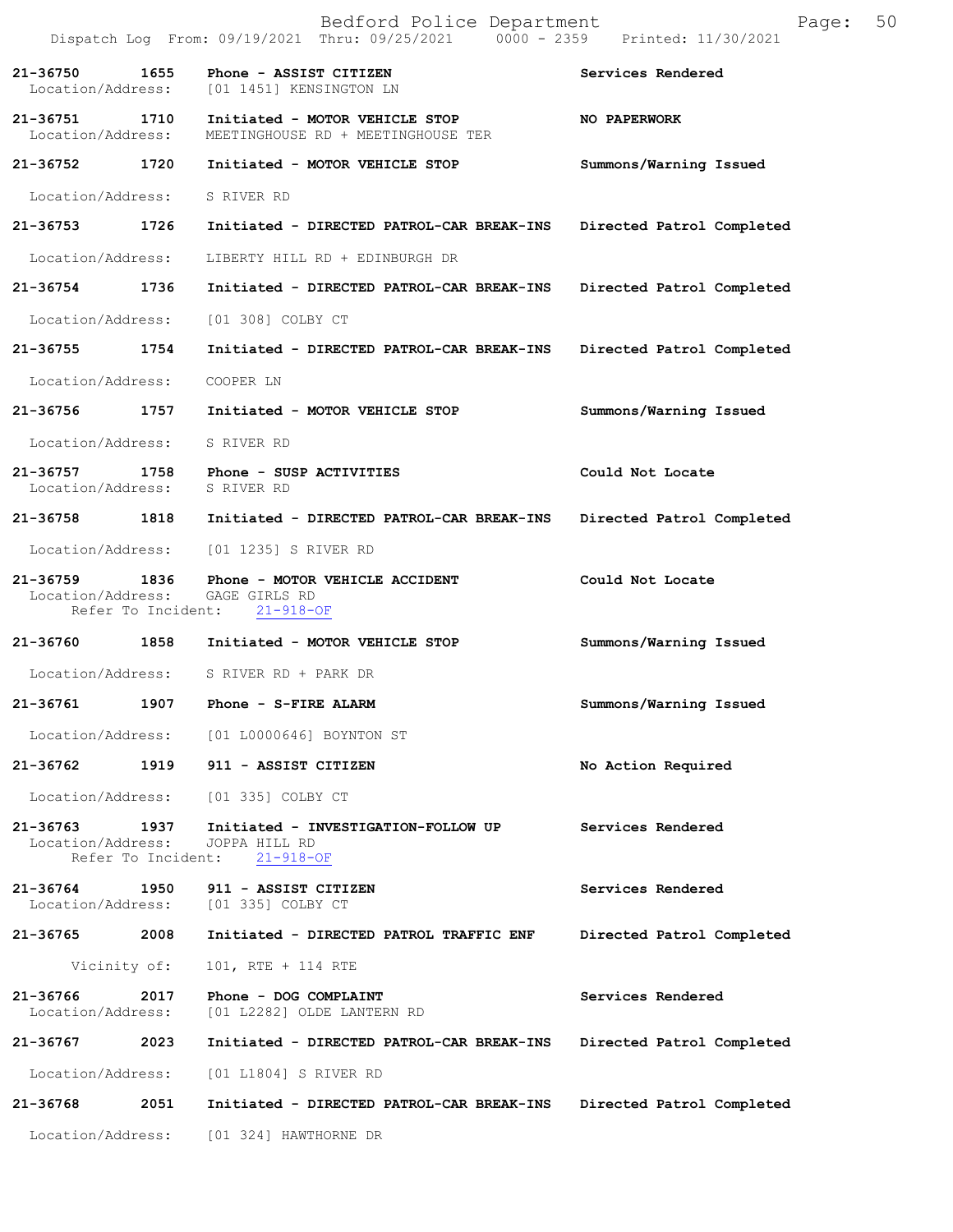|                                          |                            | Bedford Police Department<br>Dispatch Log From: 09/19/2021 Thru: 09/25/2021 0000 - 2359 Printed: 11/30/2021 | Page:                     | 50 |
|------------------------------------------|----------------------------|-------------------------------------------------------------------------------------------------------------|---------------------------|----|
| 21-36750<br>Location/Address:            | 1655                       | Phone - ASSIST CITIZEN<br>[01 1451] KENSINGTON LN                                                           | Services Rendered         |    |
| Location/Address:                        |                            | 21-36751 1710 Initiated - MOTOR VEHICLE STOP<br>MEETINGHOUSE RD + MEETINGHOUSE TER                          | NO PAPERWORK              |    |
| 21-36752 1720                            |                            | Initiated - MOTOR VEHICLE STOP                                                                              | Summons/Warning Issued    |    |
| Location/Address:                        |                            | S RIVER RD                                                                                                  |                           |    |
| 21-36753 1726                            |                            | Initiated - DIRECTED PATROL-CAR BREAK-INS                                                                   | Directed Patrol Completed |    |
| Location/Address:                        |                            | LIBERTY HILL RD + EDINBURGH DR                                                                              |                           |    |
| 21-36754                                 | 1736                       | Initiated - DIRECTED PATROL-CAR BREAK-INS                                                                   | Directed Patrol Completed |    |
|                                          |                            | Location/Address: [01 308] COLBY CT                                                                         |                           |    |
| 21-36755 1754                            |                            | Initiated - DIRECTED PATROL-CAR BREAK-INS                                                                   | Directed Patrol Completed |    |
| Location/Address:                        |                            | COOPER LN                                                                                                   |                           |    |
|                                          |                            | 21-36756 1757 Initiated - MOTOR VEHICLE STOP                                                                | Summons/Warning Issued    |    |
| Location/Address: S RIVER RD             |                            |                                                                                                             |                           |    |
| 21-36757<br>Location/Address: S RIVER RD |                            | 1758 Phone - SUSP ACTIVITIES                                                                                | Could Not Locate          |    |
| 21-36758 1818                            |                            | Initiated - DIRECTED PATROL-CAR BREAK-INS                                                                   | Directed Patrol Completed |    |
| Location/Address:                        |                            | [01 1235] S RIVER RD                                                                                        |                           |    |
| 21-36759 1836                            |                            | Phone - MOTOR VEHICLE ACCIDENT<br>Location/Address: GAGE GIRLS RD<br>Refer To Incident: 21-918-OF           | Could Not Locate          |    |
|                                          |                            | 21-36760 1858 Initiated - MOTOR VEHICLE STOP                                                                | Summons/Warning Issued    |    |
|                                          |                            | Location/Address: S RIVER RD + PARK DR                                                                      |                           |    |
| 21-36761 1907                            |                            | Phone - S-FIRE ALARM                                                                                        | Summons/Warning Issued    |    |
|                                          |                            | Location/Address: [01 L0000646] BOYNTON ST                                                                  |                           |    |
| 21-36762                                 |                            | 1919 911 - ASSIST CITIZEN                                                                                   | No Action Required        |    |
| Location/Address:                        |                            | [01 335] COLBY CT                                                                                           |                           |    |
| 21-36763<br>Location/Address:            | 1937<br>Refer To Incident: | Initiated - INVESTIGATION-FOLLOW UP<br>JOPPA HILL RD<br>$21 - 918 - OF$                                     | Services Rendered         |    |
| 21-36764<br>Location/Address:            | 1950                       | 911 - ASSIST CITIZEN<br>[01 335] COLBY CT                                                                   | Services Rendered         |    |
| 21-36765                                 | 2008                       | Initiated - DIRECTED PATROL TRAFFIC ENF                                                                     | Directed Patrol Completed |    |
|                                          | Vicinity of:               | 101, RTE + 114 RTE                                                                                          |                           |    |
| 21-36766<br>Location/Address:            | 2017                       | Phone - DOG COMPLAINT<br>[01 L2282] OLDE LANTERN RD                                                         | Services Rendered         |    |
| 21-36767                                 | 2023                       | Initiated - DIRECTED PATROL-CAR BREAK-INS                                                                   | Directed Patrol Completed |    |
| Location/Address:                        |                            | [01 L1804] S RIVER RD                                                                                       |                           |    |
| 21-36768                                 | 2051                       | Initiated - DIRECTED PATROL-CAR BREAK-INS                                                                   | Directed Patrol Completed |    |
|                                          |                            | Location/Address: [01 324] HAWTHORNE DR                                                                     |                           |    |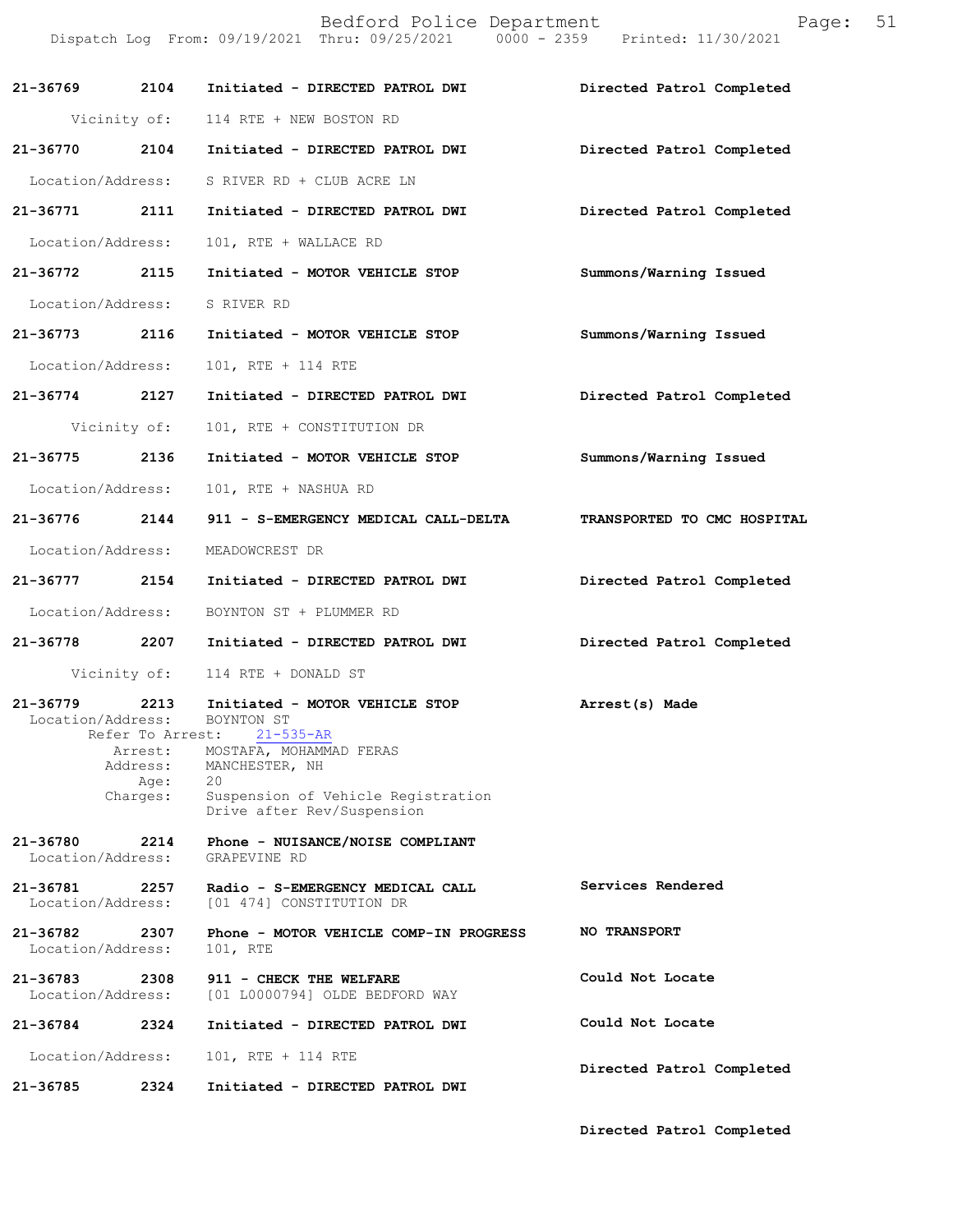|                               |                             | Bedford Police Department<br>Dispatch Log From: 09/19/2021 Thru: 09/25/2021 0000 - 2359 Printed: 11/30/2021 | 51<br>Page:                 |
|-------------------------------|-----------------------------|-------------------------------------------------------------------------------------------------------------|-----------------------------|
| 21-36769                      | 2104                        | Initiated - DIRECTED PATROL DWI                                                                             | Directed Patrol Completed   |
|                               |                             | Vicinity of: 114 RTE + NEW BOSTON RD                                                                        |                             |
| 21-36770                      | 2104                        | Initiated - DIRECTED PATROL DWI                                                                             | Directed Patrol Completed   |
| Location/Address:             |                             | S RIVER RD + CLUB ACRE LN                                                                                   |                             |
| 21-36771 2111                 |                             | Initiated - DIRECTED PATROL DWI                                                                             | Directed Patrol Completed   |
| Location/Address:             |                             | 101, RTE + WALLACE RD                                                                                       |                             |
| 21-36772                      | 2115                        | Initiated - MOTOR VEHICLE STOP                                                                              | Summons/Warning Issued      |
| Location/Address:             |                             | S RIVER RD                                                                                                  |                             |
| 21-36773 2116                 |                             | Initiated - MOTOR VEHICLE STOP                                                                              | Summons/Warning Issued      |
| Location/Address:             |                             | 101, RTE + 114 RTE                                                                                          |                             |
| 21-36774 2127                 |                             | Initiated - DIRECTED PATROL DWI                                                                             | Directed Patrol Completed   |
|                               | Vicinity of:                | 101, RTE + CONSTITUTION DR                                                                                  |                             |
| 21-36775                      | 2136                        | Initiated - MOTOR VEHICLE STOP                                                                              | Summons/Warning Issued      |
| Location/Address:             |                             | 101, RTE + NASHUA RD                                                                                        |                             |
| 21-36776                      | 2144                        | 911 - S-EMERGENCY MEDICAL CALL-DELTA                                                                        | TRANSPORTED TO CMC HOSPITAL |
| Location/Address:             |                             | MEADOWCREST DR                                                                                              |                             |
| 21-36777 2154                 |                             | Initiated - DIRECTED PATROL DWI                                                                             | Directed Patrol Completed   |
| Location/Address:             |                             | BOYNTON ST + PLUMMER RD                                                                                     |                             |
| 21-36778 2207                 |                             | Initiated - DIRECTED PATROL DWI                                                                             | Directed Patrol Completed   |
|                               |                             | Vicinity of: 114 RTE + DONALD ST                                                                            |                             |
| 21-36779<br>Location/Address: | 2213<br>Refer To Arrest:    | Initiated - MOTOR VEHICLE STOP<br>BOYNTON ST                                                                | Arrest(s) Made              |
|                               | Arrest:<br>Address:<br>Age: | $21 - 535 - AR$<br>MOSTAFA, MOHAMMAD FERAS<br>MANCHESTER, NH<br>20                                          |                             |
|                               | Charges:                    | Suspension of Vehicle Registration<br>Drive after Rev/Suspension                                            |                             |
| 21-36780<br>Location/Address: | 2214                        | Phone - NUISANCE/NOISE COMPLIANT<br>GRAPEVINE RD                                                            |                             |
| 21-36781<br>Location/Address: | 2257                        | Radio - S-EMERGENCY MEDICAL CALL<br>[01 474] CONSTITUTION DR                                                | Services Rendered           |
| 21-36782<br>Location/Address: | 2307                        | Phone - MOTOR VEHICLE COMP-IN PROGRESS<br>101, RTE                                                          | <b>NO TRANSPORT</b>         |
| 21-36783<br>Location/Address: | 2308                        | 911 - CHECK THE WELFARE<br>[01 L0000794] OLDE BEDFORD WAY                                                   | Could Not Locate            |
| 21-36784                      | 2324                        | Initiated - DIRECTED PATROL DWI                                                                             | Could Not Locate            |
| Location/Address:             |                             | 101, RTE + 114 RTE                                                                                          | Directed Patrol Completed   |
| 21-36785                      | 2324                        | Initiated - DIRECTED PATROL DWI                                                                             |                             |

**Directed Patrol Completed**